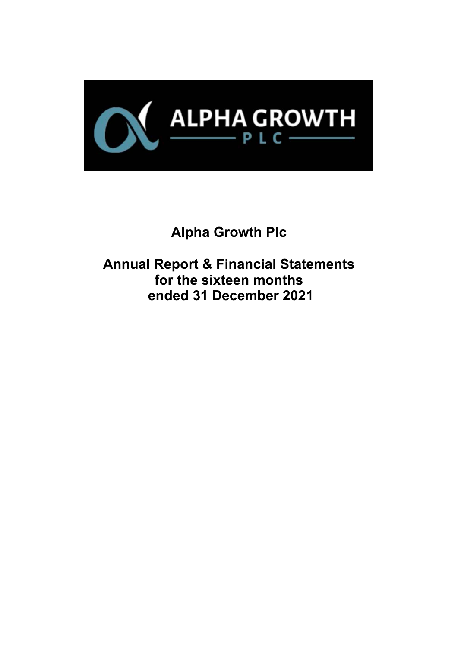

# **Alpha Growth Plc**

**Annual Report & Financial Statements for the sixteen months ended 31 December 2021**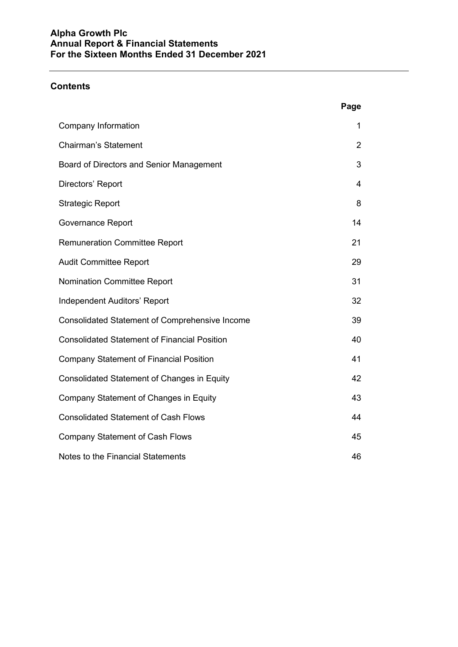## **Contents**

|                                                       | Page           |
|-------------------------------------------------------|----------------|
| <b>Company Information</b>                            | 1              |
| <b>Chairman's Statement</b>                           | $\overline{2}$ |
| Board of Directors and Senior Management              | 3              |
| Directors' Report                                     | 4              |
| <b>Strategic Report</b>                               | 8              |
| <b>Governance Report</b>                              | 14             |
| <b>Remuneration Committee Report</b>                  | 21             |
| <b>Audit Committee Report</b>                         | 29             |
| Nomination Committee Report                           | 31             |
| <b>Independent Auditors' Report</b>                   | 32             |
| <b>Consolidated Statement of Comprehensive Income</b> | 39             |
| <b>Consolidated Statement of Financial Position</b>   | 40             |
| <b>Company Statement of Financial Position</b>        | 41             |
| <b>Consolidated Statement of Changes in Equity</b>    | 42             |
| Company Statement of Changes in Equity                | 43             |
| <b>Consolidated Statement of Cash Flows</b>           | 44             |
| <b>Company Statement of Cash Flows</b>                | 45             |
| Notes to the Financial Statements                     | 46             |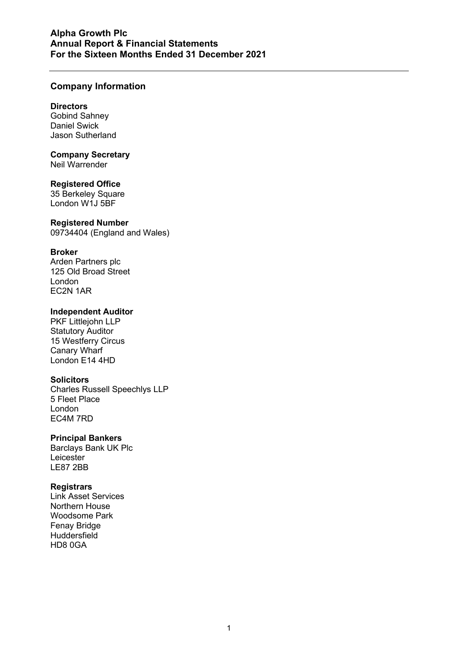## **Company Information**

#### **Directors**

Gobind Sahney Daniel Swick Jason Sutherland

# **Company Secretary**

Neil Warrender

## **Registered Office**

35 Berkeley Square London W1J 5BF

#### **Registered Number**

09734404 (England and Wales)

## **Broker**

Arden Partners plc 125 Old Broad Street London EC2N 1AR

## **Independent Auditor**

PKF Littlejohn LLP Statutory Auditor 15 Westferry Circus Canary Wharf London E14 4HD

## **Solicitors**

Charles Russell Speechlys LLP 5 Fleet Place London EC4M 7RD

## **Principal Bankers**

Barclays Bank UK Plc Leicester LE87 2BB

## **Registrars**

Link Asset Services Northern House Woodsome Park Fenay Bridge **Huddersfield** HD8 0GA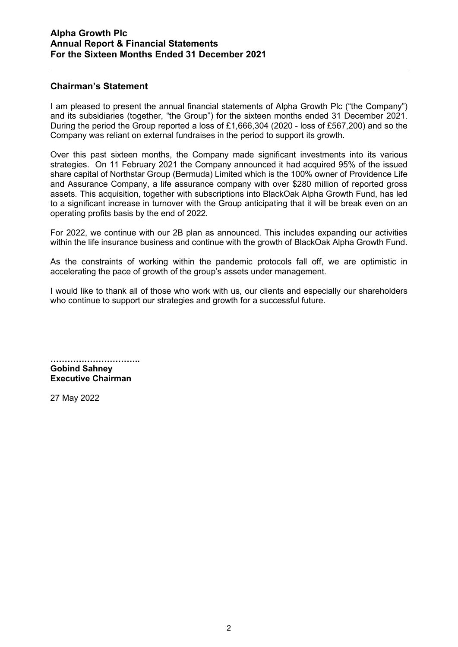## **Chairman's Statement**

I am pleased to present the annual financial statements of Alpha Growth Plc ("the Company") and its subsidiaries (together, "the Group") for the sixteen months ended 31 December 2021. During the period the Group reported a loss of £1,666,304 (2020 - loss of £567,200) and so the Company was reliant on external fundraises in the period to support its growth.

Over this past sixteen months, the Company made significant investments into its various strategies. On 11 February 2021 the Company announced it had acquired 95% of the issued share capital of Northstar Group (Bermuda) Limited which is the 100% owner of Providence Life and Assurance Company, a life assurance company with over \$280 million of reported gross assets. This acquisition, together with subscriptions into BlackOak Alpha Growth Fund, has led to a significant increase in turnover with the Group anticipating that it will be break even on an operating profits basis by the end of 2022.

For 2022, we continue with our 2B plan as announced. This includes expanding our activities within the life insurance business and continue with the growth of BlackOak Alpha Growth Fund.

As the constraints of working within the pandemic protocols fall off, we are optimistic in accelerating the pace of growth of the group's assets under management.

I would like to thank all of those who work with us, our clients and especially our shareholders who continue to support our strategies and growth for a successful future.

**………………………….. Gobind Sahney Executive Chairman**

27 May 2022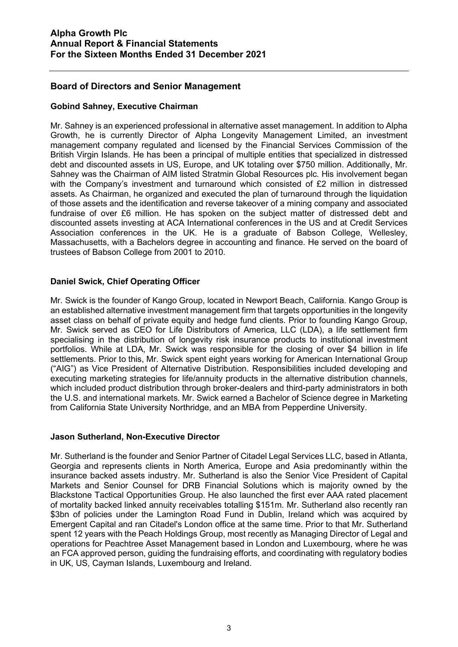## **Board of Directors and Senior Management**

## **Gobind Sahney, Executive Chairman**

Mr. Sahney is an experienced professional in alternative asset management. In addition to Alpha Growth, he is currently Director of Alpha Longevity Management Limited, an investment management company regulated and licensed by the Financial Services Commission of the British Virgin Islands. He has been a principal of multiple entities that specialized in distressed debt and discounted assets in US, Europe, and UK totaling over \$750 million. Additionally, Mr. Sahney was the Chairman of AIM listed Stratmin Global Resources plc. His involvement began with the Company's investment and turnaround which consisted of £2 million in distressed assets. As Chairman, he organized and executed the plan of turnaround through the liquidation of those assets and the identification and reverse takeover of a mining company and associated fundraise of over £6 million. He has spoken on the subject matter of distressed debt and discounted assets investing at ACA International conferences in the US and at Credit Services Association conferences in the UK. He is a graduate of Babson College, Wellesley, Massachusetts, with a Bachelors degree in accounting and finance. He served on the board of trustees of Babson College from 2001 to 2010.

## **Daniel Swick, Chief Operating Officer**

Mr. Swick is the founder of Kango Group, located in Newport Beach, California. Kango Group is an established alternative investment management firm that targets opportunities in the longevity asset class on behalf of private equity and hedge fund clients. Prior to founding Kango Group, Mr. Swick served as CEO for Life Distributors of America, LLC (LDA), a life settlement firm specialising in the distribution of longevity risk insurance products to institutional investment portfolios. While at LDA, Mr. Swick was responsible for the closing of over \$4 billion in life settlements. Prior to this, Mr. Swick spent eight years working for American International Group ("AIG") as Vice President of Alternative Distribution. Responsibilities included developing and executing marketing strategies for life/annuity products in the alternative distribution channels, which included product distribution through broker-dealers and third-party administrators in both the U.S. and international markets. Mr. Swick earned a Bachelor of Science degree in Marketing from California State University Northridge, and an MBA from Pepperdine University.

## **Jason Sutherland, Non-Executive Director**

Mr. Sutherland is the founder and Senior Partner of Citadel Legal Services LLC, based in Atlanta, Georgia and represents clients in North America, Europe and Asia predominantly within the insurance backed assets industry. Mr. Sutherland is also the Senior Vice President of Capital Markets and Senior Counsel for DRB Financial Solutions which is majority owned by the Blackstone Tactical Opportunities Group. He also launched the first ever AAA rated placement of mortality backed linked annuity receivables totalling \$151m. Mr. Sutherland also recently ran \$3bn of policies under the Lamington Road Fund in Dublin, Ireland which was acquired by Emergent Capital and ran Citadel's London office at the same time. Prior to that Mr. Sutherland spent 12 years with the Peach Holdings Group, most recently as Managing Director of Legal and operations for Peachtree Asset Management based in London and Luxembourg, where he was an FCA approved person, guiding the fundraising efforts, and coordinating with regulatory bodies in UK, US, Cayman Islands, Luxembourg and Ireland.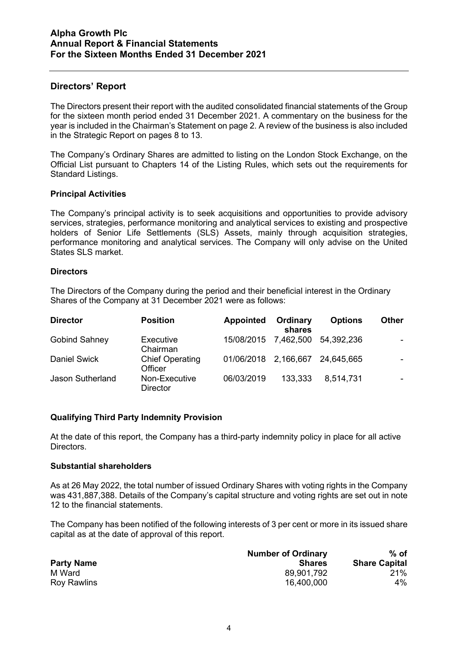## **Directors' Report**

The Directors present their report with the audited consolidated financial statements of the Group for the sixteen month period ended 31 December 2021. A commentary on the business for the year is included in the Chairman's Statement on page 2. A review of the business is also included in the Strategic Report on pages 8 to 13.

The Company's Ordinary Shares are admitted to listing on the London Stock Exchange, on the Official List pursuant to Chapters 14 of the Listing Rules, which sets out the requirements for Standard Listings.

#### **Principal Activities**

The Company's principal activity is to seek acquisitions and opportunities to provide advisory services, strategies, performance monitoring and analytical services to existing and prospective holders of Senior Life Settlements (SLS) Assets, mainly through acquisition strategies, performance monitoring and analytical services. The Company will only advise on the United States SLS market.

#### **Directors**

The Directors of the Company during the period and their beneficial interest in the Ordinary Shares of the Company at 31 December 2021 were as follows:

| <b>Director</b>         | <b>Position</b>                   | <b>Appointed</b>     | Ordinary<br>shares | <b>Options</b> | <b>Other</b> |
|-------------------------|-----------------------------------|----------------------|--------------------|----------------|--------------|
| <b>Gobind Sahney</b>    | Executive<br>Chairman             | 15/08/2015 7,462,500 |                    | 54.392.236     |              |
| <b>Daniel Swick</b>     | <b>Chief Operating</b><br>Officer | 01/06/2018 2,166,667 |                    | 24,645,665     |              |
| <b>Jason Sutherland</b> | Non-Executive<br><b>Director</b>  | 06/03/2019           | 133,333            | 8,514,731      |              |

## **Qualifying Third Party Indemnity Provision**

At the date of this report, the Company has a third-party indemnity policy in place for all active Directors.

#### **Substantial shareholders**

As at 26 May 2022, the total number of issued Ordinary Shares with voting rights in the Company was 431,887,388. Details of the Company's capital structure and voting rights are set out in note 12 to the financial statements.

The Company has been notified of the following interests of 3 per cent or more in its issued share capital as at the date of approval of this report.

|                    | <b>Number of Ordinary</b> | $%$ of               |
|--------------------|---------------------------|----------------------|
| <b>Party Name</b>  | <b>Shares</b>             | <b>Share Capital</b> |
| M Ward             | 89,901,792                | 21%                  |
| <b>Roy Rawlins</b> | 16,400,000                | 4%                   |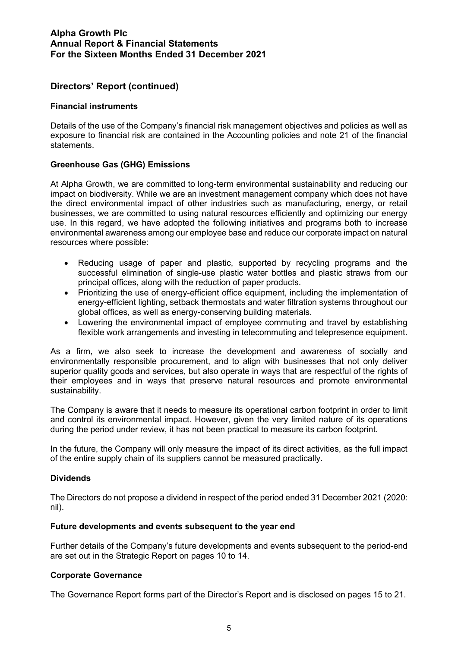## **Directors' Report (continued)**

#### **Financial instruments**

Details of the use of the Company's financial risk management objectives and policies as well as exposure to financial risk are contained in the Accounting policies and note 21 of the financial statements.

## **Greenhouse Gas (GHG) Emissions**

At Alpha Growth, we are committed to long-term environmental sustainability and reducing our impact on biodiversity. While we are an investment management company which does not have the direct environmental impact of other industries such as manufacturing, energy, or retail businesses, we are committed to using natural resources efficiently and optimizing our energy use. In this regard, we have adopted the following initiatives and programs both to increase environmental awareness among our employee base and reduce our corporate impact on natural resources where possible:

- Reducing usage of paper and plastic, supported by recycling programs and the successful elimination of single-use plastic water bottles and plastic straws from our principal offices, along with the reduction of paper products.
- Prioritizing the use of energy-efficient office equipment, including the implementation of energy-efficient lighting, setback thermostats and water filtration systems throughout our global offices, as well as energy-conserving building materials.
- Lowering the environmental impact of employee commuting and travel by establishing flexible work arrangements and investing in telecommuting and telepresence equipment.

As a firm, we also seek to increase the development and awareness of socially and environmentally responsible procurement, and to align with businesses that not only deliver superior quality goods and services, but also operate in ways that are respectful of the rights of their employees and in ways that preserve natural resources and promote environmental sustainability.

The Company is aware that it needs to measure its operational carbon footprint in order to limit and control its environmental impact. However, given the very limited nature of its operations during the period under review, it has not been practical to measure its carbon footprint.

In the future, the Company will only measure the impact of its direct activities, as the full impact of the entire supply chain of its suppliers cannot be measured practically.

#### **Dividends**

The Directors do not propose a dividend in respect of the period ended 31 December 2021 (2020: nil).

#### **Future developments and events subsequent to the year end**

Further details of the Company's future developments and events subsequent to the period-end are set out in the Strategic Report on pages 10 to 14.

#### **Corporate Governance**

The Governance Report forms part of the Director's Report and is disclosed on pages 15 to 21.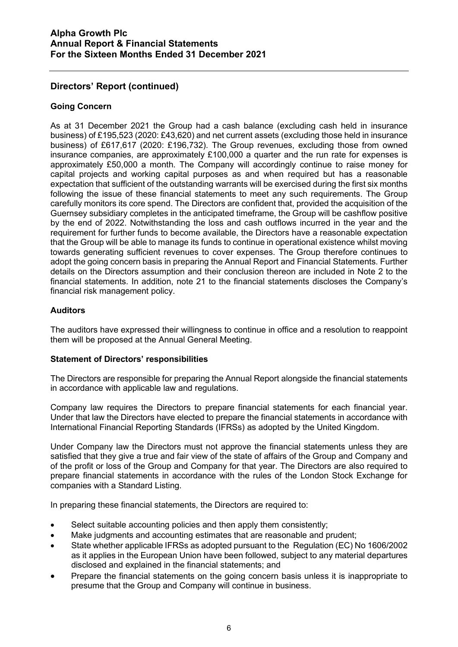## **Directors' Report (continued)**

## **Going Concern**

As at 31 December 2021 the Group had a cash balance (excluding cash held in insurance business) of £195,523 (2020: £43,620) and net current assets (excluding those held in insurance business) of £617,617 (2020: £196,732). The Group revenues, excluding those from owned insurance companies, are approximately £100,000 a quarter and the run rate for expenses is approximately £50,000 a month. The Company will accordingly continue to raise money for capital projects and working capital purposes as and when required but has a reasonable expectation that sufficient of the outstanding warrants will be exercised during the first six months following the issue of these financial statements to meet any such requirements. The Group carefully monitors its core spend. The Directors are confident that, provided the acquisition of the Guernsey subsidiary completes in the anticipated timeframe, the Group will be cashflow positive by the end of 2022. Notwithstanding the loss and cash outflows incurred in the year and the requirement for further funds to become available, the Directors have a reasonable expectation that the Group will be able to manage its funds to continue in operational existence whilst moving towards generating sufficient revenues to cover expenses. The Group therefore continues to adopt the going concern basis in preparing the Annual Report and Financial Statements. Further details on the Directors assumption and their conclusion thereon are included in Note 2 to the financial statements. In addition, note 21 to the financial statements discloses the Company's financial risk management policy.

## **Auditors**

The auditors have expressed their willingness to continue in office and a resolution to reappoint them will be proposed at the Annual General Meeting.

## **Statement of Directors' responsibilities**

The Directors are responsible for preparing the Annual Report alongside the financial statements in accordance with applicable law and regulations.

Company law requires the Directors to prepare financial statements for each financial year. Under that law the Directors have elected to prepare the financial statements in accordance with International Financial Reporting Standards (IFRSs) as adopted by the United Kingdom.

Under Company law the Directors must not approve the financial statements unless they are satisfied that they give a true and fair view of the state of affairs of the Group and Company and of the profit or loss of the Group and Company for that year. The Directors are also required to prepare financial statements in accordance with the rules of the London Stock Exchange for companies with a Standard Listing.

In preparing these financial statements, the Directors are required to:

- Select suitable accounting policies and then apply them consistently;
- Make judgments and accounting estimates that are reasonable and prudent;
- State whether applicable IFRSs as adopted pursuant to the Regulation (EC) No 1606/2002 as it applies in the European Union have been followed, subject to any material departures disclosed and explained in the financial statements; and
- Prepare the financial statements on the going concern basis unless it is inappropriate to presume that the Group and Company will continue in business.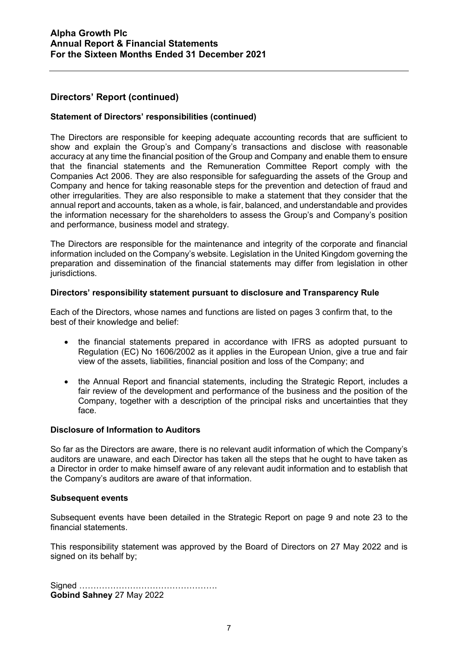## **Directors' Report (continued)**

## **Statement of Directors' responsibilities (continued)**

The Directors are responsible for keeping adequate accounting records that are sufficient to show and explain the Group's and Company's transactions and disclose with reasonable accuracy at any time the financial position of the Group and Company and enable them to ensure that the financial statements and the Remuneration Committee Report comply with the Companies Act 2006. They are also responsible for safeguarding the assets of the Group and Company and hence for taking reasonable steps for the prevention and detection of fraud and other irregularities. They are also responsible to make a statement that they consider that the annual report and accounts, taken as a whole, is fair, balanced, and understandable and provides the information necessary for the shareholders to assess the Group's and Company's position and performance, business model and strategy.

The Directors are responsible for the maintenance and integrity of the corporate and financial information included on the Company's website. Legislation in the United Kingdom governing the preparation and dissemination of the financial statements may differ from legislation in other jurisdictions.

#### **Directors' responsibility statement pursuant to disclosure and Transparency Rule**

Each of the Directors, whose names and functions are listed on pages 3 confirm that, to the best of their knowledge and belief:

- the financial statements prepared in accordance with IFRS as adopted pursuant to Regulation (EC) No 1606/2002 as it applies in the European Union, give a true and fair view of the assets, liabilities, financial position and loss of the Company; and
- the Annual Report and financial statements, including the Strategic Report, includes a fair review of the development and performance of the business and the position of the Company, together with a description of the principal risks and uncertainties that they face.

#### **Disclosure of Information to Auditors**

So far as the Directors are aware, there is no relevant audit information of which the Company's auditors are unaware, and each Director has taken all the steps that he ought to have taken as a Director in order to make himself aware of any relevant audit information and to establish that the Company's auditors are aware of that information.

#### **Subsequent events**

Subsequent events have been detailed in the Strategic Report on page 9 and note 23 to the financial statements.

This responsibility statement was approved by the Board of Directors on 27 May 2022 and is signed on its behalf by;

Signed …………………………………………. **Gobind Sahney** 27 May 2022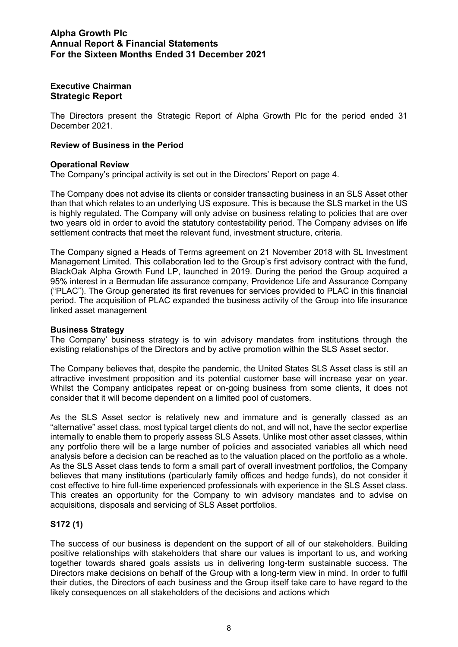#### **Executive Chairman Strategic Report**

The Directors present the Strategic Report of Alpha Growth Plc for the period ended 31 December 2021.

## **Review of Business in the Period**

## **Operational Review**

The Company's principal activity is set out in the Directors' Report on page 4.

The Company does not advise its clients or consider transacting business in an SLS Asset other than that which relates to an underlying US exposure. This is because the SLS market in the US is highly regulated. The Company will only advise on business relating to policies that are over two years old in order to avoid the statutory contestability period. The Company advises on life settlement contracts that meet the relevant fund, investment structure, criteria.

The Company signed a Heads of Terms agreement on 21 November 2018 with SL Investment Management Limited. This collaboration led to the Group's first advisory contract with the fund, BlackOak Alpha Growth Fund LP, launched in 2019. During the period the Group acquired a 95% interest in a Bermudan life assurance company, Providence Life and Assurance Company ("PLAC"). The Group generated its first revenues for services provided to PLAC in this financial period. The acquisition of PLAC expanded the business activity of the Group into life insurance linked asset management

## **Business Strategy**

The Company' business strategy is to win advisory mandates from institutions through the existing relationships of the Directors and by active promotion within the SLS Asset sector.

The Company believes that, despite the pandemic, the United States SLS Asset class is still an attractive investment proposition and its potential customer base will increase year on year. Whilst the Company anticipates repeat or on-going business from some clients, it does not consider that it will become dependent on a limited pool of customers.

As the SLS Asset sector is relatively new and immature and is generally classed as an "alternative" asset class, most typical target clients do not, and will not, have the sector expertise internally to enable them to properly assess SLS Assets. Unlike most other asset classes, within any portfolio there will be a large number of policies and associated variables all which need analysis before a decision can be reached as to the valuation placed on the portfolio as a whole. As the SLS Asset class tends to form a small part of overall investment portfolios, the Company believes that many institutions (particularly family offices and hedge funds), do not consider it cost effective to hire full-time experienced professionals with experience in the SLS Asset class. This creates an opportunity for the Company to win advisory mandates and to advise on acquisitions, disposals and servicing of SLS Asset portfolios.

## **S172 (1)**

The success of our business is dependent on the support of all of our stakeholders. Building positive relationships with stakeholders that share our values is important to us, and working together towards shared goals assists us in delivering long-term sustainable success. The Directors make decisions on behalf of the Group with a long-term view in mind. In order to fulfil their duties, the Directors of each business and the Group itself take care to have regard to the likely consequences on all stakeholders of the decisions and actions which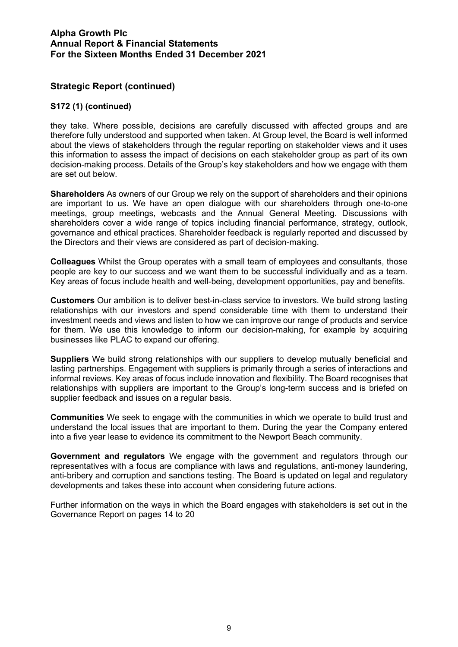## **S172 (1) (continued)**

they take. Where possible, decisions are carefully discussed with affected groups and are therefore fully understood and supported when taken. At Group level, the Board is well informed about the views of stakeholders through the regular reporting on stakeholder views and it uses this information to assess the impact of decisions on each stakeholder group as part of its own decision-making process. Details of the Group's key stakeholders and how we engage with them are set out below.

**Shareholders** As owners of our Group we rely on the support of shareholders and their opinions are important to us. We have an open dialogue with our shareholders through one-to-one meetings, group meetings, webcasts and the Annual General Meeting. Discussions with shareholders cover a wide range of topics including financial performance, strategy, outlook, governance and ethical practices. Shareholder feedback is regularly reported and discussed by the Directors and their views are considered as part of decision-making.

**Colleagues** Whilst the Group operates with a small team of employees and consultants, those people are key to our success and we want them to be successful individually and as a team. Key areas of focus include health and well-being, development opportunities, pay and benefits.

**Customers** Our ambition is to deliver best-in-class service to investors. We build strong lasting relationships with our investors and spend considerable time with them to understand their investment needs and views and listen to how we can improve our range of products and service for them. We use this knowledge to inform our decision-making, for example by acquiring businesses like PLAC to expand our offering.

**Suppliers** We build strong relationships with our suppliers to develop mutually beneficial and lasting partnerships. Engagement with suppliers is primarily through a series of interactions and informal reviews. Key areas of focus include innovation and flexibility. The Board recognises that relationships with suppliers are important to the Group's long-term success and is briefed on supplier feedback and issues on a regular basis.

**Communities** We seek to engage with the communities in which we operate to build trust and understand the local issues that are important to them. During the year the Company entered into a five year lease to evidence its commitment to the Newport Beach community.

**Government and regulators** We engage with the government and regulators through our representatives with a focus are compliance with laws and regulations, anti-money laundering, anti-bribery and corruption and sanctions testing. The Board is updated on legal and regulatory developments and takes these into account when considering future actions.

Further information on the ways in which the Board engages with stakeholders is set out in the Governance Report on pages 14 to 20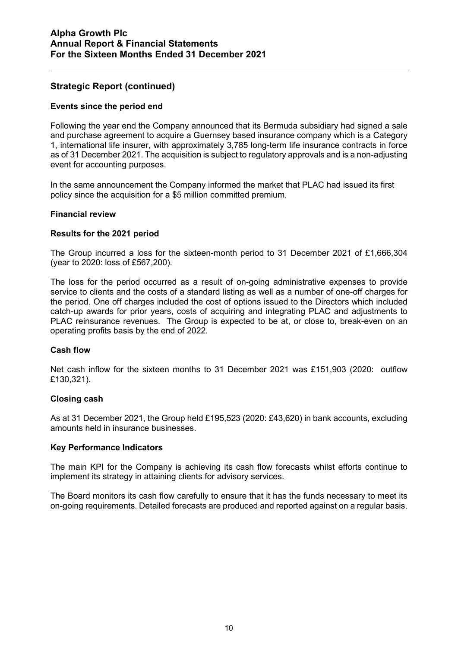## **Events since the period end**

Following the year end the Company announced that its Bermuda subsidiary had signed a sale and purchase agreement to acquire a Guernsey based insurance company which is a Category 1, international life insurer, with approximately 3,785 long-term life insurance contracts in force as of 31 December 2021. The acquisition is subject to regulatory approvals and is a non-adjusting event for accounting purposes.

In the same announcement the Company informed the market that PLAC had issued its first policy since the acquisition for a \$5 million committed premium.

#### **Financial review**

#### **Results for the 2021 period**

The Group incurred a loss for the sixteen-month period to 31 December 2021 of £1,666,304 (year to 2020: loss of £567,200).

The loss for the period occurred as a result of on-going administrative expenses to provide service to clients and the costs of a standard listing as well as a number of one-off charges for the period. One off charges included the cost of options issued to the Directors which included catch-up awards for prior years, costs of acquiring and integrating PLAC and adjustments to PLAC reinsurance revenues. The Group is expected to be at, or close to, break-even on an operating profits basis by the end of 2022.

## **Cash flow**

Net cash inflow for the sixteen months to 31 December 2021 was £151,903 (2020: outflow £130,321).

## **Closing cash**

As at 31 December 2021, the Group held £195,523 (2020: £43,620) in bank accounts, excluding amounts held in insurance businesses.

#### **Key Performance Indicators**

The main KPI for the Company is achieving its cash flow forecasts whilst efforts continue to implement its strategy in attaining clients for advisory services.

The Board monitors its cash flow carefully to ensure that it has the funds necessary to meet its on-going requirements. Detailed forecasts are produced and reported against on a regular basis.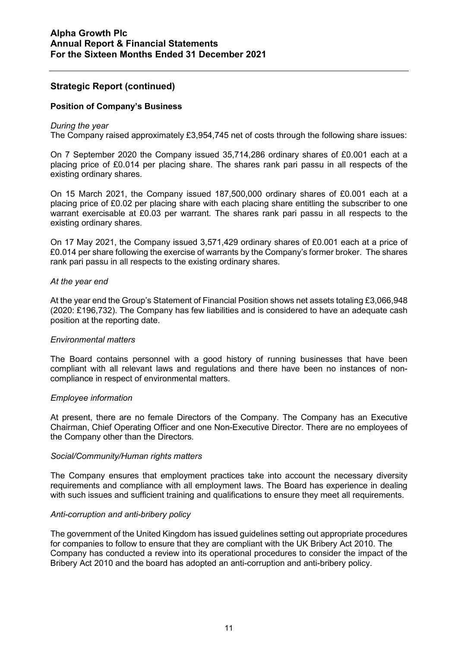#### **Position of Company's Business**

#### *During the year*

The Company raised approximately £3,954,745 net of costs through the following share issues:

On 7 September 2020 the Company issued 35,714,286 ordinary shares of £0.001 each at a placing price of £0.014 per placing share. The shares rank pari passu in all respects of the existing ordinary shares.

On 15 March 2021, the Company issued 187,500,000 ordinary shares of £0.001 each at a placing price of £0.02 per placing share with each placing share entitling the subscriber to one warrant exercisable at £0.03 per warrant. The shares rank pari passu in all respects to the existing ordinary shares.

On 17 May 2021, the Company issued 3,571,429 ordinary shares of £0.001 each at a price of £0.014 per share following the exercise of warrants by the Company's former broker. The shares rank pari passu in all respects to the existing ordinary shares.

#### *At the year end*

At the year end the Group's Statement of Financial Position shows net assets totaling £3,066,948 (2020: £196,732). The Company has few liabilities and is considered to have an adequate cash position at the reporting date.

#### *Environmental matters*

The Board contains personnel with a good history of running businesses that have been compliant with all relevant laws and regulations and there have been no instances of noncompliance in respect of environmental matters.

#### *Employee information*

At present, there are no female Directors of the Company. The Company has an Executive Chairman, Chief Operating Officer and one Non-Executive Director. There are no employees of the Company other than the Directors.

#### *Social/Community/Human rights matters*

The Company ensures that employment practices take into account the necessary diversity requirements and compliance with all employment laws. The Board has experience in dealing with such issues and sufficient training and qualifications to ensure they meet all requirements.

#### *Anti-corruption and anti-bribery policy*

The government of the United Kingdom has issued guidelines setting out appropriate procedures for companies to follow to ensure that they are compliant with the UK Bribery Act 2010. The Company has conducted a review into its operational procedures to consider the impact of the Bribery Act 2010 and the board has adopted an anti-corruption and anti-bribery policy.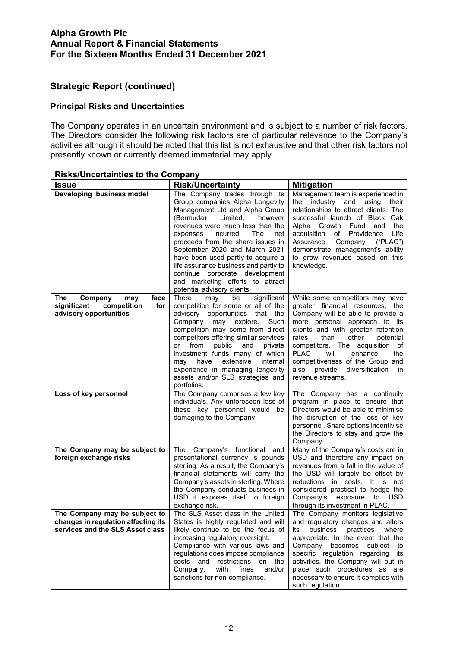## **Principal Risks and Uncertainties**

The Company operates in an uncertain environment and is subject to a number of risk factors. The Directors consider the following risk factors are of particular relevance to the Company's activities although it should be noted that this list is not exhaustive and that other risk factors not presently known or currently deemed immaterial may apply.

| <b>Risks/Uncertainties to the Company</b>                                                                |                                                                                                                                                                                                                                                                                                                                                                                                                                                                              |                                                                                                                                                                                                                                                                                                                                                                                                         |  |  |
|----------------------------------------------------------------------------------------------------------|------------------------------------------------------------------------------------------------------------------------------------------------------------------------------------------------------------------------------------------------------------------------------------------------------------------------------------------------------------------------------------------------------------------------------------------------------------------------------|---------------------------------------------------------------------------------------------------------------------------------------------------------------------------------------------------------------------------------------------------------------------------------------------------------------------------------------------------------------------------------------------------------|--|--|
| <b>Issue</b>                                                                                             | <b>Risk/Uncertainty</b>                                                                                                                                                                                                                                                                                                                                                                                                                                                      | <b>Mitigation</b>                                                                                                                                                                                                                                                                                                                                                                                       |  |  |
| Developing business model                                                                                | The Company trades through its<br>Group companies Alpha Longevity<br>Management Ltd and Alpha Group<br>(Bermuda)<br>Limited,<br>however<br>revenues were much less than the<br>The<br>expenses<br>incurred.<br>net<br>proceeds from the share issues in<br>September 2020 and March 2021<br>have been used partly to acquire a<br>life assurance business and partly to<br>continue corporate development<br>and marketing efforts to attract<br>potential advisory clients. | Management team is experienced in<br>the industry and using their<br>relationships to attract clients. The<br>successful launch of Black Oak<br>Alpha Growth Fund<br>the<br>and<br>of Providence<br>Life<br>acquisition<br>Assurance<br>("PLAC")<br>Company<br>demonstrate management's ability<br>to grow revenues based on this<br>knowledge.                                                         |  |  |
| face<br>The<br>Company<br>may<br>significant<br>competition<br>for<br>advisory opportunities             | significant<br>There<br>may<br>be<br>competition for some or all of the<br>advisory opportunities that the<br>Such<br>Company<br>may explore.<br>competition may come from direct<br>competitors offering similar services<br>from<br>public<br>and<br>private<br>or<br>investment funds many of which<br>extensive<br>internal<br>have<br>may<br>experience in managing longevity<br>assets and/or SLS strategies and<br>portfolios.                                        | While some competitors may have<br>greater financial resources, the<br>Company will be able to provide a<br>more personal approach to its<br>clients and with greater retention<br>other<br>rates<br>than<br>potential<br>competitors. The acquisition of<br><b>PLAC</b><br>will<br>enhance<br>the<br>competitiveness of the Group and<br>also<br>provide<br>diversification<br>in.<br>revenue streams. |  |  |
| Loss of key personnel                                                                                    | The Company comprises a few key<br>individuals. Any unforeseen loss of<br>these key personnel would be<br>damaging to the Company.                                                                                                                                                                                                                                                                                                                                           | The Company has a continuity<br>program in place to ensure that<br>Directors would be able to minimise<br>the disruption of the loss of key<br>personnel. Share options incentivise<br>the Directors to stay and grow the<br>Company.                                                                                                                                                                   |  |  |
| The Company may be subject to<br>foreign exchange risks                                                  | The Company's functional and<br>presentational currency is pounds<br>sterling. As a result, the Company's<br>financial statements will carry the<br>Company's assets in sterling. Where<br>the Company conducts business in<br>USD it exposes itself to foreign<br>exchange risk.                                                                                                                                                                                            | Many of the Company's costs are in<br>USD and therefore any impact on<br>revenues from a fall in the value of<br>the USD will largely be offset by<br>reductions in costs. It is not<br>considered practical to hedge the<br>Company's<br>exposure to USD<br>through its investment in PLAC.                                                                                                            |  |  |
| The Company may be subject to<br>changes in regulation affecting its<br>services and the SLS Asset class | The SLS Asset class in the United<br>States is highly regulated and will<br>likely continue to be the focus of<br>increasing regulatory oversight.<br>Compliance with various laws and<br>regulations does impose compliance<br>costs and restrictions on the<br>Company,<br>with<br>fines<br>and/or<br>sanctions for non-compliance.                                                                                                                                        | The Company monitors legislative<br>and regulatory changes and alters<br>business practices<br>its<br>where<br>appropriate. In the event that the<br>Company becomes subject to<br>specific regulation regarding its<br>activities, the Company will put in<br>place such procedures as are<br>necessary to ensure it complies with<br>such regulation.                                                 |  |  |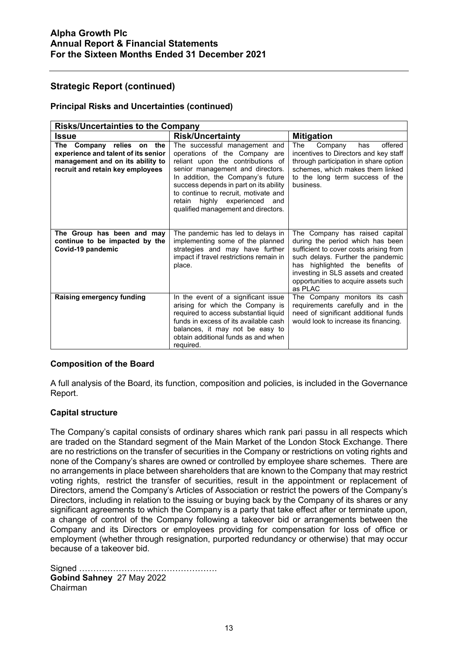#### **Principal Risks and Uncertainties (continued)**

| <b>Risks/Uncertainties to the Company</b>                                                                                                      |                                                                                                                                                                                                                                                                                                                                              |                                                                                                                                                                                                                                                                                |
|------------------------------------------------------------------------------------------------------------------------------------------------|----------------------------------------------------------------------------------------------------------------------------------------------------------------------------------------------------------------------------------------------------------------------------------------------------------------------------------------------|--------------------------------------------------------------------------------------------------------------------------------------------------------------------------------------------------------------------------------------------------------------------------------|
| Issue                                                                                                                                          | <b>Risk/Uncertainty</b>                                                                                                                                                                                                                                                                                                                      | <b>Mitigation</b>                                                                                                                                                                                                                                                              |
| Company relies on<br>The<br>the<br>experience and talent of its senior<br>management and on its ability to<br>recruit and retain key employees | The successful management and<br>operations of the Company are<br>reliant upon the contributions of<br>senior management and directors.<br>In addition, the Company's future<br>success depends in part on its ability<br>to continue to recruit, motivate and<br>highly experienced<br>retain<br>and<br>qualified management and directors. | offered<br>Company<br>The<br>has<br>incentives to Directors and key staff<br>through participation in share option<br>schemes, which makes them linked<br>to the long term success of the<br>business.                                                                         |
| The Group has been and may<br>continue to be impacted by the<br>Covid-19 pandemic                                                              | The pandemic has led to delays in<br>implementing some of the planned<br>strategies and may have further<br>impact if travel restrictions remain in<br>place.                                                                                                                                                                                | The Company has raised capital<br>during the period which has been<br>sufficient to cover costs arising from<br>such delays. Further the pandemic<br>has highlighted the benefits of<br>investing in SLS assets and created<br>opportunities to acquire assets such<br>as PLAC |
| <b>Raising emergency funding</b>                                                                                                               | In the event of a significant issue<br>arising for which the Company is<br>required to access substantial liquid<br>funds in excess of its available cash<br>balances, it may not be easy to<br>obtain additional funds as and when<br>required.                                                                                             | The Company monitors its cash<br>requirements carefully and in the<br>need of significant additional funds<br>would look to increase its financing.                                                                                                                            |

#### **Composition of the Board**

A full analysis of the Board, its function, composition and policies, is included in the Governance Report.

#### **Capital structure**

The Company's capital consists of ordinary shares which rank pari passu in all respects which are traded on the Standard segment of the Main Market of the London Stock Exchange. There are no restrictions on the transfer of securities in the Company or restrictions on voting rights and none of the Company's shares are owned or controlled by employee share schemes. There are no arrangements in place between shareholders that are known to the Company that may restrict voting rights, restrict the transfer of securities, result in the appointment or replacement of Directors, amend the Company's Articles of Association or restrict the powers of the Company's Directors, including in relation to the issuing or buying back by the Company of its shares or any significant agreements to which the Company is a party that take effect after or terminate upon, a change of control of the Company following a takeover bid or arrangements between the Company and its Directors or employees providing for compensation for loss of office or employment (whether through resignation, purported redundancy or otherwise) that may occur because of a takeover bid.

Signed …………………………………………. **Gobind Sahney** 27 May 2022 Chairman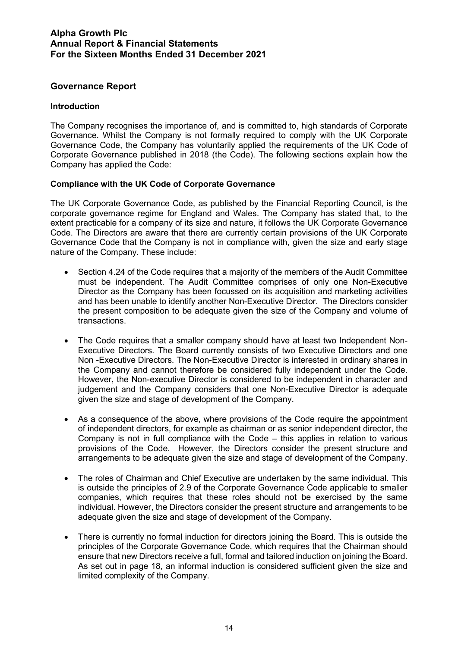## **Governance Report**

#### **Introduction**

The Company recognises the importance of, and is committed to, high standards of Corporate Governance. Whilst the Company is not formally required to comply with the UK Corporate Governance Code, the Company has voluntarily applied the requirements of the UK Code of Corporate Governance published in 2018 (the Code). The following sections explain how the Company has applied the Code:

#### **Compliance with the UK Code of Corporate Governance**

The UK Corporate Governance Code, as published by the Financial Reporting Council, is the corporate governance regime for England and Wales. The Company has stated that, to the extent practicable for a company of its size and nature, it follows the UK Corporate Governance Code. The Directors are aware that there are currently certain provisions of the UK Corporate Governance Code that the Company is not in compliance with, given the size and early stage nature of the Company. These include:

- Section 4.24 of the Code requires that a majority of the members of the Audit Committee must be independent. The Audit Committee comprises of only one Non-Executive Director as the Company has been focussed on its acquisition and marketing activities and has been unable to identify another Non-Executive Director. The Directors consider the present composition to be adequate given the size of the Company and volume of transactions.
- The Code requires that a smaller company should have at least two Independent Non-Executive Directors. The Board currently consists of two Executive Directors and one Non -Executive Directors. The Non-Executive Director is interested in ordinary shares in the Company and cannot therefore be considered fully independent under the Code. However, the Non-executive Director is considered to be independent in character and judgement and the Company considers that one Non-Executive Director is adequate given the size and stage of development of the Company.
- As a consequence of the above, where provisions of the Code require the appointment of independent directors, for example as chairman or as senior independent director, the Company is not in full compliance with the Code – this applies in relation to various provisions of the Code. However, the Directors consider the present structure and arrangements to be adequate given the size and stage of development of the Company.
- The roles of Chairman and Chief Executive are undertaken by the same individual. This is outside the principles of 2.9 of the Corporate Governance Code applicable to smaller companies, which requires that these roles should not be exercised by the same individual. However, the Directors consider the present structure and arrangements to be adequate given the size and stage of development of the Company.
- There is currently no formal induction for directors joining the Board. This is outside the principles of the Corporate Governance Code, which requires that the Chairman should ensure that new Directors receive a full, formal and tailored induction on joining the Board. As set out in page 18, an informal induction is considered sufficient given the size and limited complexity of the Company.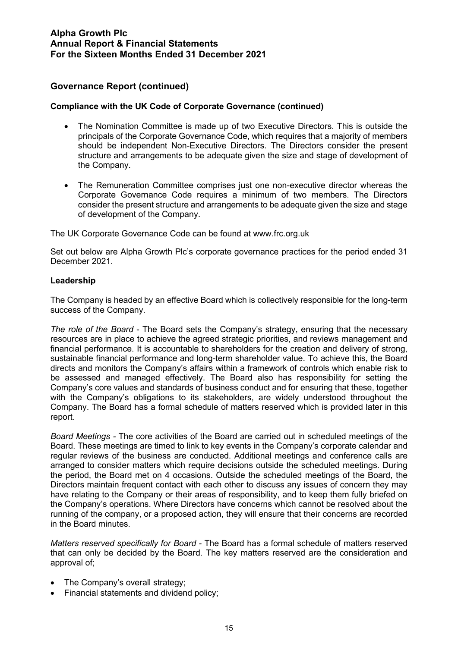## **Compliance with the UK Code of Corporate Governance (continued)**

- The Nomination Committee is made up of two Executive Directors. This is outside the principals of the Corporate Governance Code, which requires that a majority of members should be independent Non-Executive Directors. The Directors consider the present structure and arrangements to be adequate given the size and stage of development of the Company.
- The Remuneration Committee comprises just one non-executive director whereas the Corporate Governance Code requires a minimum of two members. The Directors consider the present structure and arrangements to be adequate given the size and stage of development of the Company.

The UK Corporate Governance Code can be found at www.frc.org.uk

Set out below are Alpha Growth Plc's corporate governance practices for the period ended 31 December 2021.

#### **Leadership**

The Company is headed by an effective Board which is collectively responsible for the long-term success of the Company.

*The role of the Board* - The Board sets the Company's strategy, ensuring that the necessary resources are in place to achieve the agreed strategic priorities, and reviews management and financial performance. It is accountable to shareholders for the creation and delivery of strong, sustainable financial performance and long-term shareholder value. To achieve this, the Board directs and monitors the Company's affairs within a framework of controls which enable risk to be assessed and managed effectively. The Board also has responsibility for setting the Company's core values and standards of business conduct and for ensuring that these, together with the Company's obligations to its stakeholders, are widely understood throughout the Company. The Board has a formal schedule of matters reserved which is provided later in this report.

*Board Meetings -* The core activities of the Board are carried out in scheduled meetings of the Board. These meetings are timed to link to key events in the Company's corporate calendar and regular reviews of the business are conducted. Additional meetings and conference calls are arranged to consider matters which require decisions outside the scheduled meetings. During the period, the Board met on 4 occasions. Outside the scheduled meetings of the Board, the Directors maintain frequent contact with each other to discuss any issues of concern they may have relating to the Company or their areas of responsibility, and to keep them fully briefed on the Company's operations. Where Directors have concerns which cannot be resolved about the running of the company, or a proposed action, they will ensure that their concerns are recorded in the Board minutes.

*Matters reserved specifically for Board -* The Board has a formal schedule of matters reserved that can only be decided by the Board. The key matters reserved are the consideration and approval of;

- The Company's overall strategy;
- Financial statements and dividend policy;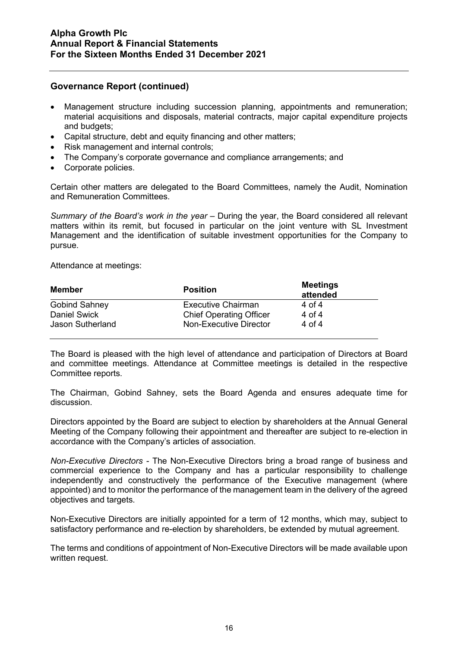- Management structure including succession planning, appointments and remuneration; material acquisitions and disposals, material contracts, major capital expenditure projects and budgets;
- Capital structure, debt and equity financing and other matters;
- Risk management and internal controls;
- The Company's corporate governance and compliance arrangements; and
- Corporate policies.

Certain other matters are delegated to the Board Committees, namely the Audit, Nomination and Remuneration Committees.

*Summary of the Board's work in the year* – During the year, the Board considered all relevant matters within its remit, but focused in particular on the joint venture with SL Investment Management and the identification of suitable investment opportunities for the Company to pursue.

Attendance at meetings:

| Member               | <b>Position</b>                | <b>Meetings</b><br>attended |
|----------------------|--------------------------------|-----------------------------|
| <b>Gobind Sahney</b> | <b>Executive Chairman</b>      | 4 of 4                      |
| <b>Daniel Swick</b>  | <b>Chief Operating Officer</b> | 4 of 4                      |
| Jason Sutherland     | Non-Executive Director         | 4 of 4                      |

The Board is pleased with the high level of attendance and participation of Directors at Board and committee meetings. Attendance at Committee meetings is detailed in the respective Committee reports.

The Chairman, Gobind Sahney, sets the Board Agenda and ensures adequate time for discussion.

Directors appointed by the Board are subject to election by shareholders at the Annual General Meeting of the Company following their appointment and thereafter are subject to re-election in accordance with the Company's articles of association.

*Non-Executive Directors -* The Non-Executive Directors bring a broad range of business and commercial experience to the Company and has a particular responsibility to challenge independently and constructively the performance of the Executive management (where appointed) and to monitor the performance of the management team in the delivery of the agreed objectives and targets.

Non-Executive Directors are initially appointed for a term of 12 months, which may, subject to satisfactory performance and re-election by shareholders, be extended by mutual agreement.

The terms and conditions of appointment of Non-Executive Directors will be made available upon written request.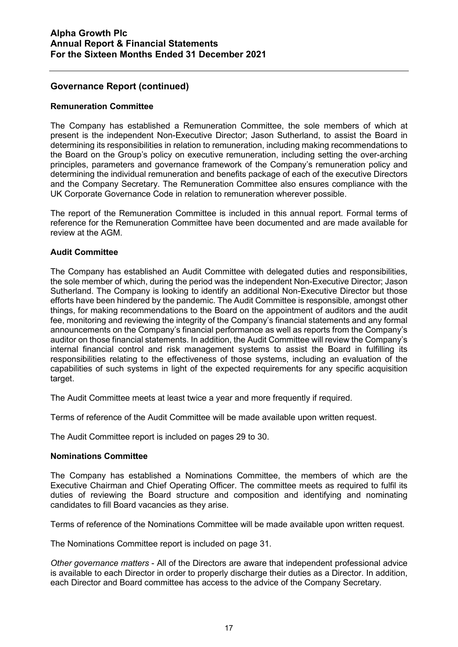#### **Remuneration Committee**

The Company has established a Remuneration Committee, the sole members of which at present is the independent Non-Executive Director; Jason Sutherland, to assist the Board in determining its responsibilities in relation to remuneration, including making recommendations to the Board on the Group's policy on executive remuneration, including setting the over-arching principles, parameters and governance framework of the Company's remuneration policy and determining the individual remuneration and benefits package of each of the executive Directors and the Company Secretary. The Remuneration Committee also ensures compliance with the UK Corporate Governance Code in relation to remuneration wherever possible.

The report of the Remuneration Committee is included in this annual report. Formal terms of reference for the Remuneration Committee have been documented and are made available for review at the AGM.

#### **Audit Committee**

The Company has established an Audit Committee with delegated duties and responsibilities, the sole member of which, during the period was the independent Non-Executive Director; Jason Sutherland. The Company is looking to identify an additional Non-Executive Director but those efforts have been hindered by the pandemic. The Audit Committee is responsible, amongst other things, for making recommendations to the Board on the appointment of auditors and the audit fee, monitoring and reviewing the integrity of the Company's financial statements and any formal announcements on the Company's financial performance as well as reports from the Company's auditor on those financial statements. In addition, the Audit Committee will review the Company's internal financial control and risk management systems to assist the Board in fulfilling its responsibilities relating to the effectiveness of those systems, including an evaluation of the capabilities of such systems in light of the expected requirements for any specific acquisition target.

The Audit Committee meets at least twice a year and more frequently if required.

Terms of reference of the Audit Committee will be made available upon written request.

The Audit Committee report is included on pages 29 to 30.

#### **Nominations Committee**

The Company has established a Nominations Committee, the members of which are the Executive Chairman and Chief Operating Officer. The committee meets as required to fulfil its duties of reviewing the Board structure and composition and identifying and nominating candidates to fill Board vacancies as they arise.

Terms of reference of the Nominations Committee will be made available upon written request.

The Nominations Committee report is included on page 31.

*Other governance matters* - All of the Directors are aware that independent professional advice is available to each Director in order to properly discharge their duties as a Director. In addition, each Director and Board committee has access to the advice of the Company Secretary.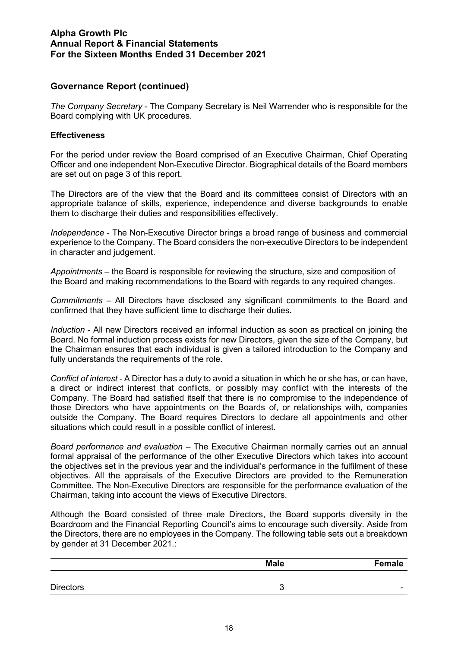*The Company Secretary* - The Company Secretary is Neil Warrender who is responsible for the Board complying with UK procedures.

#### **Effectiveness**

For the period under review the Board comprised of an Executive Chairman, Chief Operating Officer and one independent Non-Executive Director. Biographical details of the Board members are set out on page 3 of this report.

The Directors are of the view that the Board and its committees consist of Directors with an appropriate balance of skills, experience, independence and diverse backgrounds to enable them to discharge their duties and responsibilities effectively.

*Independence* - The Non-Executive Director brings a broad range of business and commercial experience to the Company. The Board considers the non-executive Directors to be independent in character and judgement.

*Appointments* – the Board is responsible for reviewing the structure, size and composition of the Board and making recommendations to the Board with regards to any required changes.

*Commitments* – All Directors have disclosed any significant commitments to the Board and confirmed that they have sufficient time to discharge their duties.

*Induction* - All new Directors received an informal induction as soon as practical on joining the Board. No formal induction process exists for new Directors, given the size of the Company, but the Chairman ensures that each individual is given a tailored introduction to the Company and fully understands the requirements of the role.

*Conflict of interest -* A Director has a duty to avoid a situation in which he or she has, or can have, a direct or indirect interest that conflicts, or possibly may conflict with the interests of the Company. The Board had satisfied itself that there is no compromise to the independence of those Directors who have appointments on the Boards of, or relationships with, companies outside the Company. The Board requires Directors to declare all appointments and other situations which could result in a possible conflict of interest.

*Board performance and evaluation* – The Executive Chairman normally carries out an annual formal appraisal of the performance of the other Executive Directors which takes into account the objectives set in the previous year and the individual's performance in the fulfilment of these objectives. All the appraisals of the Executive Directors are provided to the Remuneration Committee. The Non-Executive Directors are responsible for the performance evaluation of the Chairman, taking into account the views of Executive Directors.

Although the Board consisted of three male Directors, the Board supports diversity in the Boardroom and the Financial Reporting Council's aims to encourage such diversity. Aside from the Directors, there are no employees in the Company. The following table sets out a breakdown by gender at 31 December 2021.:

|                  | <b>Male</b> | <b>Female</b>            |
|------------------|-------------|--------------------------|
|                  |             |                          |
| <b>Directors</b> | ັ           | $\overline{\phantom{a}}$ |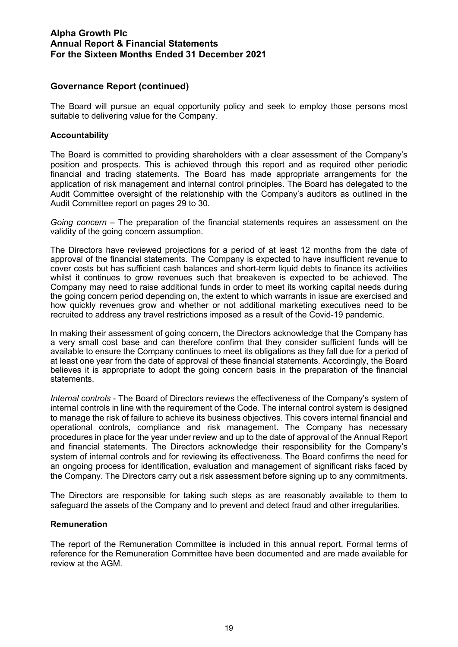The Board will pursue an equal opportunity policy and seek to employ those persons most suitable to delivering value for the Company.

#### **Accountability**

The Board is committed to providing shareholders with a clear assessment of the Company's position and prospects. This is achieved through this report and as required other periodic financial and trading statements. The Board has made appropriate arrangements for the application of risk management and internal control principles. The Board has delegated to the Audit Committee oversight of the relationship with the Company's auditors as outlined in the Audit Committee report on pages 29 to 30.

*Going concern* – The preparation of the financial statements requires an assessment on the validity of the going concern assumption.

The Directors have reviewed projections for a period of at least 12 months from the date of approval of the financial statements. The Company is expected to have insufficient revenue to cover costs but has sufficient cash balances and short-term liquid debts to finance its activities whilst it continues to grow revenues such that breakeven is expected to be achieved. The Company may need to raise additional funds in order to meet its working capital needs during the going concern period depending on, the extent to which warrants in issue are exercised and how quickly revenues grow and whether or not additional marketing executives need to be recruited to address any travel restrictions imposed as a result of the Covid-19 pandemic.

In making their assessment of going concern, the Directors acknowledge that the Company has a very small cost base and can therefore confirm that they consider sufficient funds will be available to ensure the Company continues to meet its obligations as they fall due for a period of at least one year from the date of approval of these financial statements. Accordingly, the Board believes it is appropriate to adopt the going concern basis in the preparation of the financial statements.

*Internal controls* - The Board of Directors reviews the effectiveness of the Company's system of internal controls in line with the requirement of the Code. The internal control system is designed to manage the risk of failure to achieve its business objectives. This covers internal financial and operational controls, compliance and risk management. The Company has necessary procedures in place for the year under review and up to the date of approval of the Annual Report and financial statements. The Directors acknowledge their responsibility for the Company's system of internal controls and for reviewing its effectiveness. The Board confirms the need for an ongoing process for identification, evaluation and management of significant risks faced by the Company. The Directors carry out a risk assessment before signing up to any commitments.

The Directors are responsible for taking such steps as are reasonably available to them to safeguard the assets of the Company and to prevent and detect fraud and other irregularities.

#### **Remuneration**

The report of the Remuneration Committee is included in this annual report. Formal terms of reference for the Remuneration Committee have been documented and are made available for review at the AGM.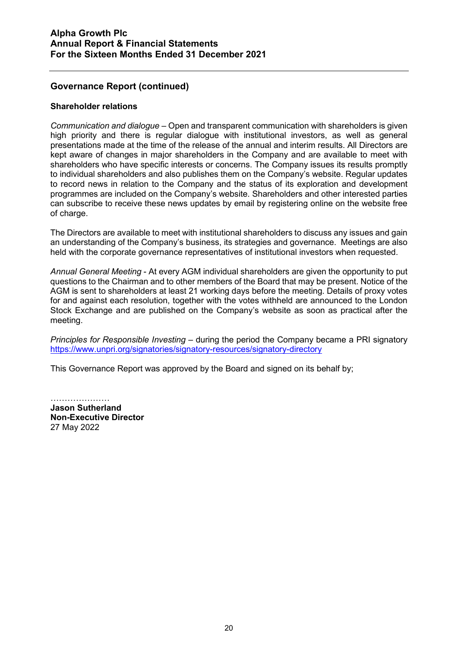#### **Shareholder relations**

*Communication and dialogue* – Open and transparent communication with shareholders is given high priority and there is regular dialogue with institutional investors, as well as general presentations made at the time of the release of the annual and interim results. All Directors are kept aware of changes in major shareholders in the Company and are available to meet with shareholders who have specific interests or concerns. The Company issues its results promptly to individual shareholders and also publishes them on the Company's website. Regular updates to record news in relation to the Company and the status of its exploration and development programmes are included on the Company's website. Shareholders and other interested parties can subscribe to receive these news updates by email by registering online on the website free of charge.

The Directors are available to meet with institutional shareholders to discuss any issues and gain an understanding of the Company's business, its strategies and governance. Meetings are also held with the corporate governance representatives of institutional investors when requested.

*Annual General Meeting* - At every AGM individual shareholders are given the opportunity to put questions to the Chairman and to other members of the Board that may be present. Notice of the AGM is sent to shareholders at least 21 working days before the meeting. Details of proxy votes for and against each resolution, together with the votes withheld are announced to the London Stock Exchange and are published on the Company's website as soon as practical after the meeting.

*Principles for Responsible Investing* – during the period the Company became a PRI signatory <https://www.unpri.org/signatories/signatory-resources/signatory-directory>

This Governance Report was approved by the Board and signed on its behalf by;

………………… **Jason Sutherland Non-Executive Director** 27 May 2022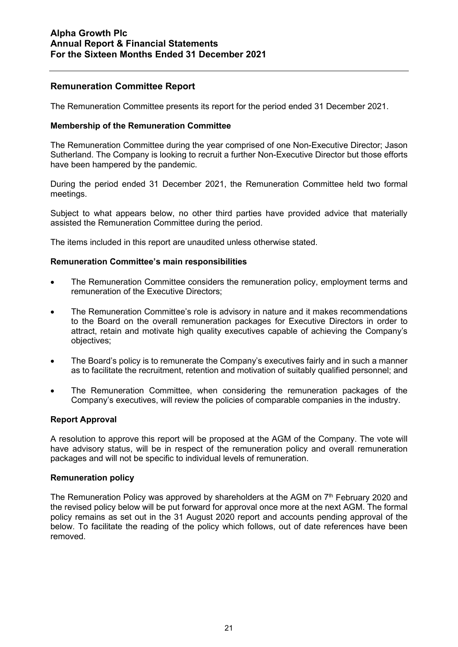## **Remuneration Committee Report**

The Remuneration Committee presents its report for the period ended 31 December 2021.

#### **Membership of the Remuneration Committee**

The Remuneration Committee during the year comprised of one Non-Executive Director; Jason Sutherland. The Company is looking to recruit a further Non-Executive Director but those efforts have been hampered by the pandemic.

During the period ended 31 December 2021, the Remuneration Committee held two formal meetings.

Subject to what appears below, no other third parties have provided advice that materially assisted the Remuneration Committee during the period.

The items included in this report are unaudited unless otherwise stated.

#### **Remuneration Committee's main responsibilities**

- The Remuneration Committee considers the remuneration policy, employment terms and remuneration of the Executive Directors;
- The Remuneration Committee's role is advisory in nature and it makes recommendations to the Board on the overall remuneration packages for Executive Directors in order to attract, retain and motivate high quality executives capable of achieving the Company's objectives;
- The Board's policy is to remunerate the Company's executives fairly and in such a manner as to facilitate the recruitment, retention and motivation of suitably qualified personnel; and
- The Remuneration Committee, when considering the remuneration packages of the Company's executives, will review the policies of comparable companies in the industry.

## **Report Approval**

A resolution to approve this report will be proposed at the AGM of the Company. The vote will have advisory status, will be in respect of the remuneration policy and overall remuneration packages and will not be specific to individual levels of remuneration.

#### **Remuneration policy**

The Remuneration Policy was approved by shareholders at the AGM on  $7<sup>th</sup>$  February 2020 and the revised policy below will be put forward for approval once more at the next AGM. The formal policy remains as set out in the 31 August 2020 report and accounts pending approval of the below. To facilitate the reading of the policy which follows, out of date references have been removed.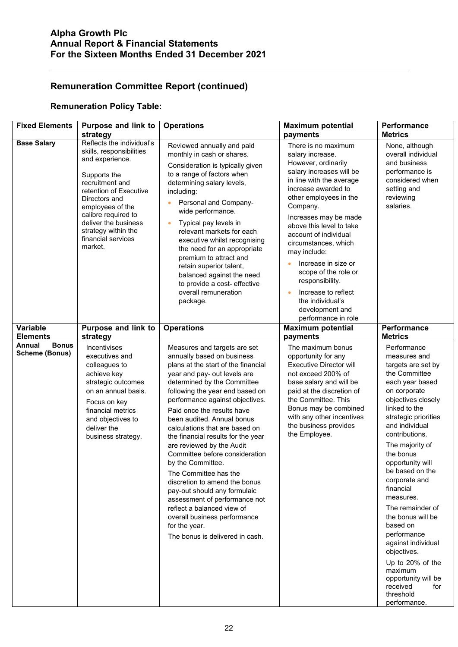## **Remuneration Policy Table:**

| <b>Fixed Elements</b>                           | <b>Purpose and link to</b><br>strategy                                                                                                                                                                                                                                            | <b>Operations</b>                                                                                                                                                                                                                                                                                                                                                                                                                                                                                                                                                                                                                                                                                           | <b>Maximum potential</b><br>payments                                                                                                                                                                                                                                                                                                                                                                                                                             | Performance<br><b>Metrics</b>                                                                                                                                                                                                                                                                                                                                                                                                                                                                                                             |
|-------------------------------------------------|-----------------------------------------------------------------------------------------------------------------------------------------------------------------------------------------------------------------------------------------------------------------------------------|-------------------------------------------------------------------------------------------------------------------------------------------------------------------------------------------------------------------------------------------------------------------------------------------------------------------------------------------------------------------------------------------------------------------------------------------------------------------------------------------------------------------------------------------------------------------------------------------------------------------------------------------------------------------------------------------------------------|------------------------------------------------------------------------------------------------------------------------------------------------------------------------------------------------------------------------------------------------------------------------------------------------------------------------------------------------------------------------------------------------------------------------------------------------------------------|-------------------------------------------------------------------------------------------------------------------------------------------------------------------------------------------------------------------------------------------------------------------------------------------------------------------------------------------------------------------------------------------------------------------------------------------------------------------------------------------------------------------------------------------|
| <b>Base Salary</b>                              | Reflects the individual's<br>skills, responsibilities<br>and experience.<br>Supports the<br>recruitment and<br>retention of Executive<br>Directors and<br>employees of the<br>calibre required to<br>deliver the business<br>strategy within the<br>financial services<br>market. | Reviewed annually and paid<br>monthly in cash or shares.<br>Consideration is typically given<br>to a range of factors when<br>determining salary levels,<br>including:<br>Personal and Company-<br>wide performance.<br>Typical pay levels in<br>relevant markets for each<br>executive whilst recognising<br>the need for an appropriate<br>premium to attract and<br>retain superior talent,<br>balanced against the need<br>to provide a cost- effective<br>overall remuneration<br>package.                                                                                                                                                                                                             | There is no maximum<br>salary increase.<br>However, ordinarily<br>salary increases will be<br>in line with the average<br>increase awarded to<br>other employees in the<br>Company.<br>Increases may be made<br>above this level to take<br>account of individual<br>circumstances, which<br>may include:<br>Increase in size or<br>scope of the role or<br>responsibility.<br>Increase to reflect<br>the individual's<br>development and<br>performance in role | None, although<br>overall individual<br>and business<br>performance is<br>considered when<br>setting and<br>reviewing<br>salaries.                                                                                                                                                                                                                                                                                                                                                                                                        |
| Variable<br><b>Elements</b>                     | Purpose and link to<br>strategy                                                                                                                                                                                                                                                   | <b>Operations</b>                                                                                                                                                                                                                                                                                                                                                                                                                                                                                                                                                                                                                                                                                           | <b>Maximum potential</b><br>payments                                                                                                                                                                                                                                                                                                                                                                                                                             | Performance<br><b>Metrics</b>                                                                                                                                                                                                                                                                                                                                                                                                                                                                                                             |
| Annual<br><b>Bonus</b><br><b>Scheme (Bonus)</b> | Incentivises<br>executives and<br>colleagues to<br>achieve key<br>strategic outcomes<br>on an annual basis.<br>Focus on key<br>financial metrics<br>and objectives to<br>deliver the<br>business strategy.                                                                        | Measures and targets are set<br>annually based on business<br>plans at the start of the financial<br>year and pay- out levels are<br>determined by the Committee<br>following the year end based on<br>performance against objectives.<br>Paid once the results have<br>been audited. Annual bonus<br>calculations that are based on<br>the financial results for the year<br>are reviewed by the Audit<br>Committee before consideration<br>by the Committee.<br>The Committee has the<br>discretion to amend the bonus<br>pay-out should any formulaic<br>assessment of performance not<br>reflect a balanced view of<br>overall business performance<br>for the year.<br>The bonus is delivered in cash. | The maximum bonus<br>opportunity for any<br><b>Executive Director will</b><br>not exceed 200% of<br>base salary and will be<br>paid at the discretion of<br>the Committee. This<br>Bonus may be combined<br>with any other incentives<br>the business provides<br>the Employee.                                                                                                                                                                                  | Performance<br>measures and<br>targets are set by<br>the Committee<br>each year based<br>on corporate<br>objectives closely<br>linked to the<br>strategic priorities<br>and individual<br>contributions.<br>The majority of<br>the bonus<br>opportunity will<br>be based on the<br>corporate and<br>financial<br>measures.<br>The remainder of<br>the bonus will be<br>based on<br>performance<br>against individual<br>objectives.<br>Up to 20% of the<br>maximum<br>opportunity will be<br>received<br>for<br>threshold<br>performance. |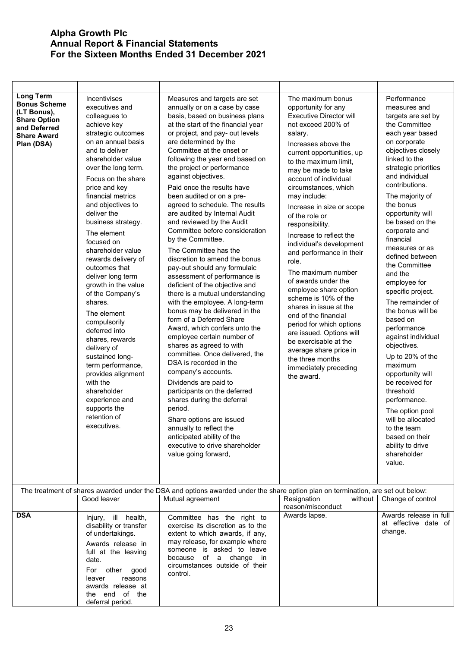| <b>Long Term</b><br><b>Bonus Scheme</b><br>(LT Bonus),<br><b>Share Option</b><br>and Deferred<br><b>Share Award</b><br>Plan (DSA) | Incentivises<br>executives and<br>colleagues to<br>achieve key<br>strategic outcomes<br>on an annual basis<br>and to deliver<br>shareholder value<br>over the long term.<br>Focus on the share<br>price and key<br>financial metrics<br>and objectives to<br>deliver the<br>business strategy.<br>The element<br>focused on<br>shareholder value<br>rewards delivery of<br>outcomes that<br>deliver long term<br>growth in the value<br>of the Company's<br>shares.<br>The element<br>compulsorily<br>deferred into<br>shares, rewards<br>delivery of<br>sustained long-<br>term performance,<br>provides alignment<br>with the<br>shareholder<br>experience and<br>supports the<br>retention of<br>executives. | Measures and targets are set<br>annually or on a case by case<br>basis, based on business plans<br>at the start of the financial year<br>or project, and pay- out levels<br>are determined by the<br>Committee at the onset or<br>following the year end based on<br>the project or performance<br>against objectives.<br>Paid once the results have<br>been audited or on a pre-<br>agreed to schedule. The results<br>are audited by Internal Audit<br>and reviewed by the Audit<br>Committee before consideration<br>by the Committee.<br>The Committee has the<br>discretion to amend the bonus<br>pay-out should any formulaic<br>assessment of performance is<br>deficient of the objective and<br>there is a mutual understanding<br>with the employee. A long-term<br>bonus may be delivered in the<br>form of a Deferred Share<br>Award, which confers unto the<br>employee certain number of<br>shares as agreed to with<br>committee. Once delivered, the<br>DSA is recorded in the<br>company's accounts.<br>Dividends are paid to<br>participants on the deferred<br>shares during the deferral<br>period.<br>Share options are issued<br>annually to reflect the<br>anticipated ability of the<br>executive to drive shareholder<br>value going forward, | The maximum bonus<br>opportunity for any<br><b>Executive Director will</b><br>not exceed 200% of<br>salary.<br>Increases above the<br>current opportunities, up<br>to the maximum limit,<br>may be made to take<br>account of individual<br>circumstances, which<br>may include:<br>Increase in size or scope<br>of the role or<br>responsibility.<br>Increase to reflect the<br>individual's development<br>and performance in their<br>role.<br>The maximum number<br>of awards under the<br>employee share option<br>scheme is 10% of the<br>shares in issue at the<br>end of the financial<br>period for which options<br>are issued. Options will<br>be exercisable at the<br>average share price in<br>the three months<br>immediately preceding<br>the award. | Performance<br>measures and<br>targets are set by<br>the Committee<br>each year based<br>on corporate<br>objectives closely<br>linked to the<br>strategic priorities<br>and individual<br>contributions.<br>The majority of<br>the bonus<br>opportunity will<br>be based on the<br>corporate and<br>financial<br>measures or as<br>defined between<br>the Committee<br>and the<br>employee for<br>specific project.<br>The remainder of<br>the bonus will be<br>based on<br>performance<br>against individual<br>objectives.<br>Up to 20% of the<br>maximum<br>opportunity will<br>be received for<br>threshold<br>performance.<br>The option pool<br>will be allocated<br>to the team<br>based on their<br>ability to drive<br>shareholder<br>value. |
|-----------------------------------------------------------------------------------------------------------------------------------|-----------------------------------------------------------------------------------------------------------------------------------------------------------------------------------------------------------------------------------------------------------------------------------------------------------------------------------------------------------------------------------------------------------------------------------------------------------------------------------------------------------------------------------------------------------------------------------------------------------------------------------------------------------------------------------------------------------------|------------------------------------------------------------------------------------------------------------------------------------------------------------------------------------------------------------------------------------------------------------------------------------------------------------------------------------------------------------------------------------------------------------------------------------------------------------------------------------------------------------------------------------------------------------------------------------------------------------------------------------------------------------------------------------------------------------------------------------------------------------------------------------------------------------------------------------------------------------------------------------------------------------------------------------------------------------------------------------------------------------------------------------------------------------------------------------------------------------------------------------------------------------------------------------------------------------------------------------------------------------------------|----------------------------------------------------------------------------------------------------------------------------------------------------------------------------------------------------------------------------------------------------------------------------------------------------------------------------------------------------------------------------------------------------------------------------------------------------------------------------------------------------------------------------------------------------------------------------------------------------------------------------------------------------------------------------------------------------------------------------------------------------------------------|-------------------------------------------------------------------------------------------------------------------------------------------------------------------------------------------------------------------------------------------------------------------------------------------------------------------------------------------------------------------------------------------------------------------------------------------------------------------------------------------------------------------------------------------------------------------------------------------------------------------------------------------------------------------------------------------------------------------------------------------------------|
|                                                                                                                                   |                                                                                                                                                                                                                                                                                                                                                                                                                                                                                                                                                                                                                                                                                                                 | The treatment of shares awarded under the DSA and options awarded under the share option plan on termination, are set out below:                                                                                                                                                                                                                                                                                                                                                                                                                                                                                                                                                                                                                                                                                                                                                                                                                                                                                                                                                                                                                                                                                                                                       |                                                                                                                                                                                                                                                                                                                                                                                                                                                                                                                                                                                                                                                                                                                                                                      |                                                                                                                                                                                                                                                                                                                                                                                                                                                                                                                                                                                                                                                                                                                                                       |
| <b>DSA</b>                                                                                                                        | Good leaver                                                                                                                                                                                                                                                                                                                                                                                                                                                                                                                                                                                                                                                                                                     | Mutual agreement                                                                                                                                                                                                                                                                                                                                                                                                                                                                                                                                                                                                                                                                                                                                                                                                                                                                                                                                                                                                                                                                                                                                                                                                                                                       | Resignation<br>without<br>reason/misconduct<br>Awards lapse.                                                                                                                                                                                                                                                                                                                                                                                                                                                                                                                                                                                                                                                                                                         | Change of control<br>Awards release in full                                                                                                                                                                                                                                                                                                                                                                                                                                                                                                                                                                                                                                                                                                           |
|                                                                                                                                   | Injury, ill health,<br>disability or transfer<br>of undertakings.<br>Awards release in<br>full at the leaving<br>date.<br>For other<br>good<br>reasons<br>leaver<br>awards release at<br>the end of the<br>deferral period.                                                                                                                                                                                                                                                                                                                                                                                                                                                                                     | Committee has the right to<br>exercise its discretion as to the<br>extent to which awards, if any,<br>may release, for example where<br>someone is asked to leave<br>because of a change in<br>circumstances outside of their<br>control.                                                                                                                                                                                                                                                                                                                                                                                                                                                                                                                                                                                                                                                                                                                                                                                                                                                                                                                                                                                                                              |                                                                                                                                                                                                                                                                                                                                                                                                                                                                                                                                                                                                                                                                                                                                                                      | at effective date of<br>change.                                                                                                                                                                                                                                                                                                                                                                                                                                                                                                                                                                                                                                                                                                                       |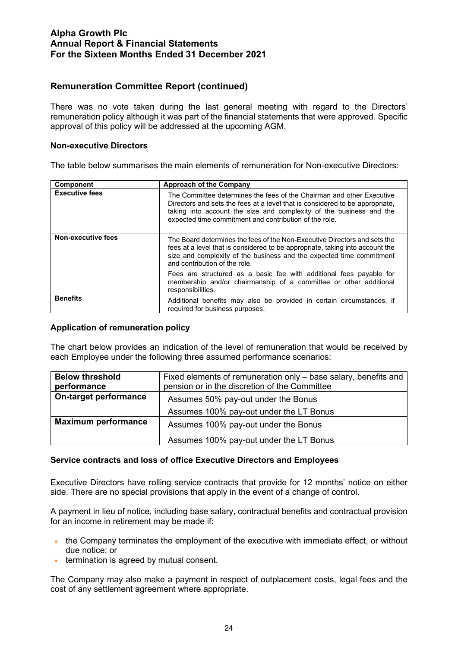There was no vote taken during the last general meeting with regard to the Directors' remuneration policy although it was part of the financial statements that were approved. Specific approval of this policy will be addressed at the upcoming AGM.

#### **Non-executive Directors**

The table below summarises the main elements of remuneration for Non-executive Directors:

| <b>Component</b>          | Approach of the Company                                                                                                                                                                                                                                                                |
|---------------------------|----------------------------------------------------------------------------------------------------------------------------------------------------------------------------------------------------------------------------------------------------------------------------------------|
| <b>Executive fees</b>     | The Committee determines the fees of the Chairman and other Executive<br>Directors and sets the fees at a level that is considered to be appropriate,<br>taking into account the size and complexity of the business and the<br>expected time commitment and contribution of the role. |
| <b>Non-executive fees</b> | The Board determines the fees of the Non-Executive Directors and sets the<br>fees at a level that is considered to be appropriate, taking into account the<br>size and complexity of the business and the expected time commitment<br>and contribution of the role.                    |
|                           | Fees are structured as a basic fee with additional fees payable for<br>membership and/or chairmanship of a committee or other additional<br>responsibilities.                                                                                                                          |
| <b>Benefits</b>           | Additional benefits may also be provided in certain circumstances, if<br>required for business purposes.                                                                                                                                                                               |

#### **Application of remuneration policy**

The chart below provides an indication of the level of remuneration that would be received by each Employee under the following three assumed performance scenarios:

| <b>Below threshold</b>     | Fixed elements of remuneration only – base salary, benefits and |
|----------------------------|-----------------------------------------------------------------|
| performance                | pension or in the discretion of the Committee                   |
| On-target performance      | Assumes 50% pay-out under the Bonus                             |
|                            | Assumes 100% pay-out under the LT Bonus                         |
| <b>Maximum performance</b> | Assumes 100% pay-out under the Bonus                            |
|                            | Assumes 100% pay-out under the LT Bonus                         |

#### **Service contracts and loss of office Executive Directors and Employees**

Executive Directors have rolling service contracts that provide for 12 months' notice on either side. There are no special provisions that apply in the event of a change of control.

A payment in lieu of notice, including base salary, contractual benefits and contractual provision for an income in retirement may be made if:

- the Company terminates the employment of the executive with immediate effect, or without due notice; or
- termination is agreed by mutual consent.

The Company may also make a payment in respect of outplacement costs, legal fees and the cost of any settlement agreement where appropriate.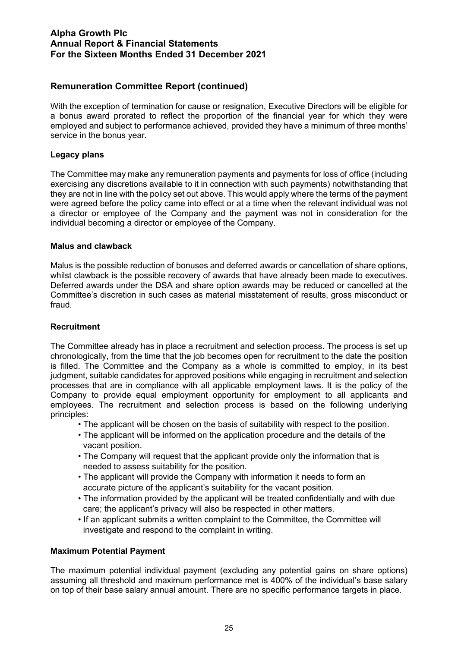With the exception of termination for cause or resignation, Executive Directors will be eligible for a bonus award prorated to reflect the proportion of the financial year for which they were employed and subject to performance achieved, provided they have a minimum of three months' service in the bonus year.

#### **Legacy plans**

The Committee may make any remuneration payments and payments for loss of office (including exercising any discretions available to it in connection with such payments) notwithstanding that they are not in line with the policy set out above. This would apply where the terms of the payment were agreed before the policy came into effect or at a time when the relevant individual was not a director or employee of the Company and the payment was not in consideration for the individual becoming a director or employee of the Company.

#### **Malus and clawback**

Malus is the possible reduction of bonuses and deferred awards or cancellation of share options, whilst clawback is the possible recovery of awards that have already been made to executives. Deferred awards under the DSA and share option awards may be reduced or cancelled at the Committee's discretion in such cases as material misstatement of results, gross misconduct or fraud.

#### **Recruitment**

The Committee already has in place a recruitment and selection process. The process is set up chronologically, from the time that the job becomes open for recruitment to the date the position is filled. The Committee and the Company as a whole is committed to employ, in its best judgment, suitable candidates for approved positions while engaging in recruitment and selection processes that are in compliance with all applicable employment laws. It is the policy of the Company to provide equal employment opportunity for employment to all applicants and employees. The recruitment and selection process is based on the following underlying principles:

- The applicant will be chosen on the basis of suitability with respect to the position.
- The applicant will be informed on the application procedure and the details of the vacant position.
- The Company will request that the applicant provide only the information that is needed to assess suitability for the position.
- The applicant will provide the Company with information it needs to form an accurate picture of the applicant's suitability for the vacant position.
- The information provided by the applicant will be treated confidentially and with due care; the applicant's privacy will also be respected in other matters.
- If an applicant submits a written complaint to the Committee, the Committee will investigate and respond to the complaint in writing.

#### **Maximum Potential Payment**

The maximum potential individual payment (excluding any potential gains on share options) assuming all threshold and maximum performance met is 400% of the individual's base salary on top of their base salary annual amount. There are no specific performance targets in place.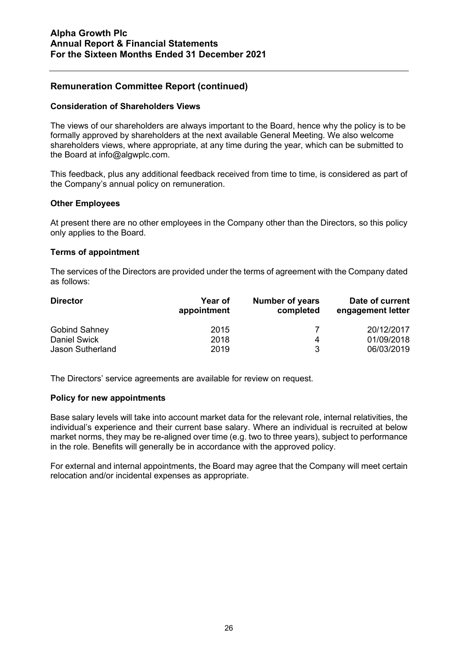#### **Consideration of Shareholders Views**

The views of our shareholders are always important to the Board, hence why the policy is to be formally approved by shareholders at the next available General Meeting. We also welcome shareholders views, where appropriate, at any time during the year, which can be submitted to the Board at [info@algwplc.com.](mailto:info@algwplc.com)

This feedback, plus any additional feedback received from time to time, is considered as part of the Company's annual policy on remuneration.

#### **Other Employees**

At present there are no other employees in the Company other than the Directors, so this policy only applies to the Board.

#### **Terms of appointment**

The services of the Directors are provided under the terms of agreement with the Company dated as follows:

| <b>Director</b>         | <b>Year of</b><br>appointment | <b>Number of years</b><br>completed | Date of current<br>engagement letter |
|-------------------------|-------------------------------|-------------------------------------|--------------------------------------|
| <b>Gobind Sahney</b>    | 2015                          |                                     | 20/12/2017                           |
| <b>Daniel Swick</b>     | 2018                          |                                     | 01/09/2018                           |
| <b>Jason Sutherland</b> | 2019                          | ঽ                                   | 06/03/2019                           |

The Directors' service agreements are available for review on request.

#### **Policy for new appointments**

Base salary levels will take into account market data for the relevant role, internal relativities, the individual's experience and their current base salary. Where an individual is recruited at below market norms, they may be re-aligned over time (e.g. two to three years), subject to performance in the role. Benefits will generally be in accordance with the approved policy.

For external and internal appointments, the Board may agree that the Company will meet certain relocation and/or incidental expenses as appropriate.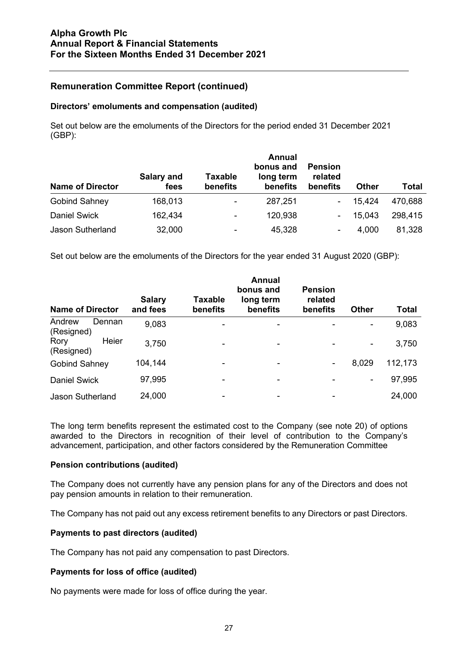#### **Directors' emoluments and compensation (audited)**

Set out below are the emoluments of the Directors for the period ended 31 December 2021 (GBP):

| <b>Name of Director</b> | Salary and<br>fees | <b>Taxable</b><br>benefits | <b>Annual</b><br>bonus and<br>long term<br>benefits | <b>Pension</b><br>related<br>benefits | <b>Other</b> | <b>Total</b> |
|-------------------------|--------------------|----------------------------|-----------------------------------------------------|---------------------------------------|--------------|--------------|
| <b>Gobind Sahney</b>    | 168,013            | ۰                          | 287,251                                             | ٠.                                    | 15.424       | 470,688      |
| <b>Daniel Swick</b>     | 162,434            | $\blacksquare$             | 120,938                                             | $\blacksquare$                        | 15,043       | 298,415      |
| Jason Sutherland        | 32,000             |                            | 45,328                                              | -                                     | 4,000        | 81,328       |

Set out below are the emoluments of the Directors for the year ended 31 August 2020 (GBP):

| <b>Name of Director</b>        | <b>Salary</b><br>and fees | <b>Taxable</b><br>benefits | <b>Annual</b><br>bonus and<br>long term<br>benefits | <b>Pension</b><br>related<br>benefits | <b>Other</b>   | Total   |
|--------------------------------|---------------------------|----------------------------|-----------------------------------------------------|---------------------------------------|----------------|---------|
| Andrew<br>Dennan<br>(Resigned) | 9,083                     |                            |                                                     |                                       |                | 9,083   |
| Heier<br>Rory<br>(Resigned)    | 3,750                     |                            | ۰                                                   |                                       | $\blacksquare$ | 3,750   |
| <b>Gobind Sahney</b>           | 104,144                   |                            |                                                     | ۰                                     | 8,029          | 112,173 |
| <b>Daniel Swick</b>            | 97,995                    |                            | -                                                   |                                       | ۰              | 97,995  |
| <b>Jason Sutherland</b>        | 24,000                    | ۰                          | ۰                                                   |                                       |                | 24,000  |

The long term benefits represent the estimated cost to the Company (see note 20) of options awarded to the Directors in recognition of their level of contribution to the Company's advancement, participation, and other factors considered by the Remuneration Committee

#### **Pension contributions (audited)**

The Company does not currently have any pension plans for any of the Directors and does not pay pension amounts in relation to their remuneration.

The Company has not paid out any excess retirement benefits to any Directors or past Directors.

#### **Payments to past directors (audited)**

The Company has not paid any compensation to past Directors.

## **Payments for loss of office (audited)**

No payments were made for loss of office during the year.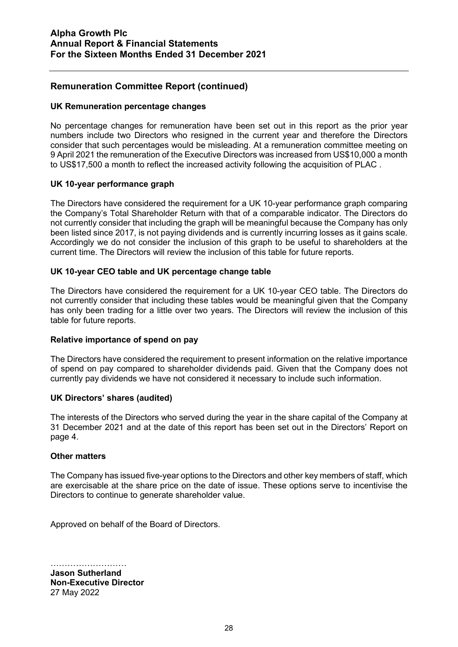#### **UK Remuneration percentage changes**

No percentage changes for remuneration have been set out in this report as the prior year numbers include two Directors who resigned in the current year and therefore the Directors consider that such percentages would be misleading. At a remuneration committee meeting on 9 April 2021 the remuneration of the Executive Directors was increased from US\$10,000 a month to US\$17,500 a month to reflect the increased activity following the acquisition of PLAC .

#### **UK 10-year performance graph**

The Directors have considered the requirement for a UK 10-year performance graph comparing the Company's Total Shareholder Return with that of a comparable indicator. The Directors do not currently consider that including the graph will be meaningful because the Company has only been listed since 2017, is not paying dividends and is currently incurring losses as it gains scale. Accordingly we do not consider the inclusion of this graph to be useful to shareholders at the current time. The Directors will review the inclusion of this table for future reports.

## **UK 10-year CEO table and UK percentage change table**

The Directors have considered the requirement for a UK 10-year CEO table. The Directors do not currently consider that including these tables would be meaningful given that the Company has only been trading for a little over two years. The Directors will review the inclusion of this table for future reports.

## **Relative importance of spend on pay**

The Directors have considered the requirement to present information on the relative importance of spend on pay compared to shareholder dividends paid. Given that the Company does not currently pay dividends we have not considered it necessary to include such information.

#### **UK Directors' shares (audited)**

The interests of the Directors who served during the year in the share capital of the Company at 31 December 2021 and at the date of this report has been set out in the Directors' Report on page 4.

#### **Other matters**

The Company has issued five-year options to the Directors and other key members of staff, which are exercisable at the share price on the date of issue. These options serve to incentivise the Directors to continue to generate shareholder value.

Approved on behalf of the Board of Directors.

……………………… **Jason Sutherland Non-Executive Director** 27 May 2022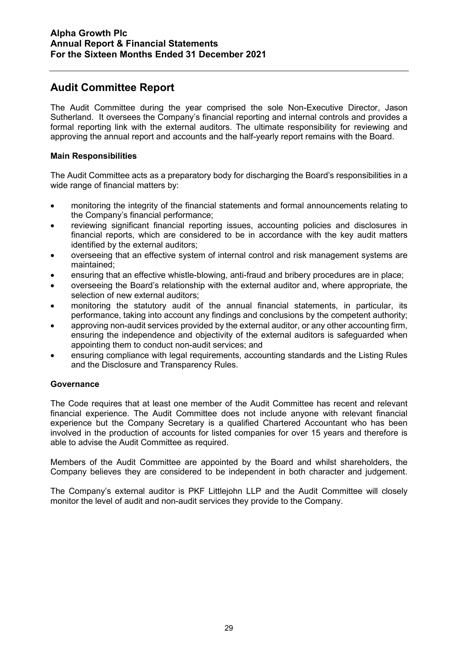## **Audit Committee Report**

The Audit Committee during the year comprised the sole Non-Executive Director, Jason Sutherland. It oversees the Company's financial reporting and internal controls and provides a formal reporting link with the external auditors. The ultimate responsibility for reviewing and approving the annual report and accounts and the half-yearly report remains with the Board.

## **Main Responsibilities**

The Audit Committee acts as a preparatory body for discharging the Board's responsibilities in a wide range of financial matters by:

- monitoring the integrity of the financial statements and formal announcements relating to the Company's financial performance;
- reviewing significant financial reporting issues, accounting policies and disclosures in financial reports, which are considered to be in accordance with the key audit matters identified by the external auditors;
- overseeing that an effective system of internal control and risk management systems are maintained;
- ensuring that an effective whistle-blowing, anti-fraud and bribery procedures are in place;
- overseeing the Board's relationship with the external auditor and, where appropriate, the selection of new external auditors;
- monitoring the statutory audit of the annual financial statements, in particular, its performance, taking into account any findings and conclusions by the competent authority;
- approving non-audit services provided by the external auditor, or any other accounting firm, ensuring the independence and objectivity of the external auditors is safeguarded when appointing them to conduct non-audit services; and
- ensuring compliance with legal requirements, accounting standards and the Listing Rules and the Disclosure and Transparency Rules.

## **Governance**

The Code requires that at least one member of the Audit Committee has recent and relevant financial experience. The Audit Committee does not include anyone with relevant financial experience but the Company Secretary is a qualified Chartered Accountant who has been involved in the production of accounts for listed companies for over 15 years and therefore is able to advise the Audit Committee as required.

Members of the Audit Committee are appointed by the Board and whilst shareholders, the Company believes they are considered to be independent in both character and judgement.

The Company's external auditor is PKF Littlejohn LLP and the Audit Committee will closely monitor the level of audit and non-audit services they provide to the Company.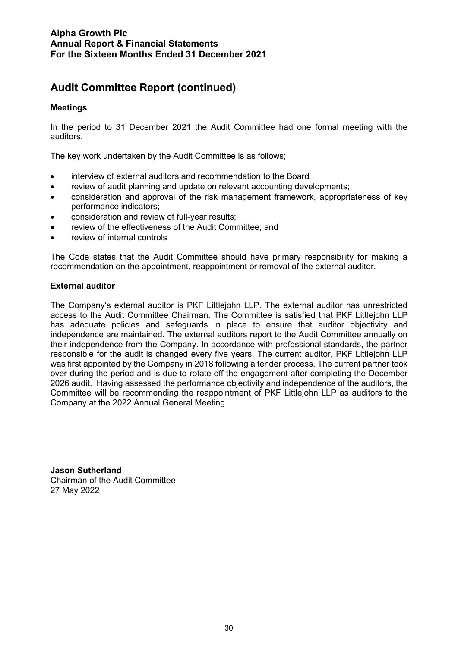## **Audit Committee Report (continued)**

## **Meetings**

In the period to 31 December 2021 the Audit Committee had one formal meeting with the auditors.

The key work undertaken by the Audit Committee is as follows;

- interview of external auditors and recommendation to the Board
- review of audit planning and update on relevant accounting developments;
- consideration and approval of the risk management framework, appropriateness of key performance indicators;
- consideration and review of full-year results;
- review of the effectiveness of the Audit Committee; and
- review of internal controls

The Code states that the Audit Committee should have primary responsibility for making a recommendation on the appointment, reappointment or removal of the external auditor.

#### **External auditor**

The Company's external auditor is PKF Littlejohn LLP. The external auditor has unrestricted access to the Audit Committee Chairman. The Committee is satisfied that PKF Littlejohn LLP has adequate policies and safeguards in place to ensure that auditor objectivity and independence are maintained. The external auditors report to the Audit Committee annually on their independence from the Company. In accordance with professional standards, the partner responsible for the audit is changed every five years. The current auditor, PKF Littlejohn LLP was first appointed by the Company in 2018 following a tender process. The current partner took over during the period and is due to rotate off the engagement after completing the December 2026 audit. Having assessed the performance objectivity and independence of the auditors, the Committee will be recommending the reappointment of PKF Littlejohn LLP as auditors to the Company at the 2022 Annual General Meeting.

**Jason Sutherland** Chairman of the Audit Committee 27 May 2022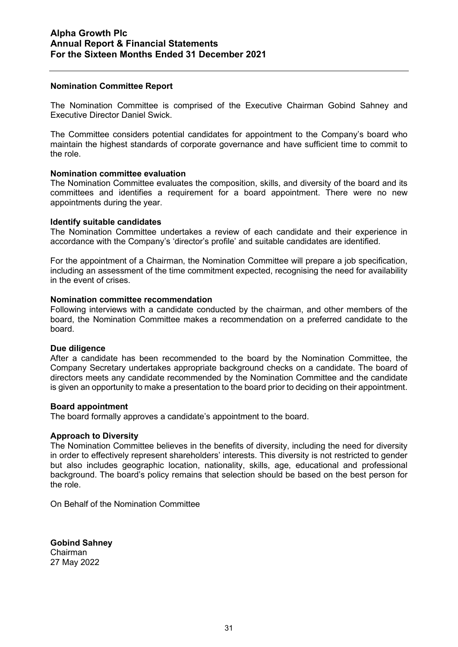#### **Nomination Committee Report**

The Nomination Committee is comprised of the Executive Chairman Gobind Sahney and Executive Director Daniel Swick.

The Committee considers potential candidates for appointment to the Company's board who maintain the highest standards of corporate governance and have sufficient time to commit to the role.

#### **Nomination committee evaluation**

The Nomination Committee evaluates the composition, skills, and diversity of the board and its committees and identifies a requirement for a board appointment. There were no new appointments during the year.

#### **Identify suitable candidates**

The Nomination Committee undertakes a review of each candidate and their experience in accordance with the Company's 'director's profile' and suitable candidates are identified.

For the appointment of a Chairman, the Nomination Committee will prepare a job specification, including an assessment of the time commitment expected, recognising the need for availability in the event of crises.

#### **Nomination committee recommendation**

Following interviews with a candidate conducted by the chairman, and other members of the board, the Nomination Committee makes a recommendation on a preferred candidate to the board.

#### **Due diligence**

After a candidate has been recommended to the board by the Nomination Committee, the Company Secretary undertakes appropriate background checks on a candidate. The board of directors meets any candidate recommended by the Nomination Committee and the candidate is given an opportunity to make a presentation to the board prior to deciding on their appointment.

#### **Board appointment**

The board formally approves a candidate's appointment to the board.

#### **Approach to Diversity**

The Nomination Committee believes in the benefits of diversity, including the need for diversity in order to effectively represent shareholders' interests. This diversity is not restricted to gender but also includes geographic location, nationality, skills, age, educational and professional background. The board's policy remains that selection should be based on the best person for the role.

On Behalf of the Nomination Committee

**Gobind Sahney** Chairman 27 May 2022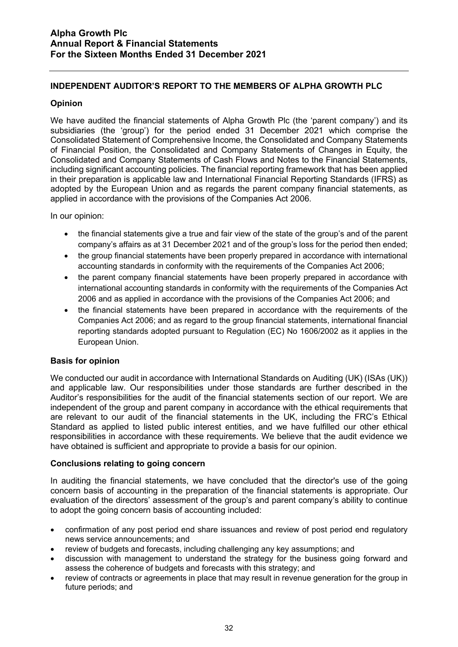## **INDEPENDENT AUDITOR'S REPORT TO THE MEMBERS OF ALPHA GROWTH PLC**

#### **Opinion**

We have audited the financial statements of Alpha Growth Plc (the 'parent company') and its subsidiaries (the 'group') for the period ended 31 December 2021 which comprise the Consolidated Statement of Comprehensive Income, the Consolidated and Company Statements of Financial Position, the Consolidated and Company Statements of Changes in Equity, the Consolidated and Company Statements of Cash Flows and Notes to the Financial Statements, including significant accounting policies. The financial reporting framework that has been applied in their preparation is applicable law and International Financial Reporting Standards (IFRS) as adopted by the European Union and as regards the parent company financial statements, as applied in accordance with the provisions of the Companies Act 2006.

In our opinion:

- the financial statements give a true and fair view of the state of the group's and of the parent company's affairs as at 31 December 2021 and of the group's loss for the period then ended;
- the group financial statements have been properly prepared in accordance with international accounting standards in conformity with the requirements of the Companies Act 2006;
- the parent company financial statements have been properly prepared in accordance with international accounting standards in conformity with the requirements of the Companies Act 2006 and as applied in accordance with the provisions of the Companies Act 2006; and
- the financial statements have been prepared in accordance with the requirements of the Companies Act 2006; and as regard to the group financial statements, international financial reporting standards adopted pursuant to Regulation (EC) No 1606/2002 as it applies in the European Union.

## **Basis for opinion**

We conducted our audit in accordance with International Standards on Auditing (UK) (ISAs (UK)) and applicable law. Our responsibilities under those standards are further described in the Auditor's responsibilities for the audit of the financial statements section of our report. We are independent of the group and parent company in accordance with the ethical requirements that are relevant to our audit of the financial statements in the UK, including the FRC's Ethical Standard as applied to listed public interest entities, and we have fulfilled our other ethical responsibilities in accordance with these requirements. We believe that the audit evidence we have obtained is sufficient and appropriate to provide a basis for our opinion.

## **Conclusions relating to going concern**

In auditing the financial statements, we have concluded that the director's use of the going concern basis of accounting in the preparation of the financial statements is appropriate. Our evaluation of the directors' assessment of the group's and parent company's ability to continue to adopt the going concern basis of accounting included:

- confirmation of any post period end share issuances and review of post period end regulatory news service announcements; and
- review of budgets and forecasts, including challenging any key assumptions; and
- discussion with management to understand the strategy for the business going forward and assess the coherence of budgets and forecasts with this strategy; and
- review of contracts or agreements in place that may result in revenue generation for the group in future periods; and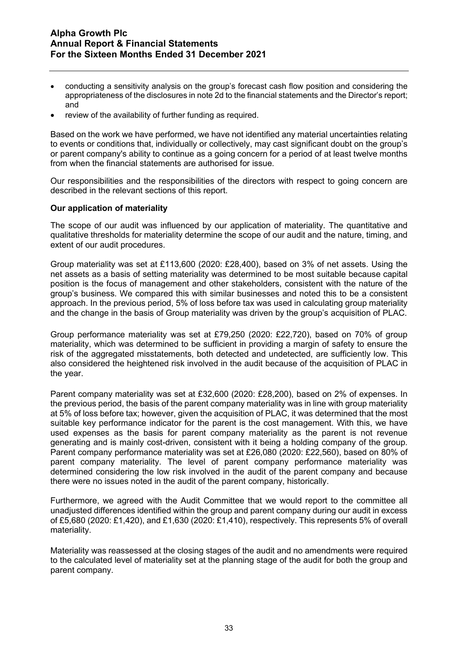- conducting a sensitivity analysis on the group's forecast cash flow position and considering the appropriateness of the disclosures in note 2d to the financial statements and the Director's report; and
- review of the availability of further funding as required.

Based on the work we have performed, we have not identified any material uncertainties relating to events or conditions that, individually or collectively, may cast significant doubt on the group's or parent company's ability to continue as a going concern for a period of at least twelve months from when the financial statements are authorised for issue.

Our responsibilities and the responsibilities of the directors with respect to going concern are described in the relevant sections of this report.

#### **Our application of materiality**

The scope of our audit was influenced by our application of materiality. The quantitative and qualitative thresholds for materiality determine the scope of our audit and the nature, timing, and extent of our audit procedures.

Group materiality was set at £113,600 (2020: £28,400), based on 3% of net assets. Using the net assets as a basis of setting materiality was determined to be most suitable because capital position is the focus of management and other stakeholders, consistent with the nature of the group's business. We compared this with similar businesses and noted this to be a consistent approach. In the previous period, 5% of loss before tax was used in calculating group materiality and the change in the basis of Group materiality was driven by the group's acquisition of PLAC.

Group performance materiality was set at £79,250 (2020: £22,720), based on 70% of group materiality, which was determined to be sufficient in providing a margin of safety to ensure the risk of the aggregated misstatements, both detected and undetected, are sufficiently low. This also considered the heightened risk involved in the audit because of the acquisition of PLAC in the year.

Parent company materiality was set at £32,600 (2020: £28,200), based on 2% of expenses. In the previous period, the basis of the parent company materiality was in line with group materiality at 5% of loss before tax; however, given the acquisition of PLAC, it was determined that the most suitable key performance indicator for the parent is the cost management. With this, we have used expenses as the basis for parent company materiality as the parent is not revenue generating and is mainly cost-driven, consistent with it being a holding company of the group. Parent company performance materiality was set at £26,080 (2020: £22,560), based on 80% of parent company materiality. The level of parent company performance materiality was determined considering the low risk involved in the audit of the parent company and because there were no issues noted in the audit of the parent company, historically.

Furthermore, we agreed with the Audit Committee that we would report to the committee all unadjusted differences identified within the group and parent company during our audit in excess of £5,680 (2020: £1,420), and £1,630 (2020: £1,410), respectively. This represents 5% of overall materiality.

Materiality was reassessed at the closing stages of the audit and no amendments were required to the calculated level of materiality set at the planning stage of the audit for both the group and parent company.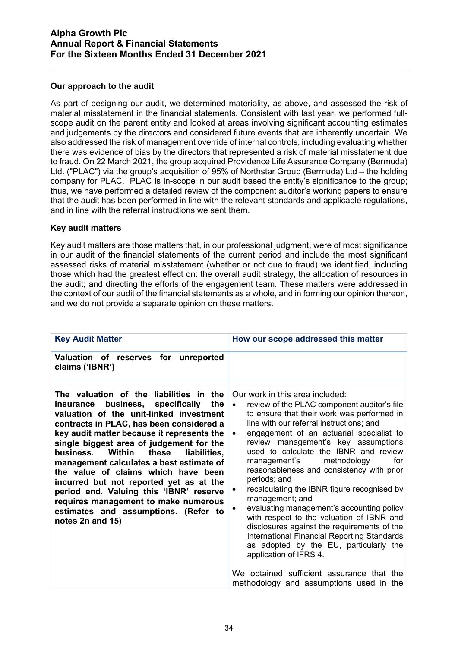## **Our approach to the audit**

As part of designing our audit, we determined materiality, as above, and assessed the risk of material misstatement in the financial statements. Consistent with last year, we performed fullscope audit on the parent entity and looked at areas involving significant accounting estimates and judgements by the directors and considered future events that are inherently uncertain. We also addressed the risk of management override of internal controls, including evaluating whether there was evidence of bias by the directors that represented a risk of material misstatement due to fraud. On 22 March 2021, the group acquired Providence Life Assurance Company (Bermuda) Ltd. ("PLAC") via the group's acquisition of 95% of Northstar Group (Bermuda) Ltd – the holding company for PLAC. PLAC is in-scope in our audit based the entity's significance to the group; thus, we have performed a detailed review of the component auditor's working papers to ensure that the audit has been performed in line with the relevant standards and applicable regulations, and in line with the referral instructions we sent them.

## **Key audit matters**

Key audit matters are those matters that, in our professional judgment, were of most significance in our audit of the financial statements of the current period and include the most significant assessed risks of material misstatement (whether or not due to fraud) we identified, including those which had the greatest effect on: the overall audit strategy, the allocation of resources in the audit; and directing the efforts of the engagement team. These matters were addressed in the context of our audit of the financial statements as a whole, and in forming our opinion thereon, and we do not provide a separate opinion on these matters.

| Valuation of reserves for unreported<br>claims ('IBNR')<br>The valuation of the liabilities in the<br>Our work in this area included:<br>business, specifically<br>the<br>review of the PLAC component auditor's file<br>insurance                                                                                                                                                                                                                                                                                                                                                                                                                                                                                                                                                                                                                                                                                                                                                                                                                                                                                                                                                                                                                                   | <b>Key Audit Matter</b> | How our scope addressed this matter |
|----------------------------------------------------------------------------------------------------------------------------------------------------------------------------------------------------------------------------------------------------------------------------------------------------------------------------------------------------------------------------------------------------------------------------------------------------------------------------------------------------------------------------------------------------------------------------------------------------------------------------------------------------------------------------------------------------------------------------------------------------------------------------------------------------------------------------------------------------------------------------------------------------------------------------------------------------------------------------------------------------------------------------------------------------------------------------------------------------------------------------------------------------------------------------------------------------------------------------------------------------------------------|-------------------------|-------------------------------------|
|                                                                                                                                                                                                                                                                                                                                                                                                                                                                                                                                                                                                                                                                                                                                                                                                                                                                                                                                                                                                                                                                                                                                                                                                                                                                      |                         |                                     |
| to ensure that their work was performed in<br>valuation of the unit-linked investment<br>line with our referral instructions; and<br>contracts in PLAC, has been considered a<br>engagement of an actuarial specialist to<br>key audit matter because it represents the<br>$\bullet$<br>review management's key assumptions<br>single biggest area of judgement for the<br>used to calculate the IBNR and review<br>Within<br>these<br>liabilities,<br>business.<br>methodology<br>management's<br>management calculates a best estimate of<br>reasonableness and consistency with prior<br>the value of claims which have been<br>periods; and<br>incurred but not reported yet as at the<br>recalculating the IBNR figure recognised by<br>٠<br>period end. Valuing this 'IBNR' reserve<br>management; and<br>requires management to make numerous<br>evaluating management's accounting policy<br>estimates and assumptions. (Refer to<br>with respect to the valuation of IBNR and<br>notes 2n and 15)<br>disclosures against the requirements of the<br>International Financial Reporting Standards<br>as adopted by the EU, particularly the<br>application of IFRS 4.<br>We obtained sufficient assurance that the<br>methodology and assumptions used in the |                         | for                                 |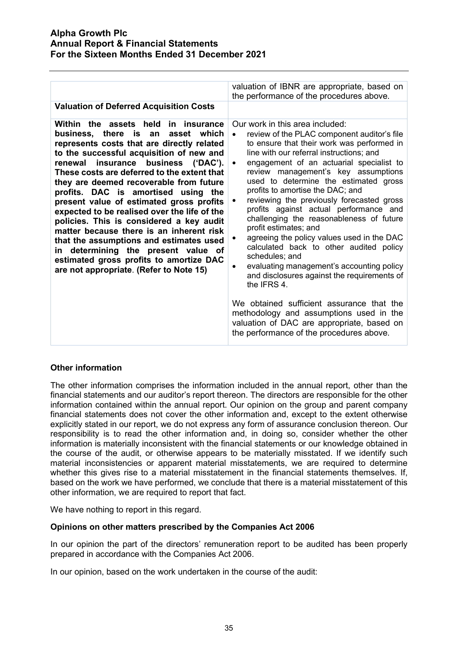|                                                                                                                                                                                                                                                                                                                                                                                                                                                                                                                                                                                                                                                                                                                     | valuation of IBNR are appropriate, based on<br>the performance of the procedures above.                                                                                                                                                                                                                                                                                                                                                                                                                                                                                                                                                                                                                                                                                                                                                                                                                                        |
|---------------------------------------------------------------------------------------------------------------------------------------------------------------------------------------------------------------------------------------------------------------------------------------------------------------------------------------------------------------------------------------------------------------------------------------------------------------------------------------------------------------------------------------------------------------------------------------------------------------------------------------------------------------------------------------------------------------------|--------------------------------------------------------------------------------------------------------------------------------------------------------------------------------------------------------------------------------------------------------------------------------------------------------------------------------------------------------------------------------------------------------------------------------------------------------------------------------------------------------------------------------------------------------------------------------------------------------------------------------------------------------------------------------------------------------------------------------------------------------------------------------------------------------------------------------------------------------------------------------------------------------------------------------|
| <b>Valuation of Deferred Acquisition Costs</b>                                                                                                                                                                                                                                                                                                                                                                                                                                                                                                                                                                                                                                                                      |                                                                                                                                                                                                                                                                                                                                                                                                                                                                                                                                                                                                                                                                                                                                                                                                                                                                                                                                |
| Within the assets held<br>in insurance<br>business, there is an<br>asset which<br>represents costs that are directly related<br>to the successful acquisition of new and<br>business ('DAC').<br>renewal insurance<br>These costs are deferred to the extent that<br>they are deemed recoverable from future<br>profits. DAC is amortised using the<br>present value of estimated gross profits<br>expected to be realised over the life of the<br>policies. This is considered a key audit<br>matter because there is an inherent risk<br>that the assumptions and estimates used<br>determining the present value of<br>in.<br>estimated gross profits to amortize DAC<br>are not appropriate. (Refer to Note 15) | Our work in this area included:<br>review of the PLAC component auditor's file<br>to ensure that their work was performed in<br>line with our referral instructions; and<br>engagement of an actuarial specialist to<br>$\bullet$<br>review management's key assumptions<br>used to determine the estimated gross<br>profits to amortise the DAC; and<br>reviewing the previously forecasted gross<br>٠<br>profits against actual performance and<br>challenging the reasonableness of future<br>profit estimates; and<br>agreeing the policy values used in the DAC<br>calculated back to other audited policy<br>schedules; and<br>evaluating management's accounting policy<br>and disclosures against the requirements of<br>the IFRS 4.<br>We obtained sufficient assurance that the<br>methodology and assumptions used in the<br>valuation of DAC are appropriate, based on<br>the performance of the procedures above. |
|                                                                                                                                                                                                                                                                                                                                                                                                                                                                                                                                                                                                                                                                                                                     |                                                                                                                                                                                                                                                                                                                                                                                                                                                                                                                                                                                                                                                                                                                                                                                                                                                                                                                                |

## **Other information**

The other information comprises the information included in the annual report, other than the financial statements and our auditor's report thereon. The directors are responsible for the other information contained within the annual report. Our opinion on the group and parent company financial statements does not cover the other information and, except to the extent otherwise explicitly stated in our report, we do not express any form of assurance conclusion thereon. Our responsibility is to read the other information and, in doing so, consider whether the other information is materially inconsistent with the financial statements or our knowledge obtained in the course of the audit, or otherwise appears to be materially misstated. If we identify such material inconsistencies or apparent material misstatements, we are required to determine whether this gives rise to a material misstatement in the financial statements themselves. If, based on the work we have performed, we conclude that there is a material misstatement of this other information, we are required to report that fact.

We have nothing to report in this regard.

## **Opinions on other matters prescribed by the Companies Act 2006**

In our opinion the part of the directors' remuneration report to be audited has been properly prepared in accordance with the Companies Act 2006.

In our opinion, based on the work undertaken in the course of the audit: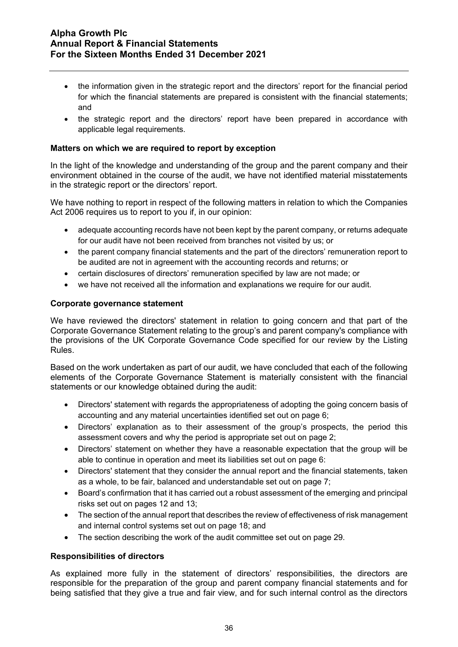- the information given in the strategic report and the directors' report for the financial period for which the financial statements are prepared is consistent with the financial statements; and
- the strategic report and the directors' report have been prepared in accordance with applicable legal requirements.

#### **Matters on which we are required to report by exception**

In the light of the knowledge and understanding of the group and the parent company and their environment obtained in the course of the audit, we have not identified material misstatements in the strategic report or the directors' report.

We have nothing to report in respect of the following matters in relation to which the Companies Act 2006 requires us to report to you if, in our opinion:

- adequate accounting records have not been kept by the parent company, or returns adequate for our audit have not been received from branches not visited by us; or
- the parent company financial statements and the part of the directors' remuneration report to be audited are not in agreement with the accounting records and returns; or
- certain disclosures of directors' remuneration specified by law are not made; or
- we have not received all the information and explanations we require for our audit.

#### **Corporate governance statement**

We have reviewed the directors' statement in relation to going concern and that part of the Corporate Governance Statement relating to the group's and parent company's compliance with the provisions of the UK Corporate Governance Code specified for our review by the Listing Rules.

Based on the work undertaken as part of our audit, we have concluded that each of the following elements of the Corporate Governance Statement is materially consistent with the financial statements or our knowledge obtained during the audit:

- Directors' statement with regards the appropriateness of adopting the going concern basis of accounting and any material uncertainties identified set out on page 6;
- Directors' explanation as to their assessment of the group's prospects, the period this assessment covers and why the period is appropriate set out on page 2;
- Directors' statement on whether they have a reasonable expectation that the group will be able to continue in operation and meet its liabilities set out on page 6:
- Directors' statement that they consider the annual report and the financial statements, taken as a whole, to be fair, balanced and understandable set out on page 7;
- Board's confirmation that it has carried out a robust assessment of the emerging and principal risks set out on pages 12 and 13;
- The section of the annual report that describes the review of effectiveness of risk management and internal control systems set out on page 18; and
- The section describing the work of the audit committee set out on page 29.

#### **Responsibilities of directors**

As explained more fully in the statement of directors' responsibilities, the directors are responsible for the preparation of the group and parent company financial statements and for being satisfied that they give a true and fair view, and for such internal control as the directors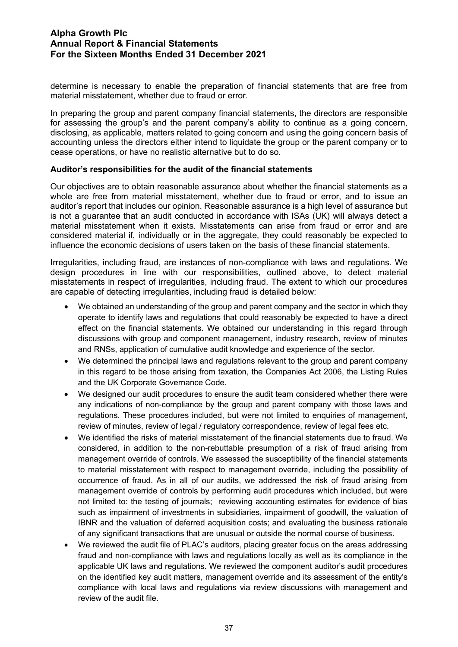determine is necessary to enable the preparation of financial statements that are free from material misstatement, whether due to fraud or error.

In preparing the group and parent company financial statements, the directors are responsible for assessing the group's and the parent company's ability to continue as a going concern, disclosing, as applicable, matters related to going concern and using the going concern basis of accounting unless the directors either intend to liquidate the group or the parent company or to cease operations, or have no realistic alternative but to do so.

#### **Auditor's responsibilities for the audit of the financial statements**

Our objectives are to obtain reasonable assurance about whether the financial statements as a whole are free from material misstatement, whether due to fraud or error, and to issue an auditor's report that includes our opinion. Reasonable assurance is a high level of assurance but is not a guarantee that an audit conducted in accordance with ISAs (UK) will always detect a material misstatement when it exists. Misstatements can arise from fraud or error and are considered material if, individually or in the aggregate, they could reasonably be expected to influence the economic decisions of users taken on the basis of these financial statements.

Irregularities, including fraud, are instances of non-compliance with laws and regulations. We design procedures in line with our responsibilities, outlined above, to detect material misstatements in respect of irregularities, including fraud. The extent to which our procedures are capable of detecting irregularities, including fraud is detailed below:

- We obtained an understanding of the group and parent company and the sector in which they operate to identify laws and regulations that could reasonably be expected to have a direct effect on the financial statements. We obtained our understanding in this regard through discussions with group and component management, industry research, review of minutes and RNSs, application of cumulative audit knowledge and experience of the sector.
- We determined the principal laws and regulations relevant to the group and parent company in this regard to be those arising from taxation, the Companies Act 2006, the Listing Rules and the UK Corporate Governance Code.
- We designed our audit procedures to ensure the audit team considered whether there were any indications of non-compliance by the group and parent company with those laws and regulations. These procedures included, but were not limited to enquiries of management, review of minutes, review of legal / regulatory correspondence, review of legal fees etc.
- We identified the risks of material misstatement of the financial statements due to fraud. We considered, in addition to the non-rebuttable presumption of a risk of fraud arising from management override of controls. We assessed the susceptibility of the financial statements to material misstatement with respect to management override, including the possibility of occurrence of fraud. As in all of our audits, we addressed the risk of fraud arising from management override of controls by performing audit procedures which included, but were not limited to: the testing of journals; reviewing accounting estimates for evidence of bias such as impairment of investments in subsidiaries, impairment of goodwill, the valuation of IBNR and the valuation of deferred acquisition costs; and evaluating the business rationale of any significant transactions that are unusual or outside the normal course of business.
- We reviewed the audit file of PLAC's auditors, placing greater focus on the areas addressing fraud and non-compliance with laws and regulations locally as well as its compliance in the applicable UK laws and regulations. We reviewed the component auditor's audit procedures on the identified key audit matters, management override and its assessment of the entity's compliance with local laws and regulations via review discussions with management and review of the audit file.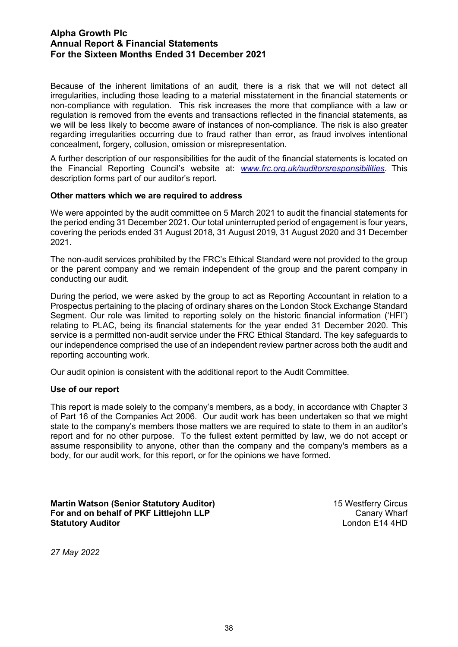Because of the inherent limitations of an audit, there is a risk that we will not detect all irregularities, including those leading to a material misstatement in the financial statements or non-compliance with regulation. This risk increases the more that compliance with a law or regulation is removed from the events and transactions reflected in the financial statements, as we will be less likely to become aware of instances of non-compliance. The risk is also greater regarding irregularities occurring due to fraud rather than error, as fraud involves intentional concealment, forgery, collusion, omission or misrepresentation.

A further description of our responsibilities for the audit of the financial statements is located on the Financial Reporting Council's website at: *[www.frc.org.uk/auditorsresponsibilities](http://www.frc.org.uk/auditorsresponsibilities)*. This description forms part of our auditor's report.

#### **Other matters which we are required to address**

We were appointed by the audit committee on 5 March 2021 to audit the financial statements for the period ending 31 December 2021. Our total uninterrupted period of engagement is four years, covering the periods ended 31 August 2018, 31 August 2019, 31 August 2020 and 31 December 2021.

The non-audit services prohibited by the FRC's Ethical Standard were not provided to the group or the parent company and we remain independent of the group and the parent company in conducting our audit.

During the period, we were asked by the group to act as Reporting Accountant in relation to a Prospectus pertaining to the placing of ordinary shares on the London Stock Exchange Standard Segment. Our role was limited to reporting solely on the historic financial information ('HFI') relating to PLAC, being its financial statements for the year ended 31 December 2020. This service is a permitted non-audit service under the FRC Ethical Standard. The key safeguards to our independence comprised the use of an independent review partner across both the audit and reporting accounting work.

Our audit opinion is consistent with the additional report to the Audit Committee.

#### **Use of our report**

This report is made solely to the company's members, as a body, in accordance with Chapter 3 of Part 16 of the Companies Act 2006. Our audit work has been undertaken so that we might state to the company's members those matters we are required to state to them in an auditor's report and for no other purpose. To the fullest extent permitted by law, we do not accept or assume responsibility to anyone, other than the company and the company's members as a body, for our audit work, for this report, or for the opinions we have formed.

**Martin Watson (Senior Statutory Auditor)** 15 Westferry Circus **For and on behalf of PKF Littlejohn LLP Canary Wharf Statutory Auditor Community Community Community Community Community Community Community Community Community Community Community Community Community Community Community Community Community Community Community Community C** 

*27 May 2022*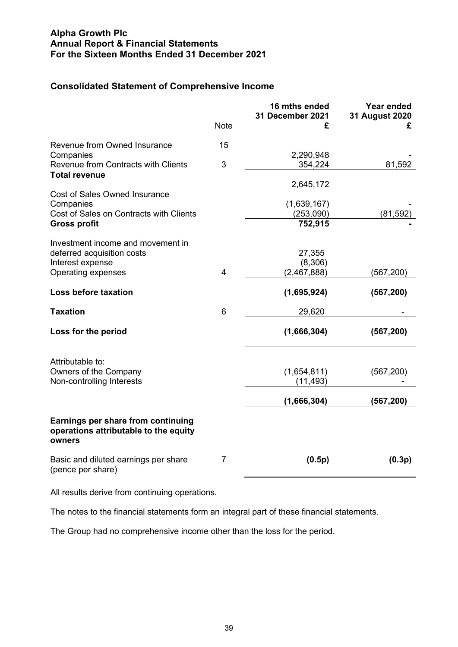## **Consolidated Statement of Comprehensive Income**

|                                                                                       |                | 16 mths ended<br>31 December 2021 | Year ended<br>31 August 2020 |
|---------------------------------------------------------------------------------------|----------------|-----------------------------------|------------------------------|
|                                                                                       | <b>Note</b>    | £                                 | £                            |
| Revenue from Owned Insurance                                                          | 15             |                                   |                              |
| Companies                                                                             |                | 2,290,948                         |                              |
| Revenue from Contracts with Clients                                                   | 3              | 354,224                           | 81,592                       |
| <b>Total revenue</b>                                                                  |                | 2,645,172                         |                              |
| <b>Cost of Sales Owned Insurance</b>                                                  |                |                                   |                              |
| Companies                                                                             |                | (1,639,167)                       |                              |
| Cost of Sales on Contracts with Clients                                               |                | (253,090)                         | (81, 592)                    |
| <b>Gross profit</b>                                                                   |                | 752,915                           |                              |
| Investment income and movement in                                                     |                |                                   |                              |
| deferred acquisition costs                                                            |                | 27,355                            |                              |
| Interest expense                                                                      |                | (8,306)                           |                              |
| Operating expenses                                                                    | $\overline{4}$ | (2,467,888)                       | (567, 200)                   |
| Loss before taxation                                                                  |                | (1,695,924)                       | (567, 200)                   |
| <b>Taxation</b>                                                                       | 6              | 29,620                            |                              |
| Loss for the period                                                                   |                | (1,666,304)                       | (567, 200)                   |
| Attributable to:                                                                      |                |                                   |                              |
| Owners of the Company                                                                 |                | (1,654,811)                       | (567, 200)                   |
| Non-controlling Interests                                                             |                | (11, 493)                         |                              |
|                                                                                       |                | (1,666,304)                       | (567, 200)                   |
| Earnings per share from continuing<br>operations attributable to the equity<br>owners |                |                                   |                              |
| Basic and diluted earnings per share<br>(pence per share)                             | $\overline{7}$ | (0.5p)                            | (0.3p)                       |

All results derive from continuing operations.

The notes to the financial statements form an integral part of these financial statements.

The Group had no comprehensive income other than the loss for the period.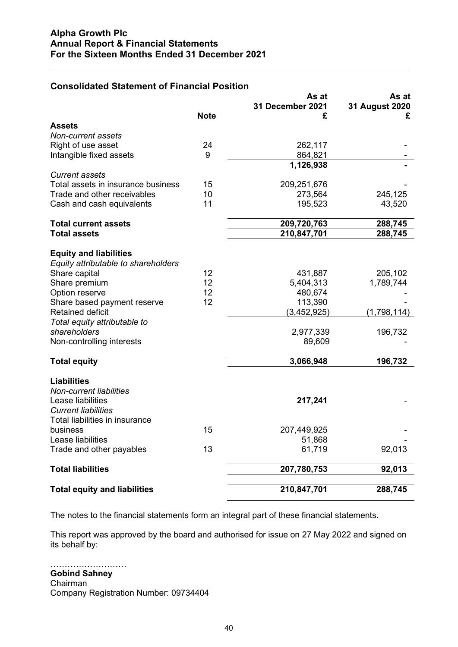| Consondated Statement of Financial Position  |             |                       |                     |
|----------------------------------------------|-------------|-----------------------|---------------------|
|                                              |             | As at                 | As at               |
|                                              | <b>Note</b> | 31 December 2021<br>£ | 31 August 2020<br>£ |
| <b>Assets</b>                                |             |                       |                     |
| Non-current assets                           |             |                       |                     |
| Right of use asset                           | 24          | 262,117               |                     |
| Intangible fixed assets                      | 9           | 864,821               |                     |
|                                              |             | 1,126,938             |                     |
| <b>Current assets</b>                        |             |                       |                     |
| Total assets in insurance business           | 15          | 209,251,676           |                     |
| Trade and other receivables                  | 10          | 273,564               | 245,125             |
| Cash and cash equivalents                    | 11          | 195,523               | 43,520              |
|                                              |             |                       |                     |
| <b>Total current assets</b>                  |             | 209,720,763           | 288,745             |
| <b>Total assets</b>                          |             | 210,847,701           | 288,745             |
|                                              |             |                       |                     |
| <b>Equity and liabilities</b>                |             |                       |                     |
| Equity attributable to shareholders          |             |                       |                     |
| Share capital                                | 12          | 431,887               | 205,102             |
| Share premium                                | 12          | 5,404,313             | 1,789,744           |
| Option reserve                               | 12          | 480,674               |                     |
| Share based payment reserve                  | 12          | 113,390               |                     |
| <b>Retained deficit</b>                      |             | (3,452,925)           | (1,798,114)         |
| Total equity attributable to<br>shareholders |             | 2,977,339             |                     |
| Non-controlling interests                    |             | 89,609                | 196,732             |
|                                              |             |                       |                     |
| <b>Total equity</b>                          |             | 3,066,948             | 196,732             |
|                                              |             |                       |                     |
| <b>Liabilities</b>                           |             |                       |                     |
| <b>Non-current liabilities</b>               |             |                       |                     |
| Lease liabilities                            |             | 217,241               |                     |
| <b>Current liabilities</b>                   |             |                       |                     |
| Total liabilities in insurance               |             |                       |                     |
| business                                     | 15          | 207,449,925           |                     |
| Lease liabilities                            |             | 51,868                |                     |
| Trade and other payables                     | 13          | 61,719                | 92,013              |
| <b>Total liabilities</b>                     |             | 207,780,753           | 92,013              |
|                                              |             |                       |                     |
| <b>Total equity and liabilities</b>          |             | 210,847,701           | 288,745             |

## **Consolidated Statement of Financial Position**

The notes to the financial statements form an integral part of these financial statements**.**

This report was approved by the board and authorised for issue on 27 May 2022 and signed on its behalf by:

………………………

**Gobind Sahney** Chairman Company Registration Number: 09734404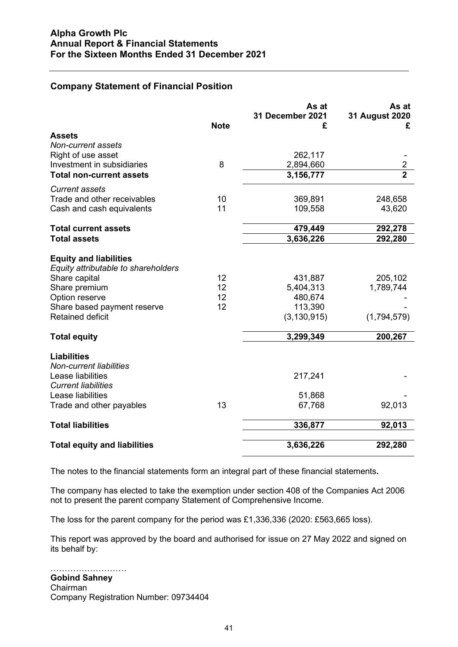## **Company Statement of Financial Position**

|                                     |             | As at<br>31 December 2021 | As at<br>31 August 2020 |
|-------------------------------------|-------------|---------------------------|-------------------------|
| <b>Assets</b>                       | <b>Note</b> | £                         | £                       |
| Non-current assets                  |             |                           |                         |
| Right of use asset                  |             | 262,117                   |                         |
| Investment in subsidiaries          | 8           | 2,894,660                 | $\overline{2}$          |
| <b>Total non-current assets</b>     |             | 3,156,777                 | $\overline{2}$          |
| <b>Current assets</b>               |             |                           |                         |
| Trade and other receivables         | 10          | 369,891                   | 248,658                 |
| Cash and cash equivalents           | 11          | 109,558                   | 43,620                  |
| <b>Total current assets</b>         |             | 479,449                   | 292,278                 |
| <b>Total assets</b>                 |             | 3,636,226                 | 292,280                 |
|                                     |             |                           |                         |
| <b>Equity and liabilities</b>       |             |                           |                         |
| Equity attributable to shareholders |             |                           |                         |
| Share capital                       | 12          | 431,887                   | 205,102                 |
| Share premium                       | 12          | 5,404,313                 | 1,789,744               |
| Option reserve                      | 12          | 480,674                   |                         |
| Share based payment reserve         | 12          | 113,390                   |                         |
| <b>Retained deficit</b>             |             | (3, 130, 915)             | (1,794,579)             |
| <b>Total equity</b>                 |             | 3,299,349                 | 200,267                 |
| <b>Liabilities</b>                  |             |                           |                         |
| <b>Non-current liabilities</b>      |             |                           |                         |
| Lease liabilities                   |             | 217,241                   |                         |
| <b>Current liabilities</b>          |             |                           |                         |
| Lease liabilities                   |             | 51,868                    |                         |
| Trade and other payables            | 13          | 67,768                    | 92,013                  |
|                                     |             |                           |                         |
| <b>Total liabilities</b>            |             | 336,877                   | 92,013                  |
|                                     |             |                           |                         |
| <b>Total equity and liabilities</b> |             | 3,636,226                 | 292,280                 |

The notes to the financial statements form an integral part of these financial statements**.**

The company has elected to take the exemption under section 408 of the Companies Act 2006 not to present the parent company Statement of Comprehensive Income.

The loss for the parent company for the period was £1,336,336 (2020: £563,665 loss).

This report was approved by the board and authorised for issue on 27 May 2022 and signed on its behalf by:

#### …………………………………… **Gobind Sahney**

Chairman Company Registration Number: 09734404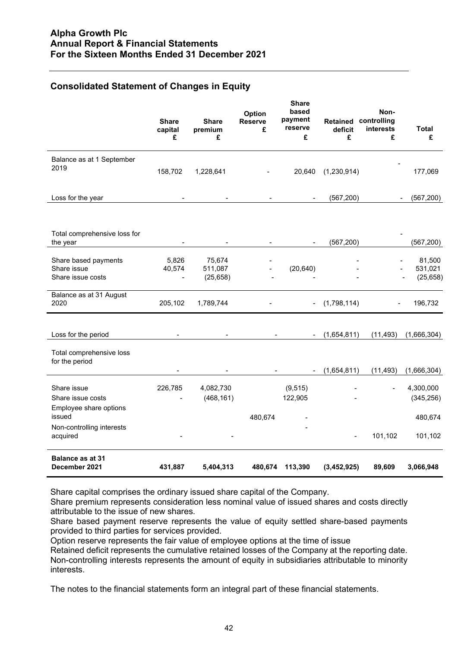## **Consolidated Statement of Changes in Equity**

|                                                                      | <b>Share</b><br>capital<br>£ | <b>Share</b><br>premium<br>£   | Option<br><b>Reserve</b><br>£ | <b>Share</b><br>based<br>payment<br>reserve<br>£ | Retained<br>deficit<br>£ | Non-<br>controlling<br>interests<br>£ | Total<br>£                     |
|----------------------------------------------------------------------|------------------------------|--------------------------------|-------------------------------|--------------------------------------------------|--------------------------|---------------------------------------|--------------------------------|
| Balance as at 1 September<br>2019                                    | 158,702                      | 1,228,641                      |                               | 20,640                                           | (1,230,914)              |                                       | 177,069                        |
| Loss for the year                                                    |                              |                                | $\blacksquare$                | $\blacksquare$                                   | (567, 200)               |                                       | (567, 200)                     |
| Total comprehensive loss for<br>the year                             |                              |                                |                               | $\overline{\phantom{a}}$                         | (567, 200)               |                                       | (567, 200)                     |
| Share based payments<br>Share issue<br>Share issue costs             | 5,826<br>40,574              | 75,674<br>511,087<br>(25, 658) |                               | (20, 640)                                        |                          |                                       | 81,500<br>531,021<br>(25, 658) |
| Balance as at 31 August<br>2020                                      | 205,102                      | 1,789,744                      |                               |                                                  | (1,798,114)              | $\overline{\phantom{a}}$              | 196,732                        |
| Loss for the period                                                  |                              |                                |                               | $\blacksquare$                                   | (1,654,811)              | (11, 493)                             | (1,666,304)                    |
| Total comprehensive loss<br>for the period                           |                              |                                |                               | $\overline{\phantom{a}}$                         | (1,654,811)              | (11, 493)                             | (1,666,304)                    |
| Share issue<br>Share issue costs<br>Employee share options<br>issued | 226,785                      | 4,082,730<br>(468, 161)        |                               | (9, 515)<br>122,905                              |                          |                                       | 4,300,000<br>(345, 256)        |
| Non-controlling interests<br>acquired                                |                              |                                | 480,674                       |                                                  | $\overline{\phantom{a}}$ | 101,102                               | 480,674<br>101,102             |
| <b>Balance as at 31</b><br>December 2021                             | 431,887                      | 5,404,313                      | 480,674                       | 113,390                                          | (3,452,925)              | 89,609                                | 3,066,948                      |

Share capital comprises the ordinary issued share capital of the Company.

Share premium represents consideration less nominal value of issued shares and costs directly attributable to the issue of new shares.

Share based payment reserve represents the value of equity settled share-based payments provided to third parties for services provided.

Option reserve represents the fair value of employee options at the time of issue

Retained deficit represents the cumulative retained losses of the Company at the reporting date. Non-controlling interests represents the amount of equity in subsidiaries attributable to minority interests.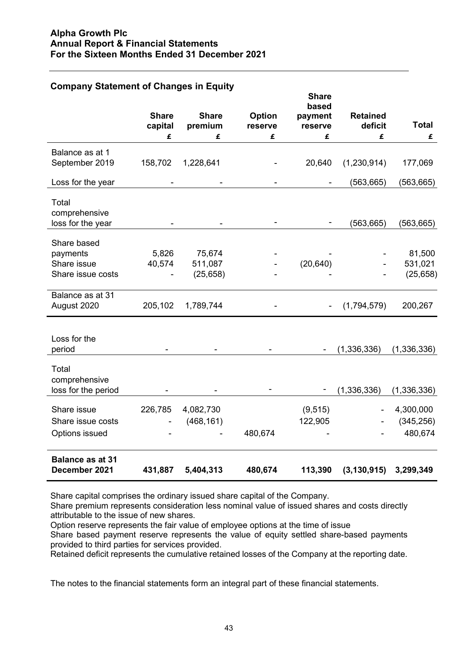| <b>Company Statement of Changes in Equity</b> |                         |                         |                   |                                             |                            |                      |
|-----------------------------------------------|-------------------------|-------------------------|-------------------|---------------------------------------------|----------------------------|----------------------|
|                                               | <b>Share</b><br>capital | <b>Share</b><br>premium | Option<br>reserve | <b>Share</b><br>based<br>payment<br>reserve | <b>Retained</b><br>deficit | <b>Total</b>         |
|                                               | £                       | £                       | £                 | £                                           | £                          | £                    |
| Balance as at 1<br>September 2019             | 158,702                 | 1,228,641               |                   | 20,640                                      | (1,230,914)                | 177,069              |
| Loss for the year                             |                         |                         |                   |                                             | (563, 665)                 | (563, 665)           |
| Total<br>comprehensive<br>loss for the year   |                         |                         |                   |                                             | (563, 665)                 | (563, 665)           |
| Share based<br>payments                       | 5,826                   | 75,674                  |                   |                                             |                            | 81,500               |
| Share issue<br>Share issue costs              | 40,574                  | 511,087<br>(25, 658)    |                   | (20, 640)                                   |                            | 531,021<br>(25, 658) |
|                                               |                         |                         |                   |                                             |                            |                      |
| Balance as at 31<br>August 2020               | 205,102                 | 1,789,744               |                   |                                             | (1,794,579)                | 200,267              |
| Loss for the<br>period                        |                         |                         |                   |                                             | (1, 336, 336)              | (1,336,336)          |
| Total<br>comprehensive<br>loss for the period |                         |                         |                   |                                             | (1, 336, 336)              | (1,336,336)          |
| Share issue                                   | 226,785                 | 4,082,730               |                   | (9, 515)                                    |                            | 4,300,000            |
| Share issue costs                             |                         | (468, 161)              |                   | 122,905                                     |                            | (345, 256)           |
| Options issued                                |                         |                         | 480,674           |                                             |                            | 480,674              |
| <b>Balance as at 31</b><br>December 2021      | 431,887                 | 5,404,313               | 480,674           | 113,390                                     | (3, 130, 915)              | 3,299,349            |

Share capital comprises the ordinary issued share capital of the Company.

Share premium represents consideration less nominal value of issued shares and costs directly attributable to the issue of new shares.

Option reserve represents the fair value of employee options at the time of issue

Share based payment reserve represents the value of equity settled share-based payments provided to third parties for services provided.

Retained deficit represents the cumulative retained losses of the Company at the reporting date.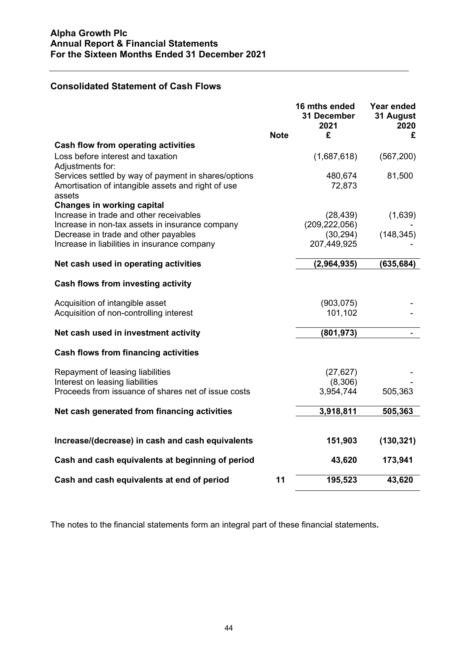## **Consolidated Statement of Cash Flows**

|                                                                                                                      | <b>Note</b> | 16 mths ended<br>31 December<br>2021<br>£ | Year ended<br>31 August<br>2020<br>£ |
|----------------------------------------------------------------------------------------------------------------------|-------------|-------------------------------------------|--------------------------------------|
| <b>Cash flow from operating activities</b>                                                                           |             |                                           |                                      |
| Loss before interest and taxation<br>Adjustments for:                                                                |             | (1,687,618)                               | (567, 200)                           |
| Services settled by way of payment in shares/options<br>Amortisation of intangible assets and right of use<br>assets |             | 480,674<br>72,873                         | 81,500                               |
| <b>Changes in working capital</b>                                                                                    |             |                                           |                                      |
| Increase in trade and other receivables<br>Increase in non-tax assets in insurance company                           |             | (28, 439)<br>(209, 222, 056)              | (1,639)                              |
| Decrease in trade and other payables<br>Increase in liabilities in insurance company                                 |             | (30, 294)<br>207,449,925                  | (148, 345)                           |
| Net cash used in operating activities                                                                                |             | (2,964,935)                               | (635, 684)                           |
| Cash flows from investing activity                                                                                   |             |                                           |                                      |
| Acquisition of intangible asset<br>Acquisition of non-controlling interest                                           |             | (903, 075)<br>101,102                     |                                      |
|                                                                                                                      |             |                                           |                                      |
| Net cash used in investment activity                                                                                 |             | (801, 973)                                |                                      |
| <b>Cash flows from financing activities</b>                                                                          |             |                                           |                                      |
| Repayment of leasing liabilities<br>Interest on leasing liabilities                                                  |             | (27, 627)<br>(8,306)                      |                                      |
| Proceeds from issuance of shares net of issue costs                                                                  |             | 3,954,744                                 | 505,363                              |
| Net cash generated from financing activities                                                                         |             | 3,918,811                                 | 505,363                              |
| Increase/(decrease) in cash and cash equivalents                                                                     |             | 151,903                                   | (130, 321)                           |
| Cash and cash equivalents at beginning of period                                                                     |             | 43,620                                    | 173,941                              |
| Cash and cash equivalents at end of period                                                                           | 11          | 195,523                                   | 43,620                               |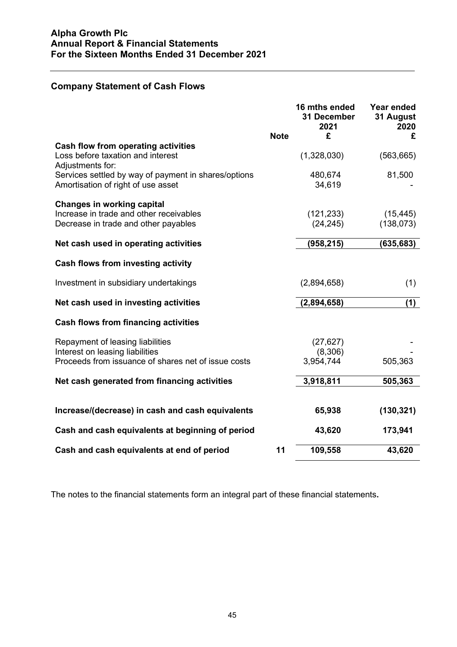## **Company Statement of Cash Flows**

|                                                                                              |             | 16 mths ended<br>31 December<br>2021 | Year ended<br>31 August<br>2020 |
|----------------------------------------------------------------------------------------------|-------------|--------------------------------------|---------------------------------|
|                                                                                              | <b>Note</b> | £                                    | £                               |
| Cash flow from operating activities<br>Loss before taxation and interest<br>Adjustments for: |             | (1,328,030)                          | (563, 665)                      |
| Services settled by way of payment in shares/options<br>Amortisation of right of use asset   |             | 480,674<br>34,619                    | 81,500                          |
| <b>Changes in working capital</b>                                                            |             |                                      |                                 |
| Increase in trade and other receivables<br>Decrease in trade and other payables              |             | (121, 233)<br>(24, 245)              | (15, 445)<br>(138, 073)         |
|                                                                                              |             |                                      |                                 |
| Net cash used in operating activities                                                        |             | (958, 215)                           | (635, 683)                      |
| Cash flows from investing activity                                                           |             |                                      |                                 |
| Investment in subsidiary undertakings                                                        |             | (2,894,658)                          | (1)                             |
| Net cash used in investing activities                                                        |             | (2,894,658)                          | (1)                             |
| <b>Cash flows from financing activities</b>                                                  |             |                                      |                                 |
| Repayment of leasing liabilities                                                             |             | (27, 627)                            |                                 |
| Interest on leasing liabilities<br>Proceeds from issuance of shares net of issue costs       |             | (8,306)<br>3,954,744                 | 505,363                         |
| Net cash generated from financing activities                                                 |             | 3,918,811                            | 505,363                         |
|                                                                                              |             |                                      |                                 |
| Increase/(decrease) in cash and cash equivalents                                             |             | 65,938                               | (130, 321)                      |
| Cash and cash equivalents at beginning of period                                             |             | 43,620                               | 173,941                         |
| Cash and cash equivalents at end of period                                                   | 11          | 109,558                              | 43,620                          |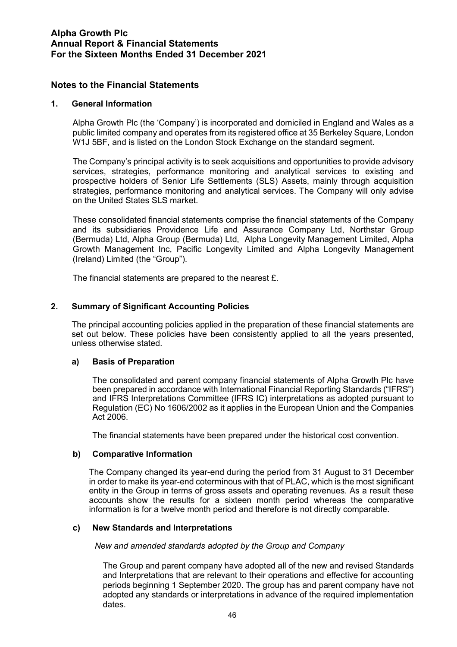## **Notes to the Financial Statements**

#### **1. General Information**

Alpha Growth Plc (the 'Company') is incorporated and domiciled in England and Wales as a public limited company and operates from its registered office at 35 Berkeley Square, London W1J 5BF, and is listed on the London Stock Exchange on the standard segment.

The Company's principal activity is to seek acquisitions and opportunities to provide advisory services, strategies, performance monitoring and analytical services to existing and prospective holders of Senior Life Settlements (SLS) Assets, mainly through acquisition strategies, performance monitoring and analytical services. The Company will only advise on the United States SLS market.

These consolidated financial statements comprise the financial statements of the Company and its subsidiaries Providence Life and Assurance Company Ltd, Northstar Group (Bermuda) Ltd, Alpha Group (Bermuda) Ltd, Alpha Longevity Management Limited, Alpha Growth Management Inc, Pacific Longevity Limited and Alpha Longevity Management (Ireland) Limited (the "Group").

The financial statements are prepared to the nearest £.

#### **2. Summary of Significant Accounting Policies**

The principal accounting policies applied in the preparation of these financial statements are set out below. These policies have been consistently applied to all the years presented, unless otherwise stated.

#### **a) Basis of Preparation**

The consolidated and parent company financial statements of Alpha Growth Plc have been prepared in accordance with International Financial Reporting Standards ("IFRS") and IFRS Interpretations Committee (IFRS IC) interpretations as adopted pursuant to Regulation (EC) No 1606/2002 as it applies in the European Union and the Companies Act 2006.

The financial statements have been prepared under the historical cost convention.

#### **b) Comparative Information**

The Company changed its year-end during the period from 31 August to 31 December in order to make its year-end coterminous with that of PLAC, which is the most significant entity in the Group in terms of gross assets and operating revenues. As a result these accounts show the results for a sixteen month period whereas the comparative information is for a twelve month period and therefore is not directly comparable.

#### **c) New Standards and Interpretations**

*New and amended standards adopted by the Group and Company*

The Group and parent company have adopted all of the new and revised Standards and Interpretations that are relevant to their operations and effective for accounting periods beginning 1 September 2020. The group has and parent company have not adopted any standards or interpretations in advance of the required implementation dates.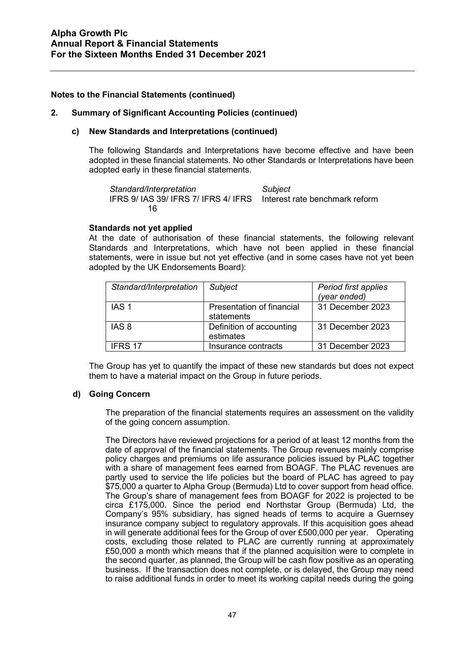#### **2. Summary of Significant Accounting Policies (continued)**

## **c) New Standards and Interpretations (continued)**

The following Standards and Interpretations have become effective and have been adopted in these financial statements. No other Standards or Interpretations have been adopted early in these financial statements.

*Standard/Interpretation Subject* IFRS 9/ IAS 39/ IFRS 7/ IFRS 4/ IFRS Interest rate benchmark reform 16

#### **Standards not yet applied**

At the date of authorisation of these financial statements, the following relevant Standards and Interpretations, which have not been applied in these financial statements, were in issue but not yet effective (and in some cases have not yet been adopted by the UK Endorsements Board):

| Standard/Interpretation | Subject                                 | Period first applies<br>(year ended) |
|-------------------------|-----------------------------------------|--------------------------------------|
| IAS <sub>1</sub>        | Presentation of financial<br>statements | 31 December 2023                     |
| IAS 8                   | Definition of accounting<br>estimates   | 31 December 2023                     |
| IFRS 17                 | Insurance contracts                     | 31 December 2023                     |

The Group has yet to quantify the impact of these new standards but does not expect them to have a material impact on the Group in future periods.

#### **d) Going Concern**

The preparation of the financial statements requires an assessment on the validity of the going concern assumption.

The Directors have reviewed projections for a period of at least 12 months from the date of approval of the financial statements. The Group revenues mainly comprise policy charges and premiums on life assurance policies issued by PLAC together with a share of management fees earned from BOAGF. The PLAC revenues are partly used to service the life policies but the board of PLAC has agreed to pay \$75,000 a quarter to Alpha Group (Bermuda) Ltd to cover support from head office. The Group's share of management fees from BOAGF for 2022 is projected to be circa £175,000. Since the period end Northstar Group (Bermuda) Ltd, the Company's 95% subsidiary, has signed heads of terms to acquire a Guernsey insurance company subject to regulatory approvals. If this acquisition goes ahead in will generate additional fees for the Group of over £500,000 per year. Operating costs, excluding those related to PLAC are currently running at approximately £50,000 a month which means that if the planned acquisition were to complete in the second quarter, as planned, the Group will be cash flow positive as an operating business. If the transaction does not complete, or is delayed, the Group may need to raise additional funds in order to meet its working capital needs during the going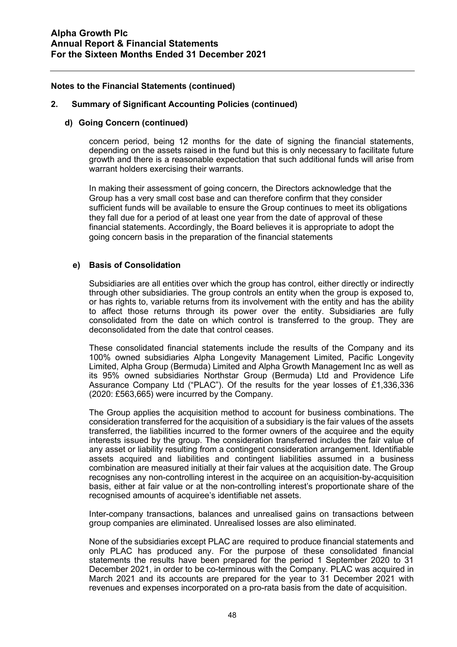#### **2. Summary of Significant Accounting Policies (continued)**

#### **d) Going Concern (continued)**

concern period, being 12 months for the date of signing the financial statements, depending on the assets raised in the fund but this is only necessary to facilitate future growth and there is a reasonable expectation that such additional funds will arise from warrant holders exercising their warrants.

In making their assessment of going concern, the Directors acknowledge that the Group has a very small cost base and can therefore confirm that they consider sufficient funds will be available to ensure the Group continues to meet its obligations they fall due for a period of at least one year from the date of approval of these financial statements. Accordingly, the Board believes it is appropriate to adopt the going concern basis in the preparation of the financial statements

#### **e) Basis of Consolidation**

Subsidiaries are all entities over which the group has control, either directly or indirectly through other subsidiaries. The group controls an entity when the group is exposed to, or has rights to, variable returns from its involvement with the entity and has the ability to affect those returns through its power over the entity. Subsidiaries are fully consolidated from the date on which control is transferred to the group. They are deconsolidated from the date that control ceases.

These consolidated financial statements include the results of the Company and its 100% owned subsidiaries Alpha Longevity Management Limited, Pacific Longevity Limited, Alpha Group (Bermuda) Limited and Alpha Growth Management Inc as well as its 95% owned subsidiaries Northstar Group (Bermuda) Ltd and Providence Life Assurance Company Ltd ("PLAC"). Of the results for the year losses of £1,336,336 (2020: £563,665) were incurred by the Company.

The Group applies the acquisition method to account for business combinations. The consideration transferred for the acquisition of a subsidiary is the fair values of the assets transferred, the liabilities incurred to the former owners of the acquiree and the equity interests issued by the group. The consideration transferred includes the fair value of any asset or liability resulting from a contingent consideration arrangement. Identifiable assets acquired and liabilities and contingent liabilities assumed in a business combination are measured initially at their fair values at the acquisition date. The Group recognises any non-controlling interest in the acquiree on an acquisition-by-acquisition basis, either at fair value or at the non-controlling interest's proportionate share of the recognised amounts of acquiree's identifiable net assets.

Inter-company transactions, balances and unrealised gains on transactions between group companies are eliminated. Unrealised losses are also eliminated.

None of the subsidiaries except PLAC are required to produce financial statements and only PLAC has produced any. For the purpose of these consolidated financial statements the results have been prepared for the period 1 September 2020 to 31 December 2021, in order to be co-terminous with the Company. PLAC was acquired in March 2021 and its accounts are prepared for the year to 31 December 2021 with revenues and expenses incorporated on a pro-rata basis from the date of acquisition.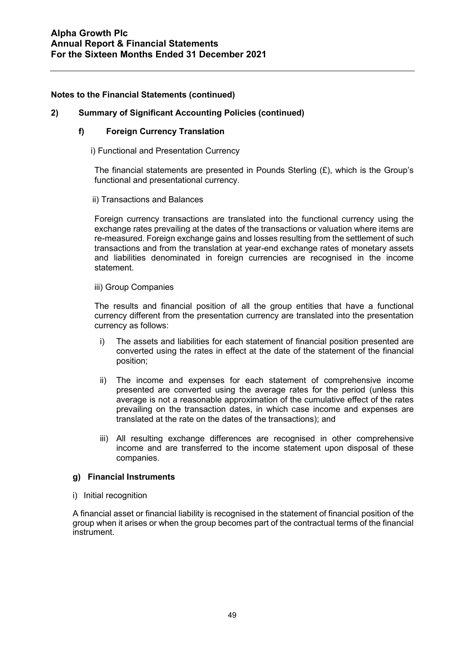## **2) Summary of Significant Accounting Policies (continued)**

#### **f) Foreign Currency Translation**

i) Functional and Presentation Currency

The financial statements are presented in Pounds Sterling  $(E)$ , which is the Group's functional and presentational currency.

ii) Transactions and Balances

Foreign currency transactions are translated into the functional currency using the exchange rates prevailing at the dates of the transactions or valuation where items are re-measured. Foreign exchange gains and losses resulting from the settlement of such transactions and from the translation at year-end exchange rates of monetary assets and liabilities denominated in foreign currencies are recognised in the income statement.

#### iii) Group Companies

The results and financial position of all the group entities that have a functional currency different from the presentation currency are translated into the presentation currency as follows:

- i) The assets and liabilities for each statement of financial position presented are converted using the rates in effect at the date of the statement of the financial position;
- ii) The income and expenses for each statement of comprehensive income presented are converted using the average rates for the period (unless this average is not a reasonable approximation of the cumulative effect of the rates prevailing on the transaction dates, in which case income and expenses are translated at the rate on the dates of the transactions); and
- iii) All resulting exchange differences are recognised in other comprehensive income and are transferred to the income statement upon disposal of these companies.

## **g) Financial Instruments**

i) Initial recognition

A financial asset or financial liability is recognised in the statement of financial position of the group when it arises or when the group becomes part of the contractual terms of the financial instrument.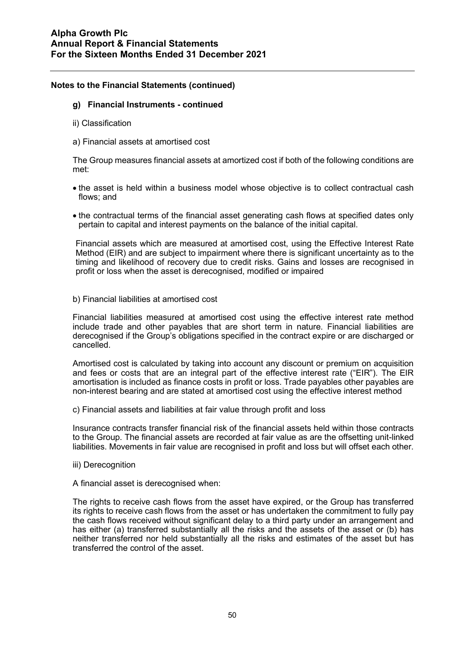#### **g) Financial Instruments - continued**

- ii) Classification
- a) Financial assets at amortised cost

The Group measures financial assets at amortized cost if both of the following conditions are met:

- the asset is held within a business model whose objective is to collect contractual cash flows; and
- the contractual terms of the financial asset generating cash flows at specified dates only pertain to capital and interest payments on the balance of the initial capital.

Financial assets which are measured at amortised cost, using the Effective Interest Rate Method (EIR) and are subject to impairment where there is significant uncertainty as to the timing and likelihood of recovery due to credit risks. Gains and losses are recognised in profit or loss when the asset is derecognised, modified or impaired

b) Financial liabilities at amortised cost

Financial liabilities measured at amortised cost using the effective interest rate method include trade and other payables that are short term in nature. Financial liabilities are derecognised if the Group's obligations specified in the contract expire or are discharged or cancelled.

Amortised cost is calculated by taking into account any discount or premium on acquisition and fees or costs that are an integral part of the effective interest rate ("EIR"). The EIR amortisation is included as finance costs in profit or loss. Trade payables other payables are non-interest bearing and are stated at amortised cost using the effective interest method

c) Financial assets and liabilities at fair value through profit and loss

Insurance contracts transfer financial risk of the financial assets held within those contracts to the Group. The financial assets are recorded at fair value as are the offsetting unit-linked liabilities. Movements in fair value are recognised in profit and loss but will offset each other.

- iii) Derecognition
- A financial asset is derecognised when:

The rights to receive cash flows from the asset have expired, or the Group has transferred its rights to receive cash flows from the asset or has undertaken the commitment to fully pay the cash flows received without significant delay to a third party under an arrangement and has either (a) transferred substantially all the risks and the assets of the asset or (b) has neither transferred nor held substantially all the risks and estimates of the asset but has transferred the control of the asset.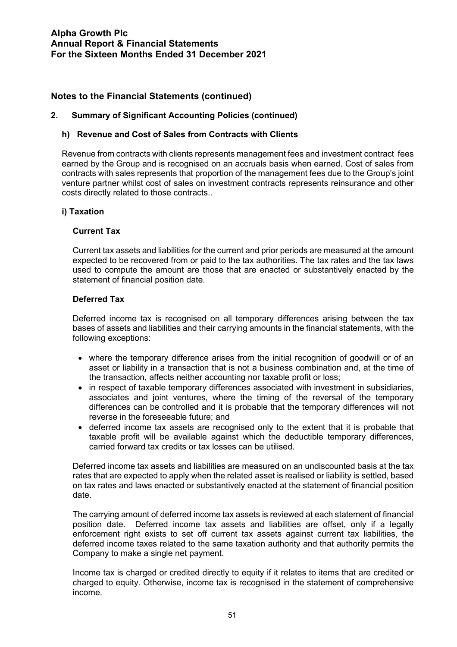## **2. Summary of Significant Accounting Policies (continued)**

#### **h) Revenue and Cost of Sales from Contracts with Clients**

Revenue from contracts with clients represents management fees and investment contract fees earned by the Group and is recognised on an accruals basis when earned. Cost of sales from contracts with sales represents that proportion of the management fees due to the Group's joint venture partner whilst cost of sales on investment contracts represents reinsurance and other costs directly related to those contracts..

#### **i) Taxation**

#### **Current Tax**

Current tax assets and liabilities for the current and prior periods are measured at the amount expected to be recovered from or paid to the tax authorities. The tax rates and the tax laws used to compute the amount are those that are enacted or substantively enacted by the statement of financial position date.

#### **Deferred Tax**

Deferred income tax is recognised on all temporary differences arising between the tax bases of assets and liabilities and their carrying amounts in the financial statements, with the following exceptions:

- where the temporary difference arises from the initial recognition of goodwill or of an asset or liability in a transaction that is not a business combination and, at the time of the transaction, affects neither accounting nor taxable profit or loss;
- in respect of taxable temporary differences associated with investment in subsidiaries, associates and joint ventures, where the timing of the reversal of the temporary differences can be controlled and it is probable that the temporary differences will not reverse in the foreseeable future; and
- deferred income tax assets are recognised only to the extent that it is probable that taxable profit will be available against which the deductible temporary differences, carried forward tax credits or tax losses can be utilised.

Deferred income tax assets and liabilities are measured on an undiscounted basis at the tax rates that are expected to apply when the related asset is realised or liability is settled, based on tax rates and laws enacted or substantively enacted at the statement of financial position date.

The carrying amount of deferred income tax assets is reviewed at each statement of financial position date. Deferred income tax assets and liabilities are offset, only if a legally enforcement right exists to set off current tax assets against current tax liabilities, the deferred income taxes related to the same taxation authority and that authority permits the Company to make a single net payment.

Income tax is charged or credited directly to equity if it relates to items that are credited or charged to equity. Otherwise, income tax is recognised in the statement of comprehensive income.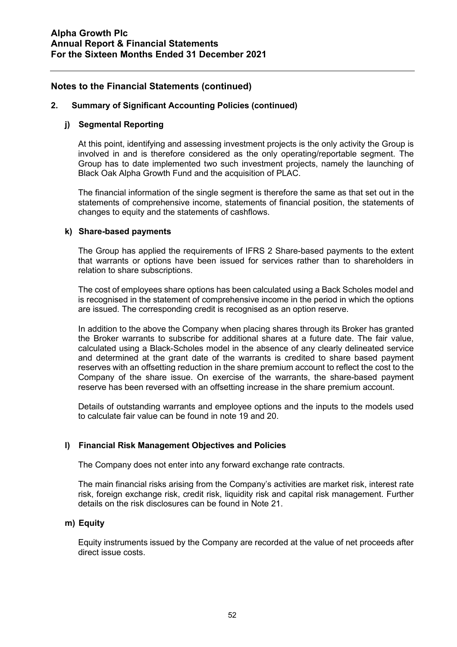#### **2. Summary of Significant Accounting Policies (continued)**

#### **j) Segmental Reporting**

At this point, identifying and assessing investment projects is the only activity the Group is involved in and is therefore considered as the only operating/reportable segment. The Group has to date implemented two such investment projects, namely the launching of Black Oak Alpha Growth Fund and the acquisition of PLAC.

The financial information of the single segment is therefore the same as that set out in the statements of comprehensive income, statements of financial position, the statements of changes to equity and the statements of cashflows.

#### **k) Share-based payments**

The Group has applied the requirements of IFRS 2 Share-based payments to the extent that warrants or options have been issued for services rather than to shareholders in relation to share subscriptions.

The cost of employees share options has been calculated using a Back Scholes model and is recognised in the statement of comprehensive income in the period in which the options are issued. The corresponding credit is recognised as an option reserve.

In addition to the above the Company when placing shares through its Broker has granted the Broker warrants to subscribe for additional shares at a future date. The fair value, calculated using a Black-Scholes model in the absence of any clearly delineated service and determined at the grant date of the warrants is credited to share based payment reserves with an offsetting reduction in the share premium account to reflect the cost to the Company of the share issue. On exercise of the warrants, the share-based payment reserve has been reversed with an offsetting increase in the share premium account.

Details of outstanding warrants and employee options and the inputs to the models used to calculate fair value can be found in note 19 and 20.

## **l) Financial Risk Management Objectives and Policies**

The Company does not enter into any forward exchange rate contracts.

The main financial risks arising from the Company's activities are market risk, interest rate risk, foreign exchange risk, credit risk, liquidity risk and capital risk management. Further details on the risk disclosures can be found in Note 21.

#### **m) Equity**

Equity instruments issued by the Company are recorded at the value of net proceeds after direct issue costs.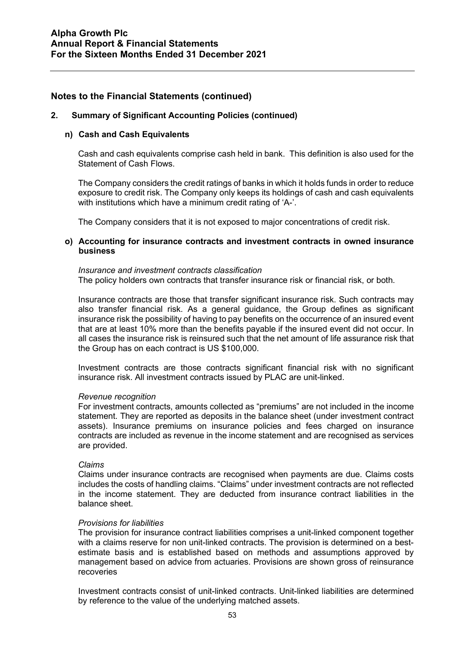#### **2. Summary of Significant Accounting Policies (continued)**

#### **n) Cash and Cash Equivalents**

Cash and cash equivalents comprise cash held in bank. This definition is also used for the Statement of Cash Flows.

The Company considers the credit ratings of banks in which it holds funds in order to reduce exposure to credit risk. The Company only keeps its holdings of cash and cash equivalents with institutions which have a minimum credit rating of 'A-'.

The Company considers that it is not exposed to major concentrations of credit risk.

#### **o) Accounting for insurance contracts and investment contracts in owned insurance business**

#### *Insurance and investment contracts classification*

The policy holders own contracts that transfer insurance risk or financial risk, or both.

Insurance contracts are those that transfer significant insurance risk. Such contracts may also transfer financial risk. As a general guidance, the Group defines as significant insurance risk the possibility of having to pay benefits on the occurrence of an insured event that are at least 10% more than the benefits payable if the insured event did not occur. In all cases the insurance risk is reinsured such that the net amount of life assurance risk that the Group has on each contract is US \$100,000.

Investment contracts are those contracts significant financial risk with no significant insurance risk. All investment contracts issued by PLAC are unit-linked.

#### *Revenue recognition*

For investment contracts, amounts collected as "premiums" are not included in the income statement. They are reported as deposits in the balance sheet (under investment contract assets). Insurance premiums on insurance policies and fees charged on insurance contracts are included as revenue in the income statement and are recognised as services are provided.

#### *Claims*

Claims under insurance contracts are recognised when payments are due. Claims costs includes the costs of handling claims. "Claims" under investment contracts are not reflected in the income statement. They are deducted from insurance contract liabilities in the balance sheet.

#### *Provisions for liabilities*

The provision for insurance contract liabilities comprises a unit-linked component together with a claims reserve for non unit-linked contracts. The provision is determined on a bestestimate basis and is established based on methods and assumptions approved by management based on advice from actuaries. Provisions are shown gross of reinsurance recoveries

Investment contracts consist of unit-linked contracts. Unit-linked liabilities are determined by reference to the value of the underlying matched assets.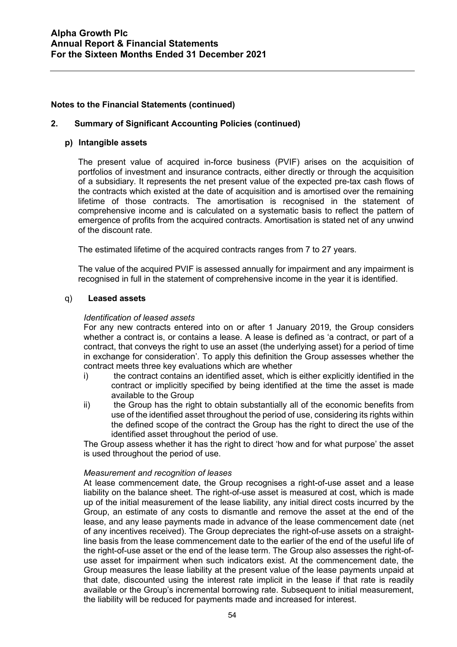#### **2. Summary of Significant Accounting Policies (continued)**

#### **p) Intangible assets**

The present value of acquired in-force business (PVIF) arises on the acquisition of portfolios of investment and insurance contracts, either directly or through the acquisition of a subsidiary. It represents the net present value of the expected pre-tax cash flows of the contracts which existed at the date of acquisition and is amortised over the remaining lifetime of those contracts. The amortisation is recognised in the statement of comprehensive income and is calculated on a systematic basis to reflect the pattern of emergence of profits from the acquired contracts. Amortisation is stated net of any unwind of the discount rate.

The estimated lifetime of the acquired contracts ranges from 7 to 27 years.

The value of the acquired PVIF is assessed annually for impairment and any impairment is recognised in full in the statement of comprehensive income in the year it is identified.

#### q) **Leased assets**

#### *Identification of leased assets*

For any new contracts entered into on or after 1 January 2019, the Group considers whether a contract is, or contains a lease. A lease is defined as 'a contract, or part of a contract, that conveys the right to use an asset (the underlying asset) for a period of time in exchange for consideration'. To apply this definition the Group assesses whether the contract meets three key evaluations which are whether

- i) the contract contains an identified asset, which is either explicitly identified in the contract or implicitly specified by being identified at the time the asset is made available to the Group
- ii) the Group has the right to obtain substantially all of the economic benefits from use of the identified asset throughout the period of use, considering its rights within the defined scope of the contract the Group has the right to direct the use of the identified asset throughout the period of use.

The Group assess whether it has the right to direct 'how and for what purpose' the asset is used throughout the period of use.

#### *Measurement and recognition of leases*

At lease commencement date, the Group recognises a right-of-use asset and a lease liability on the balance sheet. The right-of-use asset is measured at cost, which is made up of the initial measurement of the lease liability, any initial direct costs incurred by the Group, an estimate of any costs to dismantle and remove the asset at the end of the lease, and any lease payments made in advance of the lease commencement date (net of any incentives received). The Group depreciates the right-of-use assets on a straightline basis from the lease commencement date to the earlier of the end of the useful life of the right-of-use asset or the end of the lease term. The Group also assesses the right-ofuse asset for impairment when such indicators exist. At the commencement date, the Group measures the lease liability at the present value of the lease payments unpaid at that date, discounted using the interest rate implicit in the lease if that rate is readily available or the Group's incremental borrowing rate. Subsequent to initial measurement, the liability will be reduced for payments made and increased for interest.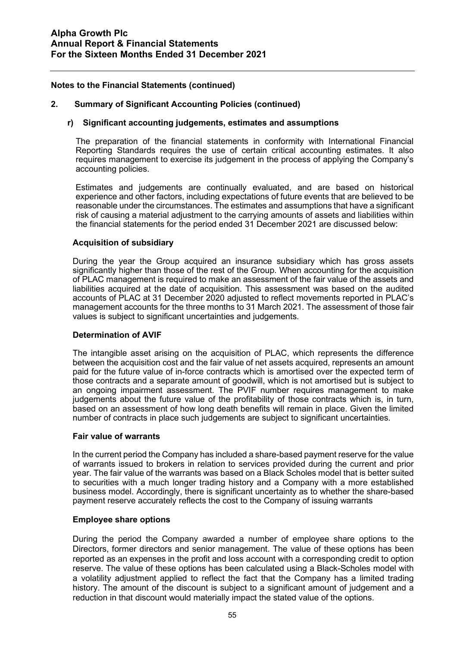#### **2. Summary of Significant Accounting Policies (continued)**

#### **r) Significant accounting judgements, estimates and assumptions**

The preparation of the financial statements in conformity with International Financial Reporting Standards requires the use of certain critical accounting estimates. It also requires management to exercise its judgement in the process of applying the Company's accounting policies.

Estimates and judgements are continually evaluated, and are based on historical experience and other factors, including expectations of future events that are believed to be reasonable under the circumstances. The estimates and assumptions that have a significant risk of causing a material adjustment to the carrying amounts of assets and liabilities within the financial statements for the period ended 31 December 2021 are discussed below:

#### **Acquisition of subsidiary**

During the year the Group acquired an insurance subsidiary which has gross assets significantly higher than those of the rest of the Group. When accounting for the acquisition of PLAC management is required to make an assessment of the fair value of the assets and liabilities acquired at the date of acquisition. This assessment was based on the audited accounts of PLAC at 31 December 2020 adjusted to reflect movements reported in PLAC's management accounts for the three months to 31 March 2021. The assessment of those fair values is subject to significant uncertainties and judgements.

#### **Determination of AVIF**

The intangible asset arising on the acquisition of PLAC, which represents the difference between the acquisition cost and the fair value of net assets acquired, represents an amount paid for the future value of in-force contracts which is amortised over the expected term of those contracts and a separate amount of goodwill, which is not amortised but is subject to an ongoing impairment assessment. The PVIF number requires management to make judgements about the future value of the profitability of those contracts which is, in turn, based on an assessment of how long death benefits will remain in place. Given the limited number of contracts in place such judgements are subject to significant uncertainties.

#### **Fair value of warrants**

In the current period the Company has included a share-based payment reserve for the value of warrants issued to brokers in relation to services provided during the current and prior year. The fair value of the warrants was based on a Black Scholes model that is better suited to securities with a much longer trading history and a Company with a more established business model. Accordingly, there is significant uncertainty as to whether the share-based payment reserve accurately reflects the cost to the Company of issuing warrants

#### **Employee share options**

During the period the Company awarded a number of employee share options to the Directors, former directors and senior management. The value of these options has been reported as an expenses in the profit and loss account with a corresponding credit to option reserve. The value of these options has been calculated using a Black-Scholes model with a volatility adjustment applied to reflect the fact that the Company has a limited trading history. The amount of the discount is subject to a significant amount of judgement and a reduction in that discount would materially impact the stated value of the options.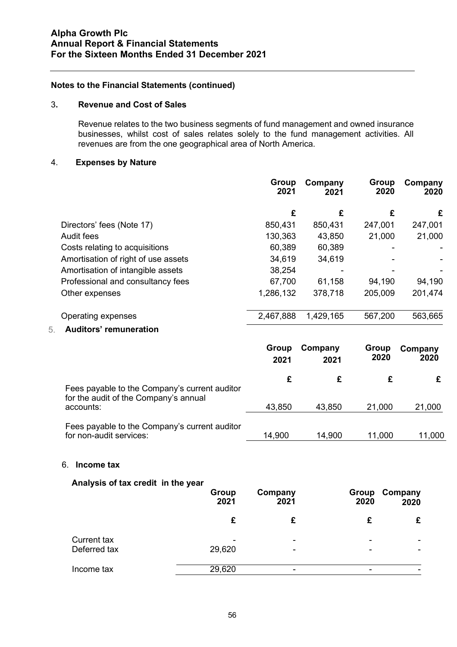#### 3**. Revenue and Cost of Sales**

Revenue relates to the two business segments of fund management and owned insurance businesses, whilst cost of sales relates solely to the fund management activities. All revenues are from the one geographical area of North America.

#### 4. **Expenses by Nature**

|                                     | <b>Group</b><br>2021 | Company<br>2021 | <b>Group</b><br>2020 | Company<br>2020 |
|-------------------------------------|----------------------|-----------------|----------------------|-----------------|
|                                     | £                    | £               | £                    | £               |
| Directors' fees (Note 17)           | 850,431              | 850,431         | 247,001              | 247,001         |
| Audit fees                          | 130,363              | 43,850          | 21,000               | 21,000          |
| Costs relating to acquisitions      | 60,389               | 60,389          |                      |                 |
| Amortisation of right of use assets | 34,619               | 34,619          |                      |                 |
| Amortisation of intangible assets   | 38,254               |                 |                      |                 |
| Professional and consultancy fees   | 67,700               | 61,158          | 94,190               | 94,190          |
| Other expenses                      | 1,286,132            | 378,718         | 205,009              | 201,474         |
| Operating expenses                  | 2,467,888            | 1,429,165       | 567,200              | 563,665         |
| <b>Auditors' remuneration</b><br>5. |                      |                 |                      |                 |

#### **Group Company 2021 2021 Group 2020 Company 2020 £ £ £ £** Fees payable to the Company's current auditor for the audit of the Company's annual accounts: 43,850 43,850 21,000 21,000 Fees payable to the Company's current auditor for non-audit services: 14,900 14,900 11,000 11,000 11,000

#### 6. **Income tax**

## **Analysis of tax credit in the year**

| . .                                | <b>Group</b><br>2021 | Company<br>2021 | Group<br>2020 | Company<br>2020 |
|------------------------------------|----------------------|-----------------|---------------|-----------------|
|                                    |                      |                 |               |                 |
| <b>Current tax</b><br>Deferred tax | ۰<br>29,620          | ۰               | ۰             |                 |
| Income tax                         | 29,620               |                 |               |                 |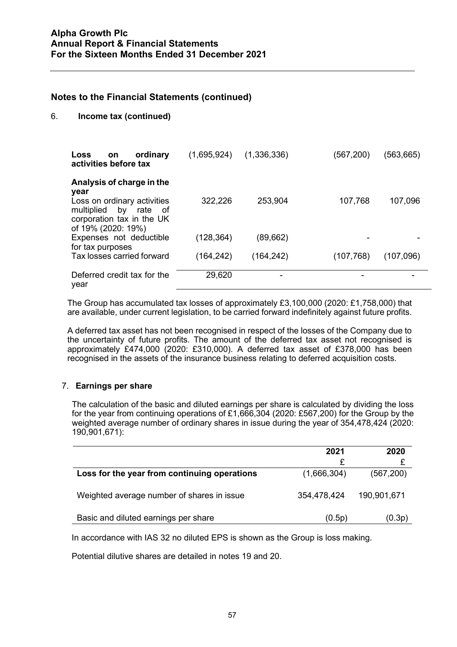#### 6. **Income tax (continued)**

| ordinary<br><b>Loss</b><br><b>on</b><br>activities before tax                                                                | (1,695,924) | (1,336,336) | (567,200)  | (563,665) |
|------------------------------------------------------------------------------------------------------------------------------|-------------|-------------|------------|-----------|
| Analysis of charge in the<br>year<br>Loss on ordinary activities<br>multiplied<br>by<br>rate of<br>corporation tax in the UK | 322,226     | 253,904     | 107,768    | 107,096   |
| of 19% (2020: 19%)<br>Expenses not deductible                                                                                | (128, 364)  | (89,662)    |            |           |
| for tax purposes<br>Tax losses carried forward                                                                               | (164, 242)  | (164, 242)  | (107, 768) | (107,096) |
| Deferred credit tax for the<br>year                                                                                          | 29,620      | -           |            |           |

The Group has accumulated tax losses of approximately £3,100,000 (2020: £1,758,000) that are available, under current legislation, to be carried forward indefinitely against future profits.

A deferred tax asset has not been recognised in respect of the losses of the Company due to the uncertainty of future profits. The amount of the deferred tax asset not recognised is approximately £474,000 (2020: £310,000). A deferred tax asset of £378,000 has been recognised in the assets of the insurance business relating to deferred acquisition costs.

## 7. **Earnings per share**

The calculation of the basic and diluted earnings per share is calculated by dividing the loss for the year from continuing operations of £1,666,304 (2020: £567,200) for the Group by the weighted average number of ordinary shares in issue during the year of 354,478,424 (2020: 190,901,671):

|                                              | 2021        | 2020        |
|----------------------------------------------|-------------|-------------|
|                                              | ₽           |             |
| Loss for the year from continuing operations | (1,666,304) | (567, 200)  |
| Weighted average number of shares in issue   | 354,478,424 | 190,901,671 |
| Basic and diluted earnings per share         | (0.5p)      | (0.3p)      |

In accordance with IAS 32 no diluted EPS is shown as the Group is loss making.

Potential dilutive shares are detailed in notes 19 and 20.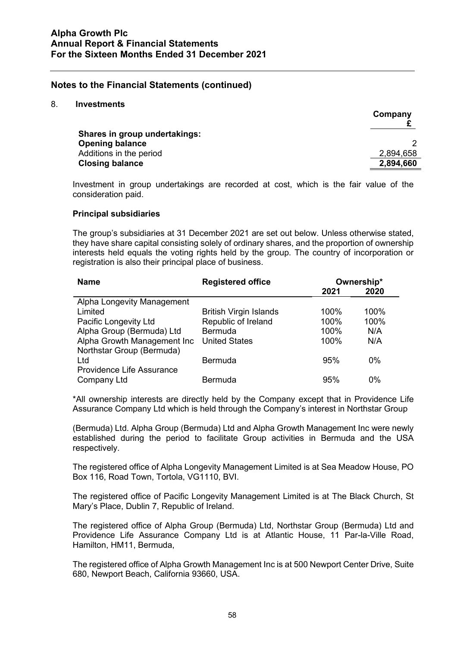#### 8. **Investments**

|                                      | Company   |
|--------------------------------------|-----------|
| <b>Shares in group undertakings:</b> |           |
| <b>Opening balance</b>               |           |
| Additions in the period              | 2,894,658 |
| <b>Closing balance</b>               | 2,894,660 |

Investment in group undertakings are recorded at cost, which is the fair value of the consideration paid.

#### **Principal subsidiaries**

The group's subsidiaries at 31 December 2021 are set out below. Unless otherwise stated, they have share capital consisting solely of ordinary shares, and the proportion of ownership interests held equals the voting rights held by the group. The country of incorporation or registration is also their principal place of business.

| <b>Name</b>                      | <b>Registered office</b>      | Ownership* |      |
|----------------------------------|-------------------------------|------------|------|
|                                  |                               | 2021       | 2020 |
| Alpha Longevity Management       |                               |            |      |
| Limited                          | <b>British Virgin Islands</b> | $100\%$    | 100% |
| Pacific Longevity Ltd            | Republic of Ireland           | 100%       | 100% |
| Alpha Group (Bermuda) Ltd        | <b>Bermuda</b>                | 100%       | N/A  |
| Alpha Growth Management Inc      | <b>United States</b>          | 100%       | N/A  |
| Northstar Group (Bermuda)        |                               |            |      |
| Ltd                              | <b>Bermuda</b>                | 95%        | 0%   |
| <b>Providence Life Assurance</b> |                               |            |      |
| Company Ltd                      | Bermuda                       | 95%        | 0%   |

\*All ownership interests are directly held by the Company except that in Providence Life Assurance Company Ltd which is held through the Company's interest in Northstar Group

(Bermuda) Ltd. Alpha Group (Bermuda) Ltd and Alpha Growth Management Inc were newly established during the period to facilitate Group activities in Bermuda and the USA respectively.

The registered office of Alpha Longevity Management Limited is at Sea Meadow House, PO Box 116, Road Town, Tortola, VG1110, BVI.

The registered office of Pacific Longevity Management Limited is at The Black Church, St Mary's Place, Dublin 7, Republic of Ireland.

The registered office of Alpha Group (Bermuda) Ltd, Northstar Group (Bermuda) Ltd and Providence Life Assurance Company Ltd is at Atlantic House, 11 Par-la-Ville Road, Hamilton, HM11, Bermuda,

The registered office of Alpha Growth Management Inc is at 500 Newport Center Drive, Suite 680, Newport Beach, California 93660, USA.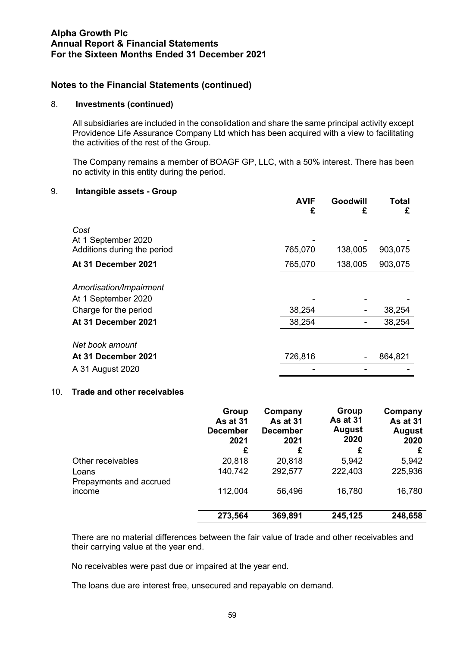#### 8. **Investments (continued)**

All subsidiaries are included in the consolidation and share the same principal activity except Providence Life Assurance Company Ltd which has been acquired with a view to facilitating the activities of the rest of the Group.

The Company remains a member of BOAGF GP, LLC, with a 50% interest. There has been no activity in this entity during the period.

#### 9. **Intangible assets - Group**

|                                                | <b>AVIF</b><br>£ | Goodwill<br>£ | Total<br>£ |
|------------------------------------------------|------------------|---------------|------------|
| Cost<br>At 1 September 2020                    |                  |               |            |
| Additions during the period                    | 765,070          | 138,005       | 903,075    |
| At 31 December 2021                            | 765,070          | 138,005       | 903,075    |
| Amortisation/Impairment<br>At 1 September 2020 |                  |               |            |
| Charge for the period                          | 38,254           |               | 38,254     |
| At 31 December 2021                            | 38,254           |               | 38,254     |
| Net book amount                                |                  |               |            |
| At 31 December 2021                            | 726,816          |               | 864,821    |
| A 31 August 2020                               |                  |               |            |

#### 10. **Trade and other receivables**

|                                  | Group<br>As at 31<br><b>December</b><br>2021<br>£ | Company<br><b>As at 31</b><br><b>December</b><br>2021<br>£ | Group<br>As at 31<br><b>August</b><br>2020<br>£ | Company<br>As at 31<br><b>August</b><br>2020<br>£ |
|----------------------------------|---------------------------------------------------|------------------------------------------------------------|-------------------------------------------------|---------------------------------------------------|
| Other receivables                | 20,818                                            | 20,818                                                     | 5,942                                           | 5,942                                             |
| Loans<br>Prepayments and accrued | 140,742                                           | 292,577                                                    | 222,403                                         | 225,936                                           |
| income                           | 112,004                                           | 56,496                                                     | 16,780                                          | 16,780                                            |
|                                  | 273,564                                           | 369,891                                                    | 245,125                                         | 248,658                                           |

There are no material differences between the fair value of trade and other receivables and their carrying value at the year end.

No receivables were past due or impaired at the year end.

The loans due are interest free, unsecured and repayable on demand.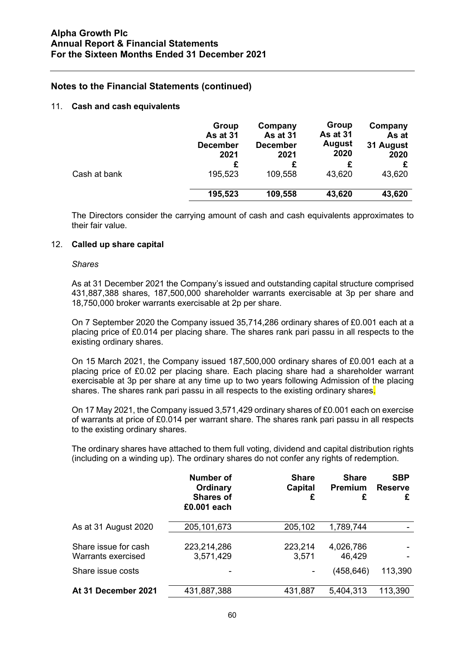#### 11. **Cash and cash equivalents**

|              | Group<br>As at 31<br><b>December</b><br>2021 | Company<br>As at 31<br><b>December</b><br>2021 | Group<br>As at 31<br><b>August</b><br>2020 | Company<br>As at<br>31 August<br>2020 |
|--------------|----------------------------------------------|------------------------------------------------|--------------------------------------------|---------------------------------------|
|              | £                                            |                                                |                                            |                                       |
| Cash at bank | 195,523                                      | 109,558                                        | 43,620                                     | 43,620                                |
|              | 195,523                                      | 109,558                                        | 43,620                                     | 43,620                                |

The Directors consider the carrying amount of cash and cash equivalents approximates to their fair value.

#### 12. **Called up share capital**

#### *Shares*

As at 31 December 2021 the Company's issued and outstanding capital structure comprised 431,887,388 shares, 187,500,000 shareholder warrants exercisable at 3p per share and 18,750,000 broker warrants exercisable at 2p per share.

On 7 September 2020 the Company issued 35,714,286 ordinary shares of £0.001 each at a placing price of £0.014 per placing share. The shares rank pari passu in all respects to the existing ordinary shares.

On 15 March 2021, the Company issued 187,500,000 ordinary shares of £0.001 each at a placing price of £0.02 per placing share. Each placing share had a shareholder warrant exercisable at 3p per share at any time up to two years following Admission of the placing shares. The shares rank pari passu in all respects to the existing ordinary shares.

On 17 May 2021, the Company issued 3,571,429 ordinary shares of £0.001 each on exercise of warrants at price of £0.014 per warrant share. The shares rank pari passu in all respects to the existing ordinary shares.

The ordinary shares have attached to them full voting, dividend and capital distribution rights (including on a winding up). The ordinary shares do not confer any rights of redemption.

|                                            | Number of<br>Ordinary<br><b>Shares of</b><br>£0.001 each | <b>Share</b><br>Capital<br>£ | <b>Share</b><br><b>Premium</b><br>£ | <b>SBP</b><br><b>Reserve</b><br>£ |
|--------------------------------------------|----------------------------------------------------------|------------------------------|-------------------------------------|-----------------------------------|
| As at 31 August 2020                       | 205, 101, 673                                            | 205,102                      | 1,789,744                           |                                   |
| Share issue for cash<br>Warrants exercised | 223,214,286<br>3,571,429                                 | 223,214<br>3,571             | 4,026,786<br>46,429                 |                                   |
| Share issue costs                          |                                                          |                              | (458, 646)                          | 113,390                           |
| At 31 December 2021                        | 431,887,388                                              | 431,887                      | 5,404,313                           | 113,390                           |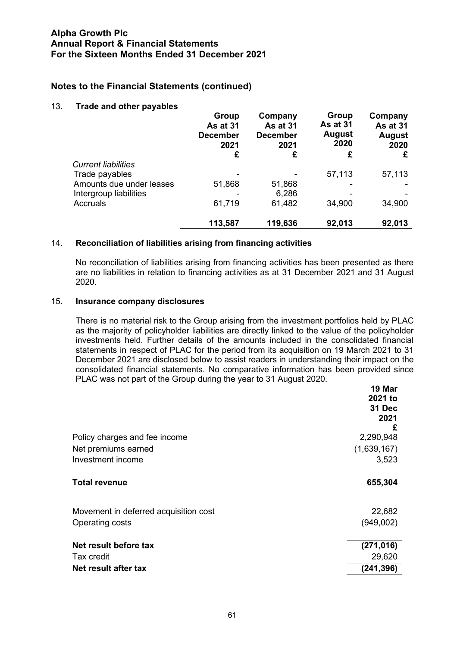#### 13. **Trade and other payables**

|                            | Group<br><b>As at 31</b><br><b>December</b><br>2021<br>£ | Company<br><b>As at 31</b><br><b>December</b><br>2021<br>£ | Group<br><b>As at 31</b><br>August<br>2020<br>£ | Company<br>As at 31<br><b>August</b><br>2020<br>£ |
|----------------------------|----------------------------------------------------------|------------------------------------------------------------|-------------------------------------------------|---------------------------------------------------|
| <b>Current liabilities</b> |                                                          |                                                            |                                                 |                                                   |
| Trade payables             |                                                          |                                                            | 57,113                                          | 57,113                                            |
| Amounts due under leases   | 51,868                                                   | 51,868                                                     |                                                 |                                                   |
| Intergroup liabilities     |                                                          | 6,286                                                      |                                                 |                                                   |
| Accruals                   | 61,719                                                   | 61,482                                                     | 34,900                                          | 34,900                                            |
|                            | 113,587                                                  | 119,636                                                    | 92,013                                          | 92,013                                            |

#### 14. **Reconciliation of liabilities arising from financing activities**

No reconciliation of liabilities arising from financing activities has been presented as there are no liabilities in relation to financing activities as at 31 December 2021 and 31 August 2020.

#### 15. **Insurance company disclosures**

There is no material risk to the Group arising from the investment portfolios held by PLAC as the majority of policyholder liabilities are directly linked to the value of the policyholder investments held. Further details of the amounts included in the consolidated financial statements in respect of PLAC for the period from its acquisition on 19 March 2021 to 31 December 2021 are disclosed below to assist readers in understanding their impact on the consolidated financial statements. No comparative information has been provided since PLAC was not part of the Group during the year to 31 August 2020.

| Policy charges and fee income         | 19 Mar<br>2021 to<br>31 Dec<br>2021<br>£<br>2,290,948 |
|---------------------------------------|-------------------------------------------------------|
| Net premiums earned                   | (1,639,167)                                           |
| Investment income                     | 3,523                                                 |
| <b>Total revenue</b>                  | 655,304                                               |
| Movement in deferred acquisition cost | 22,682                                                |
| Operating costs                       | (949,002)                                             |
| Net result before tax                 | (271, 016)                                            |
| Tax credit                            | 29,620                                                |
| Net result after tax                  | (241, 396)                                            |
|                                       |                                                       |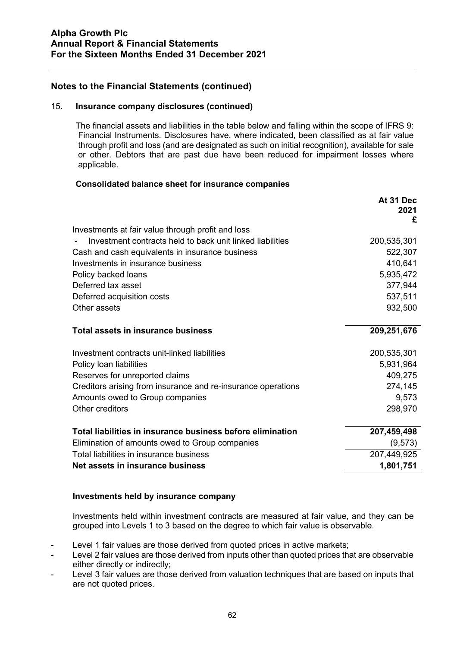#### 15. **Insurance company disclosures (continued)**

The financial assets and liabilities in the table below and falling within the scope of IFRS 9: Financial Instruments. Disclosures have, where indicated, been classified as at fair value through profit and loss (and are designated as such on initial recognition), available for sale or other. Debtors that are past due have been reduced for impairment losses where applicable.

#### **Consolidated balance sheet for insurance companies**

|                                                              | At 31 Dec<br>2021 |
|--------------------------------------------------------------|-------------------|
|                                                              | £                 |
| Investments at fair value through profit and loss            |                   |
| Investment contracts held to back unit linked liabilities    | 200,535,301       |
| Cash and cash equivalents in insurance business              | 522,307           |
| Investments in insurance business                            | 410,641           |
| Policy backed loans                                          | 5,935,472         |
| Deferred tax asset                                           | 377,944           |
| Deferred acquisition costs                                   | 537,511           |
| Other assets                                                 | 932,500           |
| <b>Total assets in insurance business</b>                    | 209,251,676       |
| Investment contracts unit-linked liabilities                 | 200,535,301       |
| Policy loan liabilities                                      | 5,931,964         |
| Reserves for unreported claims                               | 409,275           |
| Creditors arising from insurance and re-insurance operations | 274,145           |
| Amounts owed to Group companies                              | 9,573             |
| Other creditors                                              | 298,970           |
| Total liabilities in insurance business before elimination   | 207,459,498       |
| Elimination of amounts owed to Group companies               | (9, 573)          |
| Total liabilities in insurance business                      | 207,449,925       |
| Net assets in insurance business                             | 1,801,751         |

## **Investments held by insurance company**

Investments held within investment contracts are measured at fair value, and they can be grouped into Levels 1 to 3 based on the degree to which fair value is observable.

- Level 1 fair values are those derived from quoted prices in active markets;
- Level 2 fair values are those derived from inputs other than quoted prices that are observable either directly or indirectly;
- Level 3 fair values are those derived from valuation techniques that are based on inputs that are not quoted prices.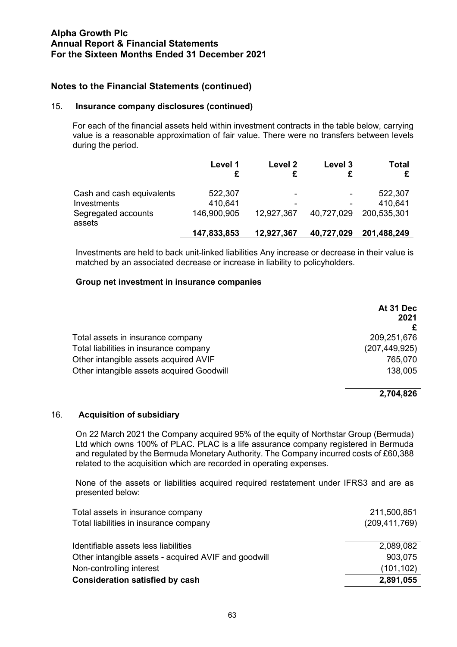#### 15. **Insurance company disclosures (continued)**

For each of the financial assets held within investment contracts in the table below, carrying value is a reasonable approximation of fair value. There were no transfers between levels during the period.

|                                                                           | Level 1                           | Level 2              | Level 3    | Total                             |
|---------------------------------------------------------------------------|-----------------------------------|----------------------|------------|-----------------------------------|
| Cash and cash equivalents<br>Investments<br>Segregated accounts<br>assets | 522,307<br>410,641<br>146,900,905 | -<br>-<br>12,927,367 | 40,727,029 | 522,307<br>410,641<br>200,535,301 |
|                                                                           | 147,833,853                       | 12,927,367           | 40,727,029 | 201,488,249                       |

Investments are held to back unit-linked liabilities Any increase or decrease in their value is matched by an associated decrease or increase in liability to policyholders.

#### **Group net investment in insurance companies**

|                                           | At 31 Dec<br>2021 |
|-------------------------------------------|-------------------|
| Total assets in insurance company         | 209,251,676       |
| Total liabilities in insurance company    | (207, 449, 925)   |
| Other intangible assets acquired AVIF     | 765,070           |
| Other intangible assets acquired Goodwill | 138,005           |
|                                           |                   |

#### **2,704,826**

#### 16. **Acquisition of subsidiary**

On 22 March 2021 the Company acquired 95% of the equity of Northstar Group (Bermuda) Ltd which owns 100% of PLAC. PLAC is a life assurance company registered in Bermuda and regulated by the Bermuda Monetary Authority. The Company incurred costs of £60,388 related to the acquisition which are recorded in operating expenses.

None of the assets or liabilities acquired required restatement under IFRS3 and are as presented below:

| Total assets in insurance company<br>Total liabilities in insurance company | 211,500,851<br>(209, 411, 769) |
|-----------------------------------------------------------------------------|--------------------------------|
| Identifiable assets less liabilities                                        | 2,089,082                      |
| Other intangible assets - acquired AVIF and goodwill                        | 903,075                        |
| Non-controlling interest                                                    | (101, 102)                     |
| <b>Consideration satisfied by cash</b>                                      | 2,891,055                      |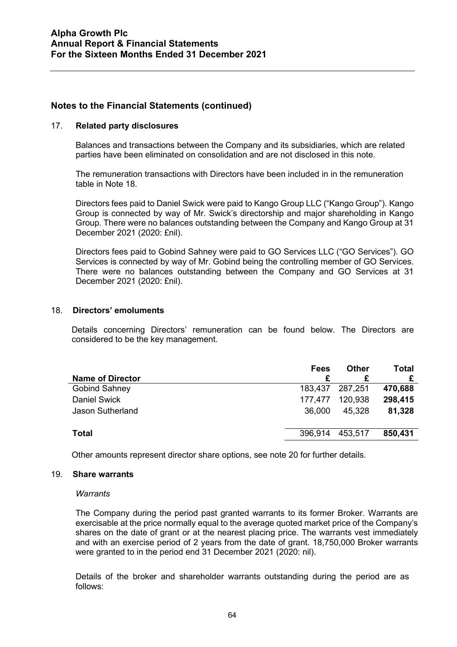#### 17. **Related party disclosures**

Balances and transactions between the Company and its subsidiaries, which are related parties have been eliminated on consolidation and are not disclosed in this note.

The remuneration transactions with Directors have been included in in the remuneration table in Note 18.

Directors fees paid to Daniel Swick were paid to Kango Group LLC ("Kango Group"). Kango Group is connected by way of Mr. Swick's directorship and major shareholding in Kango Group. There were no balances outstanding between the Company and Kango Group at 31 December 2021 (2020: £nil).

Directors fees paid to Gobind Sahney were paid to GO Services LLC ("GO Services"). GO Services is connected by way of Mr. Gobind being the controlling member of GO Services. There were no balances outstanding between the Company and GO Services at 31 December 2021 (2020: £nil).

#### 18. **Directors' emoluments**

Details concerning Directors' remuneration can be found below. The Directors are considered to be the key management.

| <b>Name of Director</b> | Fees    | Other   | Total   |
|-------------------------|---------|---------|---------|
| <b>Gobind Sahney</b>    | 183,437 | 287.251 | 470,688 |
| <b>Daniel Swick</b>     | 177.477 | 120,938 | 298,415 |
| <b>Jason Sutherland</b> | 36,000  | 45.328  | 81,328  |
| <b>Total</b>            | 396,914 | 453,517 | 850,431 |
|                         |         |         |         |

Other amounts represent director share options, see note 20 for further details.

#### 19. **Share warrants**

#### *Warrants*

The Company during the period past granted warrants to its former Broker. Warrants are exercisable at the price normally equal to the average quoted market price of the Company's shares on the date of grant or at the nearest placing price. The warrants vest immediately and with an exercise period of 2 years from the date of grant. 18,750,000 Broker warrants were granted to in the period end 31 December 2021 (2020: nil).

Details of the broker and shareholder warrants outstanding during the period are as follows: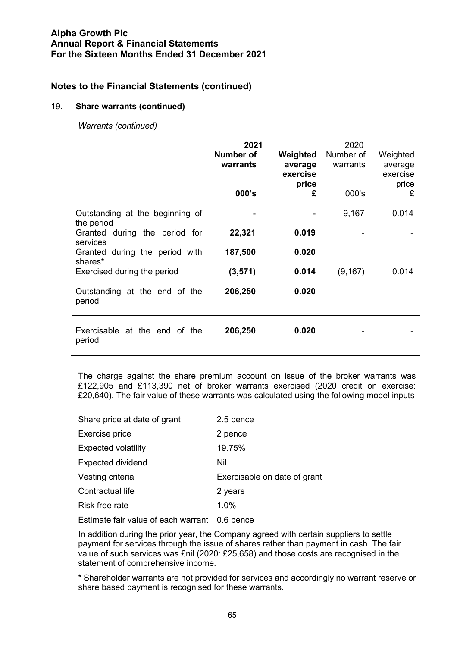#### 19. **Share warrants (continued)**

*Warrants (continued)*

|                                               | 2021<br>Number of<br>warrants<br>000's | Weighted<br>average<br>exercise<br>price<br>£ | 2020<br>Number of<br>warrants<br>000's | Weighted<br>average<br>exercise<br>price<br>£ |
|-----------------------------------------------|----------------------------------------|-----------------------------------------------|----------------------------------------|-----------------------------------------------|
| Outstanding at the beginning of<br>the period |                                        |                                               | 9,167                                  | 0.014                                         |
| Granted during the period for<br>services     | 22,321                                 | 0.019                                         |                                        |                                               |
| Granted during the period with                | 187,500                                | 0.020                                         |                                        |                                               |
| shares*<br>Exercised during the period        | (3,571)                                | 0.014                                         | (9, 167)                               | 0.014                                         |
| Outstanding at the end of the<br>period       | 206,250                                | 0.020                                         |                                        |                                               |
| Exercisable at the end of the<br>period       | 206,250                                | 0.020                                         |                                        |                                               |

The charge against the share premium account on issue of the broker warrants was £122,905 and £113,390 net of broker warrants exercised (2020 credit on exercise: £20,640). The fair value of these warrants was calculated using the following model inputs

| Share price at date of grant | 2.5 pence                    |
|------------------------------|------------------------------|
| Exercise price               | 2 pence                      |
| <b>Expected volatility</b>   | 19.75%                       |
| <b>Expected dividend</b>     | Nil                          |
| Vesting criteria             | Exercisable on date of grant |
| Contractual life             | 2 years                      |
| <b>Risk free rate</b>        | 1.0%                         |
|                              |                              |

Estimate fair value of each warrant 0.6 pence

In addition during the prior year, the Company agreed with certain suppliers to settle payment for services through the issue of shares rather than payment in cash. The fair value of such services was £nil (2020: £25,658) and those costs are recognised in the statement of comprehensive income.

\* Shareholder warrants are not provided for services and accordingly no warrant reserve or share based payment is recognised for these warrants.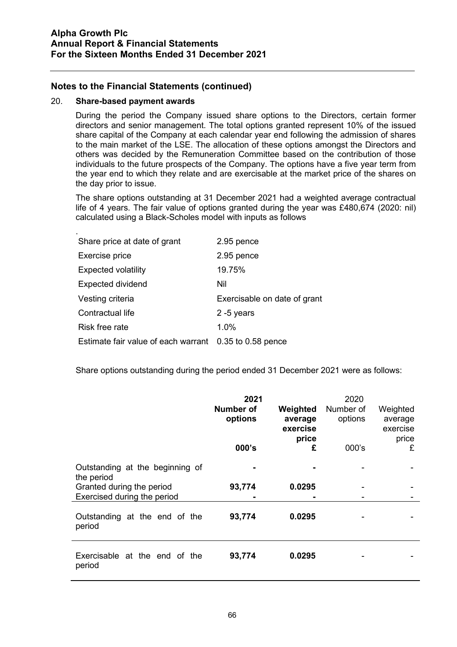#### 20. **Share-based payment awards**

During the period the Company issued share options to the Directors, certain former directors and senior management. The total options granted represent 10% of the issued share capital of the Company at each calendar year end following the admission of shares to the main market of the LSE. The allocation of these options amongst the Directors and others was decided by the Remuneration Committee based on the contribution of those individuals to the future prospects of the Company. The options have a five year term from the year end to which they relate and are exercisable at the market price of the shares on the day prior to issue.

The share options outstanding at 31 December 2021 had a weighted average contractual life of 4 years. The fair value of options granted during the year was £480,674 (2020: nil) calculated using a Black-Scholes model with inputs as follows

| Share price at date of grant                           | 2.95 pence                   |
|--------------------------------------------------------|------------------------------|
| Exercise price                                         | 2.95 pence                   |
| <b>Expected volatility</b>                             | 19.75%                       |
| <b>Expected dividend</b>                               | Nil                          |
| Vesting criteria                                       | Exercisable on date of grant |
| Contractual life                                       | $2 - 5$ years                |
| Risk free rate                                         | 1.0%                         |
| Estimate fair value of each warrant 0.35 to 0.58 pence |                              |

Share options outstanding during the period ended 31 December 2021 were as follows:

|                                                                            | 2021<br>Number of<br>options<br>000's | Weighted<br>average<br>exercise<br>price<br>£ | 2020<br>Number of<br>options<br>$000$ 's | Weighted<br>average<br>exercise<br>price<br>£ |
|----------------------------------------------------------------------------|---------------------------------------|-----------------------------------------------|------------------------------------------|-----------------------------------------------|
| Outstanding at the beginning of<br>the period<br>Granted during the period | 93,774                                | 0.0295                                        |                                          |                                               |
| Exercised during the period                                                |                                       |                                               |                                          |                                               |
| Outstanding at the end of the<br>period                                    | 93,774                                | 0.0295                                        |                                          |                                               |
| Exercisable at the end of the<br>period                                    | 93,774                                | 0.0295                                        |                                          |                                               |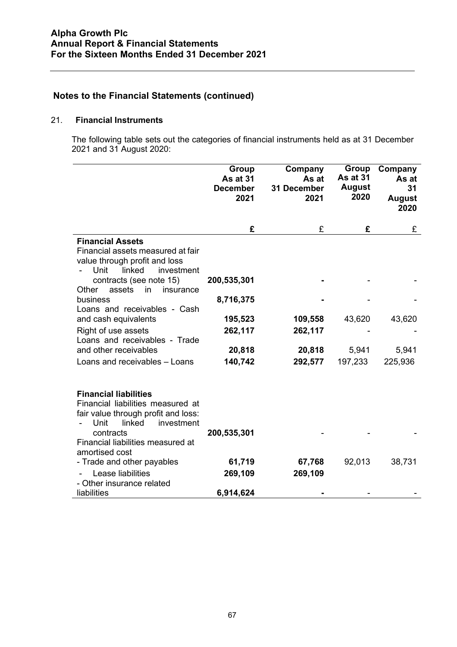## 21. **Financial Instruments**

The following table sets out the categories of financial instruments held as at 31 December 2021 and 31 August 2020:

|                                                                                                                                                                                                              | <b>Group</b><br><b>As at 31</b><br><b>December</b><br>2021 | Company<br>As at<br>31 December<br>2021 | <b>Group</b><br><b>As at 31</b><br><b>August</b><br>2020 | Company<br>As at<br>31<br><b>August</b><br>2020 |
|--------------------------------------------------------------------------------------------------------------------------------------------------------------------------------------------------------------|------------------------------------------------------------|-----------------------------------------|----------------------------------------------------------|-------------------------------------------------|
|                                                                                                                                                                                                              | £                                                          | £                                       | £                                                        | £                                               |
| <b>Financial Assets</b><br>Financial assets measured at fair<br>value through profit and loss<br>linked<br>Unit<br>investment                                                                                |                                                            |                                         |                                                          |                                                 |
| contracts (see note 15)<br>assets<br>Other<br>in<br>insurance                                                                                                                                                | 200,535,301                                                |                                         |                                                          |                                                 |
| business<br>Loans and receivables - Cash                                                                                                                                                                     | 8,716,375                                                  |                                         |                                                          |                                                 |
| and cash equivalents                                                                                                                                                                                         | 195,523                                                    | 109,558                                 | 43,620                                                   | 43,620                                          |
| Right of use assets<br>Loans and receivables - Trade                                                                                                                                                         | 262,117                                                    | 262,117                                 |                                                          |                                                 |
| and other receivables                                                                                                                                                                                        | 20,818                                                     | 20,818                                  | 5,941                                                    | 5,941                                           |
| Loans and receivables - Loans                                                                                                                                                                                | 140,742                                                    | 292,577                                 | 197,233                                                  | 225,936                                         |
| <b>Financial liabilities</b><br>Financial liabilities measured at<br>fair value through profit and loss:<br>Unit<br>linked<br>investment<br>contracts<br>Financial liabilities measured at<br>amortised cost | 200,535,301                                                |                                         |                                                          |                                                 |
| - Trade and other payables                                                                                                                                                                                   | 61,719                                                     | 67,768                                  | 92,013                                                   | 38,731                                          |
| Lease liabilities                                                                                                                                                                                            | 269,109                                                    | 269,109                                 |                                                          |                                                 |
| - Other insurance related                                                                                                                                                                                    |                                                            |                                         |                                                          |                                                 |
| liabilities                                                                                                                                                                                                  | 6,914,624                                                  |                                         |                                                          |                                                 |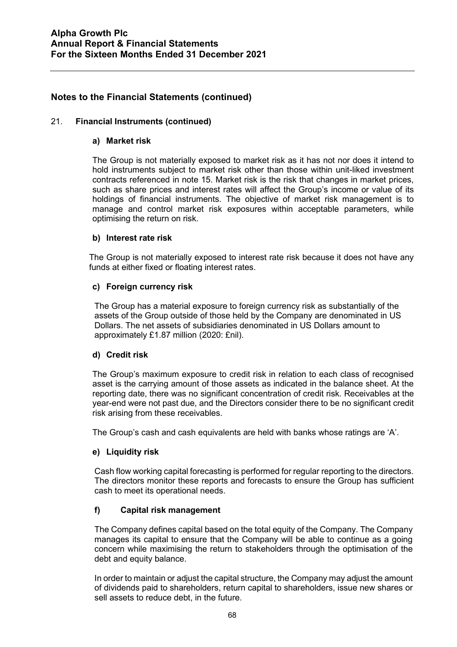## 21. **Financial Instruments (continued)**

## **a) Market risk**

The Group is not materially exposed to market risk as it has not nor does it intend to hold instruments subject to market risk other than those within unit-liked investment contracts referenced in note 15. Market risk is the risk that changes in market prices, such as share prices and interest rates will affect the Group's income or value of its holdings of financial instruments. The objective of market risk management is to manage and control market risk exposures within acceptable parameters, while optimising the return on risk.

## **b) Interest rate risk**

The Group is not materially exposed to interest rate risk because it does not have any funds at either fixed or floating interest rates.

## **c) Foreign currency risk**

The Group has a material exposure to foreign currency risk as substantially of the assets of the Group outside of those held by the Company are denominated in US Dollars. The net assets of subsidiaries denominated in US Dollars amount to approximately £1.87 million (2020: £nil).

## **d) Credit risk**

The Group's maximum exposure to credit risk in relation to each class of recognised asset is the carrying amount of those assets as indicated in the balance sheet. At the reporting date, there was no significant concentration of credit risk. Receivables at the year-end were not past due, and the Directors consider there to be no significant credit risk arising from these receivables.

The Group's cash and cash equivalents are held with banks whose ratings are 'A'.

## **e) Liquidity risk**

Cash flow working capital forecasting is performed for regular reporting to the directors. The directors monitor these reports and forecasts to ensure the Group has sufficient cash to meet its operational needs.

## **f) Capital risk management**

The Company defines capital based on the total equity of the Company. The Company manages its capital to ensure that the Company will be able to continue as a going concern while maximising the return to stakeholders through the optimisation of the debt and equity balance.

In order to maintain or adjust the capital structure, the Company may adjust the amount of dividends paid to shareholders, return capital to shareholders, issue new shares or sell assets to reduce debt, in the future.